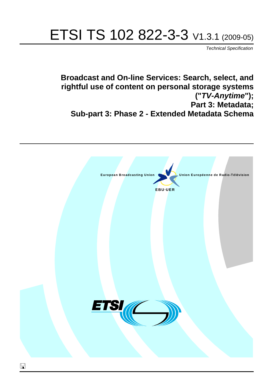# ETSI TS 102 822-3-3 V1.3.1 (2009-05)

*Technical Specification*

**Broadcast and On-line Services: Search, select, and rightful use of content on personal storage systems ("***TV-Anytime***"); Part 3: Metadata; Sub-part 3: Phase 2 - Extended Metadata Schema**

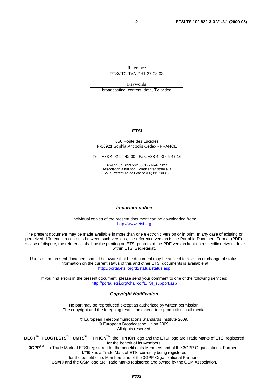Reference

RTS/JTC-TVA-PH1-37-03-03

Keywords broadcasting, content, data, TV, video

#### *ETSI*

#### 650 Route des Lucioles F-06921 Sophia Antipolis Cedex - FRANCE

Tel.: +33 4 92 94 42 00 Fax: +33 4 93 65 47 16

Siret N° 348 623 562 00017 - NAF 742 C Association à but non lucratif enregistrée à la Sous-Préfecture de Grasse (06) N° 7803/88

#### *Important notice*

Individual copies of the present document can be downloaded from: [http://www.etsi.org](http://www.etsi.org/)

The present document may be made available in more than one electronic version or in print. In any case of existing or perceived difference in contents between such versions, the reference version is the Portable Document Format (PDF). In case of dispute, the reference shall be the printing on ETSI printers of the PDF version kept on a specific network drive within ETSI Secretariat.

Users of the present document should be aware that the document may be subject to revision or change of status. Information on the current status of this and other ETSI documents is available at <http://portal.etsi.org/tb/status/status.asp>

If you find errors in the present document, please send your comment to one of the following services: [http://portal.etsi.org/chaircor/ETSI\\_support.asp](http://portal.etsi.org/chaircor/ETSI_support.asp)

#### *Copyright Notification*

No part may be reproduced except as authorized by written permission. The copyright and the foregoing restriction extend to reproduction in all media.

> © European Telecommunications Standards Institute 2009. © European Broadcasting Union 2009. All rights reserved.

**DECT**TM, **PLUGTESTS**TM, **UMTS**TM, **TIPHON**TM, the TIPHON logo and the ETSI logo are Trade Marks of ETSI registered for the benefit of its Members. **3GPP**TM is a Trade Mark of ETSI registered for the benefit of its Members and of the 3GPP Organizational Partners.

**LTE**™ is a Trade Mark of ETSI currently being registered

for the benefit of its Members and of the 3GPP Organizational Partners.

**GSM**® and the GSM logo are Trade Marks registered and owned by the GSM Association.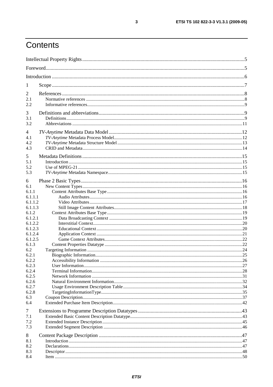# Contents

| 1                                                  |  |
|----------------------------------------------------|--|
| $\overline{2}$<br>2.1<br>2.2                       |  |
| 3<br>3.1<br>3.2                                    |  |
| 4<br>4.1<br>4.2<br>4.3                             |  |
| 5<br>5.1<br>5.2<br>5.3                             |  |
| 6<br>6.1<br>6.1.1<br>6.1.1.1<br>6.1.1.2<br>6.1.1.3 |  |
| 6.1.2<br>6.1.2.1<br>6.1.2.2<br>6.1.2.3             |  |
| 6.1.2.4<br>6.1.2.5<br>6.1.3<br>6.2                 |  |
| 6.2.1<br>6.2.2<br>6.2.3                            |  |
| 6.2.4<br>6.2.5<br>6.2.6<br>6.2.7                   |  |
| 6.2.8<br>6.3<br>6.4                                |  |
| 7<br>7.1<br>7.2<br>7.3                             |  |
| 8<br>8.1<br>8.2<br>8.3<br>8.4                      |  |

 $\mathbf{3}$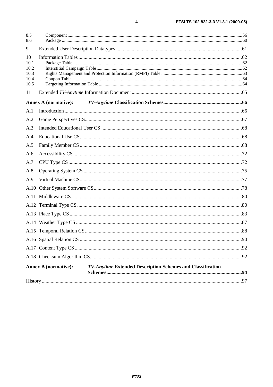| 8.5<br>8.6                                 |                             |  |
|--------------------------------------------|-----------------------------|--|
| 9                                          |                             |  |
| 10<br>10.1<br>10.2<br>10.3<br>10.4<br>10.5 |                             |  |
| 11                                         |                             |  |
|                                            | <b>Annex A (normative):</b> |  |
| A.1                                        |                             |  |
| A.2                                        |                             |  |
| A.3                                        |                             |  |
| A.4                                        |                             |  |
| A.5                                        |                             |  |
| A.6                                        |                             |  |
| A.7                                        |                             |  |
| A.8                                        |                             |  |
| A.9                                        |                             |  |
|                                            |                             |  |
|                                            |                             |  |
|                                            |                             |  |
|                                            |                             |  |
|                                            |                             |  |
|                                            |                             |  |
|                                            |                             |  |
|                                            |                             |  |
|                                            |                             |  |

 $\overline{\mathbf{4}}$ 

| <b>Annex B</b> (normative): | <b>TV-Anytime Extended Description Schemes and Classification</b> |  |
|-----------------------------|-------------------------------------------------------------------|--|
|                             |                                                                   |  |
|                             |                                                                   |  |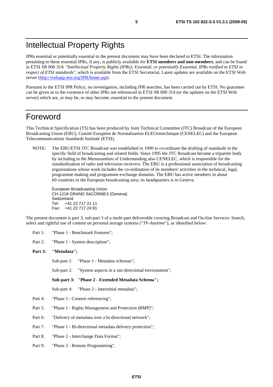# Intellectual Property Rights

IPRs essential or potentially essential to the present document may have been declared to ETSI. The information pertaining to these essential IPRs, if any, is publicly available for **ETSI members and non-members**, and can be found in ETSI SR 000 314: *"Intellectual Property Rights (IPRs); Essential, or potentially Essential, IPRs notified to ETSI in respect of ETSI standards"*, which is available from the ETSI Secretariat. Latest updates are available on the ETSI Web server [\(http://webapp.etsi.org/IPR/home.asp\)](http://webapp.etsi.org/IPR/home.asp).

Pursuant to the ETSI IPR Policy, no investigation, including IPR searches, has been carried out by ETSI. No guarantee can be given as to the existence of other IPRs not referenced in ETSI SR 000 314 (or the updates on the ETSI Web server) which are, or may be, or may become, essential to the present document.

### Foreword

This Technical Specification (TS) has been produced by Joint Technical Committee (JTC) Broadcast of the European Broadcasting Union (EBU), Comité Européen de Normalisation ELECtrotechnique (CENELEC) and the European Telecommunications Standards Institute (ETSI).

NOTE: The EBU/ETSI JTC Broadcast was established in 1990 to co-ordinate the drafting of standards in the specific field of broadcasting and related fields. Since 1995 the JTC Broadcast became a tripartite body by including in the Memorandum of Understanding also CENELEC, which is responsible for the standardization of radio and television receivers. The EBU is a professional association of broadcasting organizations whose work includes the co-ordination of its members' activities in the technical, legal, programme-making and programme-exchange domains. The EBU has active members in about 60 countries in the European broadcasting area; its headquarters is in Geneva.

European Broadcasting Union CH-1218 GRAND SACONNEX (Geneva) Switzerland Tel: +41 22 717 21 11 Fax: +41 22 717 24 81

The present document is part 3, sub-part 3 of a multi-part deliverable covering Broadcast and On-line Services: Search, select and rightful use of content on personal storage systems ("*TV-Anytime*"), as identified below:

Part 1: "Phase 1 - Benchmark Features";

Part 2: "Phase 1 - System description";

#### **Part 3: "Metadata";**

Sub-part 1: "Phase 1 - Metadata schemas";

Sub-part 2: "System aspects in a uni-directional environment";

**Sub-part 3: "Phase 2 - Extended Metadata Schema";** 

Sub-part 4: "Phase 2 - Interstitial metadata";

- Part 4: "Phase 1 Content referencing";
- Part 5: "Phase 1 Rights Management and Protection (RMP)";
- Part 6: "Delivery of metadata over a bi-directional network";
- Part 7: "Phase 1 Bi-directional metadata delivery protection";
- Part 8: "Phase 2 Interchange Data Format";
- Part 9: "Phase 2 Remote Programming".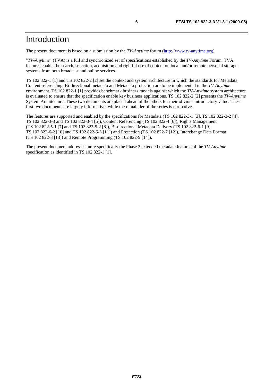The present document is based on a submission by the *TV-Anytime* forum [\(http://www.tv-anytime.org](http://www.tv-anytime.org/)).

"*TV-Anytime*" (TVA) is a full and synchronized set of specifications established by the *TV-Anytime* Forum. TVA features enable the search, selection, acquisition and rightful use of content on local and/or remote personal storage systems from both broadcast and online services.

TS 102 822-1 [1] and TS 102 822-2 [2] set the context and system architecture in which the standards for Metadata, Content referencing, Bi-directional metadata and Metadata protection are to be implemented in the *TV-Anytime* environment. TS 102 822-1 [1] provides benchmark business models against which the *TV-Anytime* system architecture is evaluated to ensure that the specification enable key business applications. TS 102 822-2 [2] presents the *TV-Anytime* System Architecture. These two documents are placed ahead of the others for their obvious introductory value. These first two documents are largely informative, while the remainder of the series is normative.

The features are supported and enabled by the specifications for Metadata (TS 102 822-3-1 [3], TS 102 822-3-2 [4], TS 102 822-3-3 and TS 102 822-3-4 [5]), Content Referencing (TS 102 822-4 [6]), Rights Management (TS 102 822-5-1 [7] and TS 102 822-5-2 [8]), Bi-directional Metadata Delivery (TS 102 822-6-1 [9], TS 102 822-6-2 [10] and TS 102 822-6-3 [11]) and Protection (TS 102 822-7 [12]), Interchange Data Format (TS 102 822-8 [13]) and Remote Programming (TS 102 822-9 [14]).

The present document addresses more specifically the Phase 2 extended metadata features of the *TV-Anytime* specification as identified in TS 102 822-1 [1].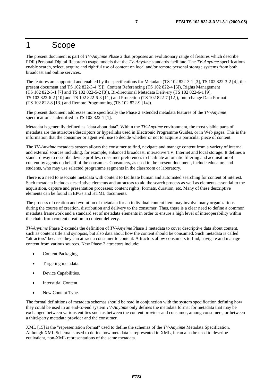# 1 Scope

The present document is part of *TV-Anytime* Phase 2 that proposes an evolutionary range of features which describe PDR (Personal Digital Recorder) usage models that the *TV-Anytime* standards facilitate. The *TV-Anytime* specifications enable search, select, acquire and rightful use of content on local and/or remote personal storage systems from both broadcast and online services.

The features are supported and enabled by the specifications for Metadata (TS 102 822-3-1 [3], TS 102 822-3-2 [4], the present document and TS 102 822-3-4 [5]), Content Referencing (TS 102 822-4 [6]), Rights Management (TS 102 822-5-1 [7] and TS 102 822-5-2 [8]), Bi-directional Metadata Delivery (TS 102 822-6-1 [9], TS 102 822-6-2 [10] and TS 102 822-6-3 [11]) and Protection (TS 102 822-7 [12]), Interchange Data Format (TS 102 822-8 [13]) and Remote Programming (TS 102 822-9 [14]).

The present document addresses more specifically the Phase 2 extended metadata features of the *TV-Anytime* specification as identified in TS 102 822-1 [1].

Metadata is generally defined as "data about data". Within the *TV-Anytime* environment, the most visible parts of metadata are the attractors/descriptors or hyperlinks used in Electronic Programme Guides, or in Web pages. This is the information that the consumer or agent will use to decide whether or not to acquire a particular piece of content.

The *TV-Anytime* metadata system allows the consumer to find, navigate and manage content from a variety of internal and external sources including, for example, enhanced broadcast, interactive TV, Internet and local storage. It defines a standard way to describe device profiles, consumer preferences to facilitate automatic filtering and acquisition of content by agents on behalf of the consumer. Consumers, as used in the present document, include educators and students, who may use selected programme segments in the classroom or laboratory.

There is a need to associate metadata with content to facilitate human and automated searching for content of interest. Such metadata includes descriptive elements and attractors to aid the search process as well as elements essential to the acquisition, capture and presentation processes; content rights, formats, duration, etc. Many of these descriptive elements can be found in EPGs and HTML documents.

The process of creation and evolution of metadata for an individual content item may involve many organizations during the course of creation, distribution and delivery to the consumer. Thus, there is a clear need to define a common metadata framework and a standard set of metadata elements in order to ensure a high level of interoperability within the chain from content creation to content delivery.

*TV-Anytime* Phase 2 extends the definition of *TV-Anytime* Phase 1 metadata to cover descriptive data about content, such as content title and synopsis, but also data about how the content should be consumed. Such metadata is called "attractors" because they can attract a consumer to content. Attractors allow consumers to find, navigate and manage content from various sources. New Phase 2 attractors include:

- Content Packaging.
- Targeting metadata.
- Device Capabilities.
- Interstitial Content.
- New Content Type.

The formal definitions of metadata schemas should be read in conjunction with the system specification defining how they could be used in an end-to-end system *TV-Anytime* only defines the metadata format for metadata that may be exchanged between various entities such as between the content provider and consumer, among consumers, or between a third-party metadata provider and the consumer.

XML [15] is the "representation format" used to define the schemas of the *TV-Anytime* Metadata Specification. Although XML Schema is used to define how metadata is represented in XML, it can also be used to describe equivalent, non-XML representations of the same metadata.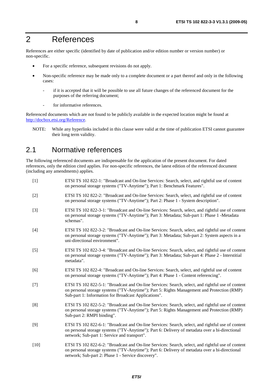# 2 References

References are either specific (identified by date of publication and/or edition number or version number) or non-specific.

- For a specific reference, subsequent revisions do not apply.
- Non-specific reference may be made only to a complete document or a part thereof and only in the following cases:
	- if it is accepted that it will be possible to use all future changes of the referenced document for the purposes of the referring document;
	- for informative references.

Referenced documents which are not found to be publicly available in the expected location might be found at [http://docbox.etsi.org/Reference.](http://docbox.etsi.org/Reference)

NOTE: While any hyperlinks included in this clause were valid at the time of publication ETSI cannot guarantee their long term validity.

# 2.1 Normative references

The following referenced documents are indispensable for the application of the present document. For dated references, only the edition cited applies. For non-specific references, the latest edition of the referenced document (including any amendments) applies.

| $[1]$  | ETSI TS 102 822-1: "Broadcast and On-line Services: Search, select, and rightful use of content<br>on personal storage systems ("TV-Anytime"); Part 1: Benchmark Features".                                                                               |
|--------|-----------------------------------------------------------------------------------------------------------------------------------------------------------------------------------------------------------------------------------------------------------|
| $[2]$  | ETSI TS 102 822-2: "Broadcast and On-line Services: Search, select, and rightful use of content<br>on personal storage systems ("TV-Anytime"); Part 2: Phase 1 - System description".                                                                     |
| $[3]$  | ETSI TS 102 822-3-1: "Broadcast and On-line Services: Search, select, and rightful use of content<br>on personal storage systems ("TV-Anytime"); Part 3: Metadata; Sub-part 1: Phase 1 -Metadata<br>schemas".                                             |
| $[4]$  | ETSI TS 102 822-3-2: "Broadcast and On-line Services: Search, select, and rightful use of content<br>on personal storage systems ("TV-Anytime"); Part 3: Metadata; Sub-part 2: System aspects in a<br>uni-directional environment".                       |
| $[5]$  | ETSI TS 102 822-3-4: "Broadcast and On-line Services: Search, select, and rightful use of content<br>on personal storage systems ("TV-Anytime"); Part 3: Metadata; Sub-part 4: Phase 2 - Interstitial<br>metadata".                                       |
| [6]    | ETSI TS 102 822-4: "Broadcast and On-line Services: Search, select, and rightful use of content<br>on personal storage systems ("TV-Anytime"); Part 4: Phase 1 - Content referencing".                                                                    |
| $[7]$  | ETSI TS 102 822-5-1: "Broadcast and On-line Services: Search, select, and rightful use of content<br>on personal storage systems ("TV-Anytime"); Part 5: Rights Management and Protection (RMP)<br>Sub-part 1: Information for Broadcast Applications".   |
| [8]    | ETSI TS 102 822-5-2: "Broadcast and On-line Services: Search, select, and rightful use of content<br>on personal storage systems ("TV-Anytime"); Part 5: Rights Management and Protection (RMP)<br>Sub-part 2: RMPI binding".                             |
| $[9]$  | ETSI TS 102 822-6-1: "Broadcast and On-line Services: Search, select, and rightful use of content<br>on personal storage systems ("TV-Anytime"); Part 6: Delivery of metadata over a bi-directional<br>network; Sub-part 1: Service and transport".       |
| $[10]$ | ETSI TS 102 822-6-2: "Broadcast and On-line Services: Search, select, and rightful use of content<br>on personal storage systems ("TV-Anytime"); Part 6: Delivery of metadata over a bi-directional<br>network; Sub-part 2: Phase 1 - Service discovery". |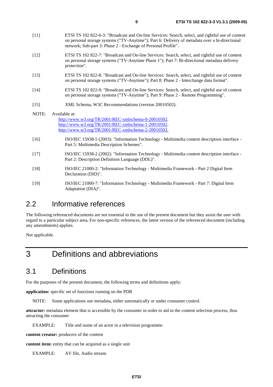- [11] ETSI TS 102 822-6-3: "Broadcast and On-line Services: Search, select, and rightful use of content on personal storage systems ("TV-Anytime"); Part 6: Delivery of metadata over a bi-directional network; Sub-part 3: Phase 2 - Exchange of Personal Profile".
- [12] ETSI TS 102 822-7: "Broadcast and On-line Services: Search, select, and rightful use of content on personal storage systems ("TV-Anytime Phase 1"); Part 7: Bi-directional metadata delivery protection".
- [13] ETSI TS 102 822-8: "Broadcast and On-line Services: Search, select, and rightful use of content on personal storage systems ("TV-Anytime"); Part 8: Phase 2 - Interchange data format".
- [14] ETSI TS 102 822-9: "Broadcast and On-line Services: Search, select, and rightful use of content on personal storage systems ("TV-Anytime"); Part 9: Phase 2 - Remote Programming".
- [15] XML Schema, W3C Recommendations (version 20010502).
- NOTE: Available at: [http://www.w3.org/TR/2001/REC-xmlschema-0-20010502.](http://www.w3.org/TR/2001/REC-xmlschema-0-20010502) [http://www.w3.org/TR/2001/REC-xmlschema-1-20010502.](http://www.w3.org/TR/2001/REC-xmlschema-1-20010502) [http://www.w3.org/TR/2001/REC-xmlschema-2-20010502.](http://www.w3.org/XML/Schema)
- [16] ISO/IEC 15938-5 (2003): "Information Technology Multimedia content description interface Part 5: Multimedia Description Schemes".
- [17] ISO/IEC 15938-2 (2002): "Information Technology Multimedia content description interface Part 2: Description Definition Language (DDL)".
- [18] ISO/IEC 21000-2: "Information Technology Multimedia Framework Part 2 Digital Item Declaration (DID)".
- [19] ISO/IEC 21000-7: "Information Technology Multimedia Framework Part 7: Digital Item Adaptation (DIA)".

# 2.2 Informative references

The following referenced documents are not essential to the use of the present document but they assist the user with regard to a particular subject area**.** For non-specific references, the latest version of the referenced document (including any amendments) applies.

Not applicable.

# 3 Definitions and abbreviations

### 3.1 Definitions

For the purposes of the present document, the following terms and definitions apply:

**application:** specific set of functions running on the PDR

NOTE: Some applications use metadata, either automatically or under consumer control.

**attractor:** metadata element that is accessible by the consumer in order to aid in the content selection process, thus attracting the consumer

EXAMPLE: Title and name of an actor in a television programme.

**content creator:** producers of the content

**content item:** entity that can be acquired as a single unit

EXAMPLE: AV file, Audio stream.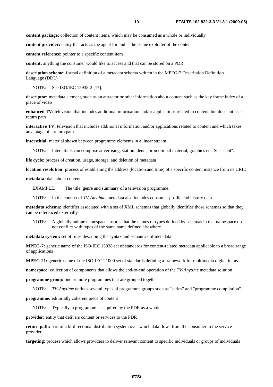**content package:** collection of content items, which may be consumed as a whole or individually

**content provider:** entity that acts as the agent for and is the prime exploiter of the content

**content reference:** pointer to a specific content item

**content:** anything the consumer would like to access and that can be stored on a PDR

**description scheme:** formal definition of a metadata schema written in the MPEG-7 Description Definition Language (DDL)

NOTE: See ISO/IEC 15938-2 [17].

**descriptor:** metadata element, such as an attractor or other information about content such as the key frame index of a piece of video

**enhanced TV:** television that includes additional information and/or applications related to content, but does not use a return path

**interactive TV:** television that includes additional information and/or applications related to content and which takes advantage of a return path

**interstitial:** material shown between programme elements in a linear stream

NOTE: Interstitials can comprise advertising, station idents, promotional material, graphics etc. See "spot".

**life cycle:** process of creation, usage, storage, and deletion of metadata

**location resolution:** process of establishing the address (location and time) of a specific content instance from its CRID

**metadata:** data about content

EXAMPLE: The title, genre and summary of a television programme.

NOTE: In the context of *TV-Anytime*, metadata also includes consumer profile and history data.

**metadata schema:** identifier associated with a set of XML schemas that globally identifies those schemas so that they can be referenced externally

NOTE: A globally unique namespace ensures that the names of types defined by schemas in that namespace do not conflict with types of the same name defined elsewhere.

**metadata system:** set of rules describing the syntax and semantics of metadata

**MPEG-7:** generic name of the ISO-IEC 15938 set of standards for content-related metadata applicable to a broad range of applications

**MPEG-21:** generic name of the ISO-IEC 21000 set of standards defining a framework for multimedia digital items

**namespace:** collection of components that allows the end-to-end operation of the *TV-Anytime* metadata solution

**programme group:** one or more programmes that are grouped together

NOTE: *TV-Anytime* defines several types of programme groups such as "series" and "programme compilation".

**programme:** editorially coherent piece of content

NOTE: Typically, a programme is acquired by the PDR as a whole.

**provider:** entity that delivers content or services to the PDR

**return path:** part of a bi-directional distribution system over which data flows from the consumer to the service provider

**targeting:** process which allows providers to deliver relevant content to specific individuals or groups of individuals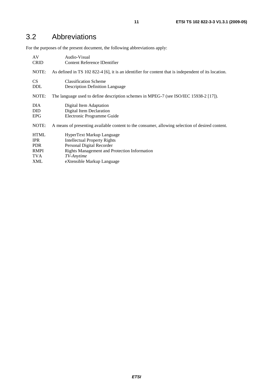# 3.2 Abbreviations

For the purposes of the present document, the following abbreviations apply:

| AV          | Audio-Visual                                                                                         |
|-------------|------------------------------------------------------------------------------------------------------|
| <b>CRID</b> | Content Reference IDentifier                                                                         |
| NOTE:       | As defined in TS 102 822-4 [6], it is an identifier for content that is independent of its location. |
| <b>CS</b>   | <b>Classification Scheme</b>                                                                         |
| <b>DDL</b>  | <b>Description Definition Language</b>                                                               |
| NOTE:       | The language used to define description schemes in MPEG-7 (see ISO/IEC 15938-2 [17]).                |
| DIA.        | Digital Item Adaptation                                                                              |
| <b>DID</b>  | Digital Item Declaration                                                                             |
| <b>EPG</b>  | Electronic Programme Guide                                                                           |
| NOTE:       | A means of presenting available content to the consumer, allowing selection of desired content.      |
| <b>HTML</b> | HyperText Markup Language                                                                            |
| <b>IPR</b>  | <b>Intellectual Property Rights</b>                                                                  |
| <b>PDR</b>  | Personal Digital Recorder                                                                            |
| <b>RMPI</b> | <b>Rights Management and Protection Information</b>                                                  |
| TVA         | TV-Anytime                                                                                           |
| <b>XML</b>  | eXtensible Markup Language                                                                           |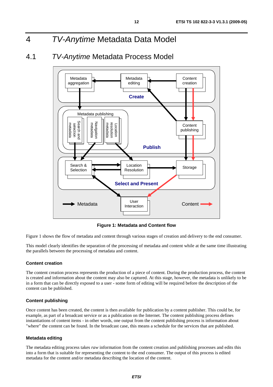# 4 *TV-Anytime* Metadata Data Model

# 4.1 *TV-Anytime* Metadata Process Model



**Figure 1: Metadata and Content flow** 

Figure 1 shows the flow of metadata and content through various stages of creation and delivery to the end consumer.

This model clearly identifies the separation of the processing of metadata and content while at the same time illustrating the parallels between the processing of metadata and content.

#### **Content creation**

The content creation process represents the production of a piece of content. During the production process, the content is created and information about the content may also be captured. At this stage, however, the metadata is unlikely to be in a form that can be directly exposed to a user - some form of editing will be required before the description of the content can be published.

#### **Content publishing**

Once content has been created, the content is then available for publication by a content publisher. This could be, for example, as part of a broadcast service or as a publication on the Internet. The content publishing process defines instantiations of content items - in other words, one output from the content publishing process is information about "where" the content can be found. In the broadcast case, this means a schedule for the services that are published.

#### **Metadata editing**

The metadata editing process takes *raw* information from the content creation and publishing processes and edits this into a form that is suitable for representing the content to the end consumer. The output of this process is edited metadata for the content and/or metadata describing the location of the content.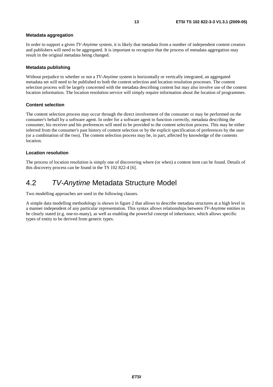#### **Metadata aggregation**

In order to support a given *TV-Anytime* system, it is likely that metadata from a number of independent content creators and publishers will need to be aggregated. It is important to recognize that the process of metadata aggregation may result in the original metadata being changed.

#### **Metadata publishing**

Without prejudice to whether or not a *TV-Anytime* system is horizontally or vertically integrated, an aggregated metadata set will need to be published to both the content selection and location resolution processes. The content selection process will be largely concerned with the metadata describing content but may also involve use of the content location information. The location resolution service will simply require information about the location of programmes.

#### **Content selection**

The content selection process may occur through the direct involvement of the consumer or may be performed on the consumer's behalf by a software agent. In order for a software agent to function correctly, metadata describing the consumer, his receiver and his preferences will need to be provided to the content selection process. This may be either inferred from the consumer's past history of content selection or by the explicit specification of preferences by the user (or a combination of the two). The content selection process may be, in part, affected by knowledge of the contents location.

#### **Location resolution**

The process of location resolution is simply one of discovering where (or when) a content item can be found. Details of this discovery process can be found in the TS 102 822-4 [6].

### 4.2 *TV-Anytime* Metadata Structure Model

Two modelling approaches are used in the following clauses.

A simple data modelling methodology is shown in figure 2 that allows to describe metadata structures at a high level in a manner independent of any particular representation. This syntax allows relationships between *TV-Anytime* entities to be clearly stated (e.g. one-to-many), as well as enabling the powerful concept of inheritance, which allows specific types of entity to be derived from generic types.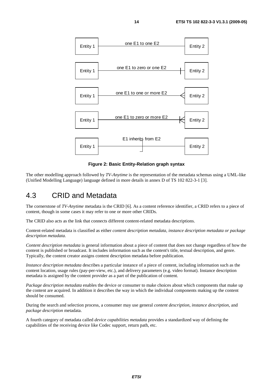

**Figure 2: Basic Entity-Relation graph syntax** 

The other modelling approach followed by *TV-Anytime* is the representation of the metadata schemas using a UML-like (Unified Modelling Language) language defined in more details in annex D of TS 102 822-3-1 [3].

### 4.3 CRID and Metadata

The cornerstone of *TV-Anytime* metadata is the CRID [6]. As a content reference identifier, a CRID refers to a piece of content, though in some cases it may refer to one or more other CRIDs.

The CRID also acts as the link that connects different content-related metadata descriptions.

Content-related metadata is classified as either *content description metadata, instance description metadata or package description metadata.*

*Content description metadata* is general information about a piece of content that does not change regardless of how the content is published or broadcast. It includes information such as the content's title, textual description, and genre. Typically, the content creator assigns content description metadata before publication.

*Instance description metadata* describes a particular instance of a piece of content, including information such as the content location, usage rules (pay-per-view, etc.), and delivery parameters (e.g. video format). Instance description metadata is assigned by the content provider as a part of the publication of content.

*Package description metadata* enables the device or consumer to make choices about which components that make up the content are acquired. In addition it describes the way in which the individual components making up the content should be consumed.

During the search and selection process, a consumer may use general *content description*, *instance description*, and *package description* metadata.

A fourth category of metadata called *device capabilities metadata* provides a standardized way of defining the capabilities of the receiving device like Codec support, return path, etc.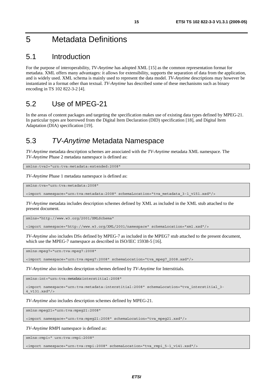# 5 Metadata Definitions

# 5.1 Introduction

For the purpose of interoperability, *TV-Anytime* has adopted XML [15] as the common representation format for metadata. XML offers many advantages: it allows for extensibility, supports the separation of data from the application, and is widely used. XML schema is mainly used to represent the data model. *TV-Anytime* descriptions may however be instantiated in a format other than textual. *TV-Anytime* has described some of these mechanisms such as binary encoding in TS 102 822-3-2 [4].

# 5.2 Use of MPEG-21

In the areas of content packages and targeting the specification makes use of existing data types defined by MPEG-21. In particular types are borrowed from the Digital Item Declaration (DID) specification [18], and Digital Item Adaptation (DIA) specification [19].

# 5.3 *TV-Anytime* Metadata Namespace

*TV-Anytime* metadata description schemes are associated with the *TV-Anytime* metadata XML namespace. The *TV-Anytime* Phase 2 metadata namespace is defined as:

xmlns:tva2="urn:tva:metadata:extended:2008"

*TV-Anytime* Phase 1 metadata namespace is defined as:

xmlns:tva="urn:tva:metadata:2008"

<import namespace="urn:tva:metadata:2008" schemaLocation="tva\_metadata\_3-1\_v151.xsd"/>

*TV-Anytime* metadata includes description schemes defined by XML as included in the XML stub attached to the present document.

xmlns="http://www.w3.org/2001/XMLSchema"

<import namespace="http://www.w3.org/XML/2001/namespace" schemaLocation="xml.xsd"/>

*TV-Anytime* also includes DSs defined by MPEG-7 as included in the MPEG7 stub attached to the present document, which use the MPEG-7 namespace as described in ISO/IEC 15938-5 [16].

xmlns:mpeg7="urn:tva:mpeg7:2008"

<import namespace="urn:tva:mpeg7:2008" schemaLocation="tva\_mpeg7\_2008.xsd"/>

*TV-Anytime* also includes description schemes defined by *TV-Anytime* for Interstitials.

xmlns:int="urn:tva:metadata:interstitial:2008"

<import namespace="urn:tva:metadata:interstitial:2008" schemaLocation="tva\_interstitial\_3- 4\_v131.xsd"/>

*TV-Anytime* also includes description schemes defined by MPEG-21.

xmlns:mpeg21="urn:tva:mpeg21:2008"

<import namespace="urn:tva:mpeg21:2008" schemaLocation="tva\_mpeg21.xsd"/>

*TV-Anytime* RMPI namespace is defined as:

xmlns:rmpi=" urn:tva:rmpi:2008"

<import namespace="urn:tva:rmpi:2008" schemaLocation="tva\_rmpi\_5-1\_v141.xsd"/>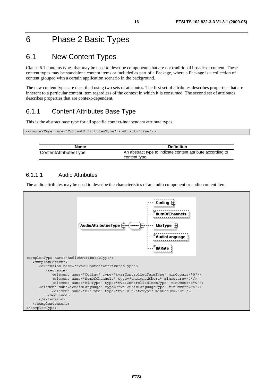# 6 Phase 2 Basic Types

# 6.1 New Content Types

Clause 6.1 contains types that may be used to describe components that are not traditional broadcast content. These content types may be standalone content items or included as part of a Package, where a Package is a collection of content grouped with a certain application scenario in the background.

The new content types are described using two sets of attributes. The first set of attributes describes properties that are inherent to a particular content item regardless of the context in which it is consumed. The second set of attributes describes properties that are context-dependent.

### 6.1.1 Content Attributes Base Type

This is the abstract base type for all specific context-independent attribute types.

| <complextype abstract="true" name="ContentAttributesType"></complextype> |  |
|--------------------------------------------------------------------------|--|
|                                                                          |  |

| Name                  | <b>Definition</b>                                                            |
|-----------------------|------------------------------------------------------------------------------|
| ContentAttributesType | An abstract type to indicate content attribute according to<br>content type. |

#### 6.1.1.1 Audio Attributes

 $\overline{\phantom{a}}$ 

The audio attributes may be used to describe the characteristics of an audio component or audio content item.

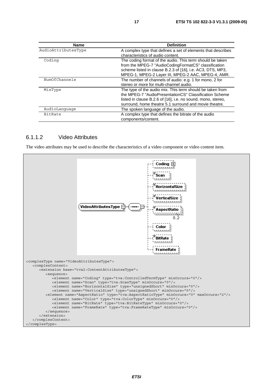| <b>Name</b>         | <b>Definition</b>                                                                                                                                                                                                                             |
|---------------------|-----------------------------------------------------------------------------------------------------------------------------------------------------------------------------------------------------------------------------------------------|
| AudioAttributesType | A complex type that defines a set of elements that describes<br>characteristics of audio content.                                                                                                                                             |
| Coding              | The coding format of the audio. This term should be taken<br>from the MPEG-7 "AudioCodingFormatCS" classification<br>scheme listed in clause B.2.3 of [16], i.e. AC3, DTS, MP3,<br>MPEG-1, MPEG-2 Layer III, MPEG-2 AAC, MPEG-4, AMR.         |
| NumOfChannels       | The number of channels of audio: e.g. 1 for mono, 2 for<br>stereo or more for multi-channel audio.                                                                                                                                            |
| MixType             | The type of the audio mix. This term should be taken from<br>the MPEG-7 "AudioPresentationCS" Classification Scheme<br>listed in clause B.2.6 of [16], i.e. no sound, mono, stereo,<br>surround, home theatre 5.1 surround and movie theatre. |
| AudioLanguage       | The spoken language of the audio.                                                                                                                                                                                                             |
| <b>BitRate</b>      | A complex type that defines the bitrate of the audio<br>components/content.                                                                                                                                                                   |

#### 6.1.1.2 Video Attributes

The video attributes may be used to describe the characteristics of a video component or video content item.

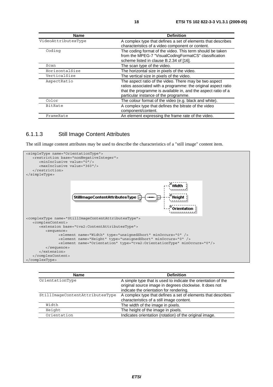| Name                | <b>Definition</b>                                                                                                                                                                                                                 |
|---------------------|-----------------------------------------------------------------------------------------------------------------------------------------------------------------------------------------------------------------------------------|
| VideoAttributesType | A complex type that defines a set of elements that describes<br>characteristics of a video component or content.                                                                                                                  |
| Coding              | The coding format of the video. This term should be taken<br>from the MPEG-7 "VisualCodingFormatCS" classification<br>scheme listed in clause B.2.34 of [16].                                                                     |
| Scan                | The scan type of the video.                                                                                                                                                                                                       |
| HorizontalSize      | The horizontal size in pixels of the video.                                                                                                                                                                                       |
| VerticalSize        | The vertical size in pixels of the video.                                                                                                                                                                                         |
| AspectRatio         | The aspect ratio of the video. There may be two aspect<br>ratios associated with a programme: the original aspect ratio<br>that the programme is available in, and the aspect ratio of a<br>particular instance of the programme. |
| Color               | The colour format of the video (e.g. black and white).                                                                                                                                                                            |
| BitRate             | A complex type that defines the bitrate of the video<br>component/content.                                                                                                                                                        |
| FrameRate           | An element expressing the frame rate of the video.                                                                                                                                                                                |

#### 6.1.1.3 Still Image Content Attributes

The still image content attributes may be used to describe the characteristics of a "still image" content item.



| <b>Name</b>                     | <b>Definition</b>                                                                                                                                                   |
|---------------------------------|---------------------------------------------------------------------------------------------------------------------------------------------------------------------|
| OrientationType                 | A simple type that is used to indicate the orientation of the<br>original source image in degrees clockwise. It does not<br>indicate the orientation for rendering. |
| StillImageContentAttributesType | A complex type that defines a set of elements that describes<br>characteristics of a still image content.                                                           |
| Width                           | The width of the image in pixels.                                                                                                                                   |
| Height                          | The height of the image in pixels.                                                                                                                                  |
| Orientation                     | Indicates orientation (rotation) of the original image.                                                                                                             |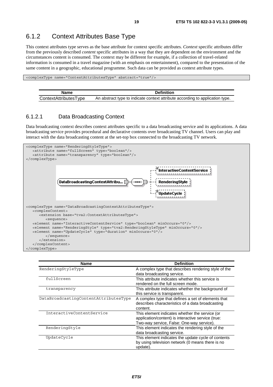### 6.1.2 Context Attributes Base Type

This context attributes type serves as the base attribute for context specific attributes. *Context* specific attributes differ from the previously described *content* specific attributes in a way that they are dependent on the environment and the circumstances content is consumed. The context may be different for example, if a collection of travel-related information is consumed in a travel magazine (with an emphasis on entertainment), compared to the presentation of the same content in a geographic, educational programme. Such data can be provided as context attribute types.

<complexType name="ContextAttributesType" abstract="true"/>

| Name                  | <b>Definition</b>                                                             |
|-----------------------|-------------------------------------------------------------------------------|
| ContextAttributesType | An abstract type to indicate context attribute according to application type. |

#### 6.1.2.1 Data Broadcasting Context

Data broadcasting context describes context attributes specific to a data broadcasting service and its applications. A data broadcasting service provides procedural and declarative contents over broadcasting TV channel. Users can play and interact with the data broadcasting content at the set-top box connected to the broadcasting TV network.



| <b>Name</b>                           | <b>Definition</b>                                                                                                                                 |
|---------------------------------------|---------------------------------------------------------------------------------------------------------------------------------------------------|
| RenderingStyleType                    | A complex type that describes rendering style of the<br>data broadcasting service.                                                                |
| fullScreen                            | This attribute indicates whether this service is<br>rendered on the full screen mode.                                                             |
| transparency                          | This attribute indicates whether the background of<br>this service is transparent.                                                                |
| DataBroadcastingContentAttributesType | A complex type that defines a set of elements that<br>describes characteristics of a data broadcasting<br>content.                                |
| InteractiveContentService             | This element indicates whether the service (or<br>application/content) is interactive service (true:<br>Two-way service, False: One-way service). |
| RenderingStyle                        | This element indicates the rendering style of the<br>data broadcasting service.                                                                   |
| UpdateCycle                           | This element indicates the update cycle of contents<br>by using television network (0 means there is no<br>update).                               |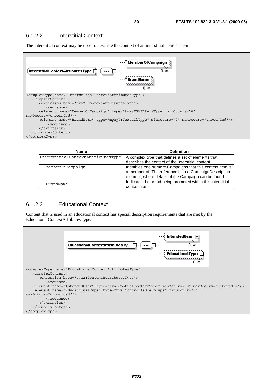The interstitial context may be used to describe the context of an interstitial content item.



| <b>Name</b>                       | <b>Definition</b>                                                                                        |
|-----------------------------------|----------------------------------------------------------------------------------------------------------|
| InterstitialContextAttributesType | A complex type that defines a set of elements that<br>describes the context of the Interstitial content. |
|                                   |                                                                                                          |
| MemberOfCampaign                  | Identifies one or more Campaigns that this content item is                                               |
|                                   | a member of. The reference is to a CampaignDescription                                                   |
|                                   | element, where details of the Campaign can be found.                                                     |
| BrandName                         | Indicates the brand being promoted within this interstitial                                              |
|                                   | content item.                                                                                            |

#### 6.1.2.3 Educational Context

Content that is used in an educational context has special description requirements that are met by the EducationalContextAttributesType.

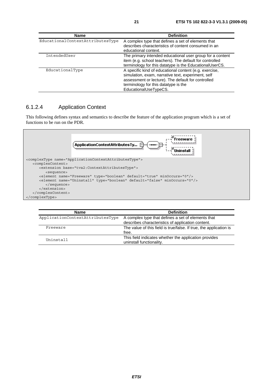| <b>Name</b>                      | <b>Definition</b>                                                                                                                                                                                                                   |
|----------------------------------|-------------------------------------------------------------------------------------------------------------------------------------------------------------------------------------------------------------------------------------|
| EducationalContextAttributesType | A complex type that defines a set of elements that<br>describes characteristics of content consumed in an<br>educational context.                                                                                                   |
| IntendedUser                     | The primary intended educational user group for a content<br>item (e.g. school teachers). The default for controlled<br>terminology for this datatype is the EducationalUserCS.                                                     |
| EducationalType                  | A specific kind of educational content (e.g. exercise,<br>simulation, exam, narrative text, experiment, self<br>assessment or lecture). The default for controlled<br>terminology for this datatype is the<br>EducationalUseTypeCS. |

#### 6.1.2.4 Application Context

This following defines syntax and semantics to describe the feature of the application program which is a set of functions to be run on the PDR.



| <b>Name</b>                      | <b>Definition</b>                                                                 |
|----------------------------------|-----------------------------------------------------------------------------------|
| ApplicationContextAttributesType | A complex type that defines a set of elements that                                |
|                                  | describes characteristics of application content.                                 |
| Freeware                         | The value of this field is true/false. If true, the application is                |
|                                  | free.                                                                             |
| Uninstall                        | This field indicates whether the application provides<br>uninstall functionality. |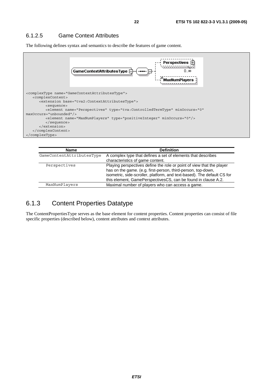#### 6.1.2.5 Game Context Attributes

The following defines syntax and semantics to describe the features of game content.



| <b>Name</b>               | <b>Definition</b>                                                                                                                                                                                                                                                                 |
|---------------------------|-----------------------------------------------------------------------------------------------------------------------------------------------------------------------------------------------------------------------------------------------------------------------------------|
| GameContentAttributesType | A complex type that defines a set of elements that describes<br>characteristics of game content.                                                                                                                                                                                  |
| Perspectives              | Playing perspectives define the role or point of view that the player<br>has on the game. (e.g. first-person, third-person, top-down,<br>isometric, side-scroller, platform, and text-based). The default CS for<br>this element, GamePerspectivesCS, can be found in clause A.2. |
| MaxNumPlayers             | Maximal number of players who can access a game.                                                                                                                                                                                                                                  |

### 6.1.3 Content Properties Datatype

The ContentPropertiesType serves as the base element for content properties. Content properties can consist of file specific properties (described below), content attributes and context attributes.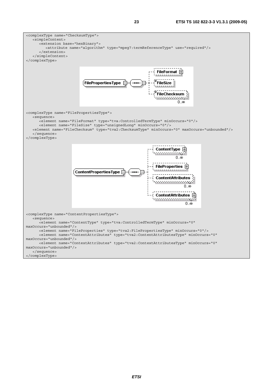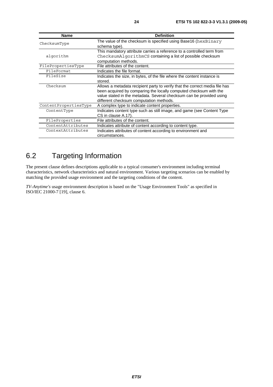| <b>Name</b>           | <b>Definition</b>                                                           |
|-----------------------|-----------------------------------------------------------------------------|
| ChecksumType          | The value of the checksum is specified using Base16 (hexBinary              |
|                       | schema type).                                                               |
|                       | This mandatory attribute carries a reference to a controlled term from      |
| algorithm             | ChecksumAlgorithmCS containing a list of possible checksum                  |
|                       | computation methods.                                                        |
| FilePropertiesType    | File attributes of the content.                                             |
| FileFormat            | Indicates the file format.                                                  |
| FileSize              | Indicates the size, in bytes, of the file where the content instance is     |
|                       | stored.                                                                     |
| Checksum              | Allows a metadata recipient party to verify that the correct media file has |
|                       | been acquired by comparing the locally computed checksum with the           |
|                       | value stated in the metadata. Several checksum can be provided using        |
|                       | different checksum computation methods.                                     |
| ContentPropertiesType | A complex type to indicate content properties.                              |
| ContentType           | Indicates content type such as still image, and game (see Content Type      |
|                       | CS in clause A.17).                                                         |
| FileProperties        | File attributes of the content.                                             |
| ContentAttributes     | Indicates attribute of content according to content type.                   |
| ContextAttributes     | Indicates attributes of content according to environment and                |
|                       | circumstances.                                                              |

# 6.2 Targeting Information

The present clause defines descriptions applicable to a typical consumer's environment including terminal characteristics, network characteristics and natural environment. Various targeting scenarios can be enabled by matching the provided usage environment and the targeting conditions of the content.

*TV-Anytime's* usage environment description is based on the "Usage Environment Tools" as specified in ISO/IEC 21000-7 [19], clause 6.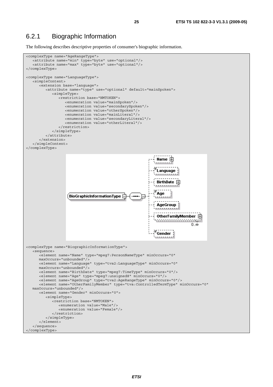#### 6.2.1 Biographic Information

The following describes descriptive properties of consumer's biographic information.

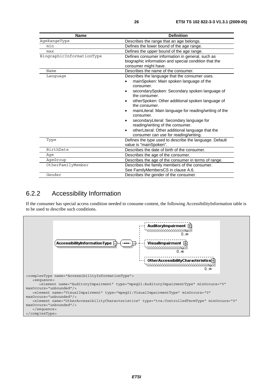| Name                      | <b>Definition</b>                                                                                                                                                                                                                                                                                                                                                                                                                                                                                                                       |  |
|---------------------------|-----------------------------------------------------------------------------------------------------------------------------------------------------------------------------------------------------------------------------------------------------------------------------------------------------------------------------------------------------------------------------------------------------------------------------------------------------------------------------------------------------------------------------------------|--|
| AgeRangeType              | Describes the range that an age belongs.                                                                                                                                                                                                                                                                                                                                                                                                                                                                                                |  |
| min                       | Defines the lower bound of the age range.                                                                                                                                                                                                                                                                                                                                                                                                                                                                                               |  |
| max                       | Defines the upper bound of the age range.                                                                                                                                                                                                                                                                                                                                                                                                                                                                                               |  |
| BiographicInformationType | Defines consumer information in general, such as<br>biographic information and special condition that the<br>consumer might have.                                                                                                                                                                                                                                                                                                                                                                                                       |  |
| Name                      | Describes the name of the consumer.                                                                                                                                                                                                                                                                                                                                                                                                                                                                                                     |  |
| Language                  | Describes the language that the consumer uses.<br>mainSpoken: Main spoken language of the<br>consumer.<br>secondarySpoken: Secondary spoken language of<br>the consumer.<br>otherSpoken: Other additional spoken language of<br>the consumer.<br>mainLiteral: Main language for reading/writing of the<br>$\bullet$<br>consumer.<br>secondaryLiteral: Secondary language for<br>$\bullet$<br>reading/writing of the consumer.<br>otherLiteral: Other additional language that the<br>$\bullet$<br>consumer can use for reading/writing. |  |
| Type                      | Defines the type used to describe the language. Default<br>value is "mainSpoken".                                                                                                                                                                                                                                                                                                                                                                                                                                                       |  |
| BirthDate                 | Describes the date of birth of the consumer.                                                                                                                                                                                                                                                                                                                                                                                                                                                                                            |  |
| Aqe                       | Describes the age of the consumer.                                                                                                                                                                                                                                                                                                                                                                                                                                                                                                      |  |
| AgeGroup                  | Describes the age of the consumer in terms of range.                                                                                                                                                                                                                                                                                                                                                                                                                                                                                    |  |
| OtherFamilyMember         | Describes the family members of the consumer.<br>See FamilyMembersCS in clause A.6.                                                                                                                                                                                                                                                                                                                                                                                                                                                     |  |
| Gender                    | Describes the gender of the consumer.                                                                                                                                                                                                                                                                                                                                                                                                                                                                                                   |  |

### 6.2.2 Accessibility Information

If the consumer has special access condition needed to consume content, the following AccessibilityInformation table is to be used to describe such conditions.

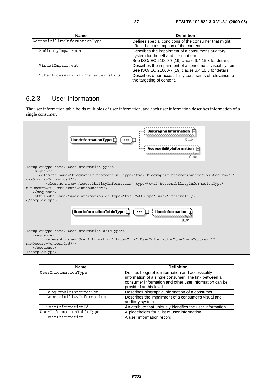| <b>Name</b>                       | <b>Definition</b>                                         |
|-----------------------------------|-----------------------------------------------------------|
| AccessibilityInformationType      | Defines special conditions of the consumer that might     |
|                                   | affect the consumption of the content.                    |
| AuditoryImpairment                | Describes the impairment of a consumer's auditory         |
|                                   | system for the left and the right ear.                    |
|                                   | See ISO/IEC 21000-7 [19] clause 6.4.15.3 for details.     |
| VisualImpairment                  | Describes the impairment of a consumer's visual system.   |
|                                   | See ISO/IEC 21000-7 [19] clause 6.4.16.3 for details.     |
| OtherAccessibilityCharacteristics | Describes other accessibility constraints of relevance to |
|                                   | the targeting of content.                                 |

### 6.2.3 User Information

The user information table holds multiples of user information, and each user information describes information of a single consumer.



| <b>Name</b>              | <b>Definition</b>                                                                                                                                                                             |
|--------------------------|-----------------------------------------------------------------------------------------------------------------------------------------------------------------------------------------------|
| UserInformationType      | Defines biographic information and accessibility<br>information of a single consumer. The link between a<br>consumer information and other user information can be<br>provided at this level. |
| BiographicInformation    | Describes biographic information of a consumer.                                                                                                                                               |
| AccessibilityInformation | Describes the impairment of a consumer's visual and<br>auditory system.                                                                                                                       |
| userInformationId        | An attribute that uniquely identifies the user information.                                                                                                                                   |
| UserInformationTableType | A placeholder for a list of user information.                                                                                                                                                 |
| UserInformation          | A user information record.                                                                                                                                                                    |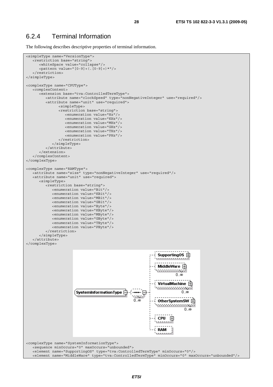### 6.2.4 Terminal Information

The following describes descriptive properties of terminal information.

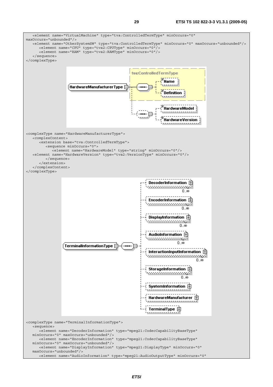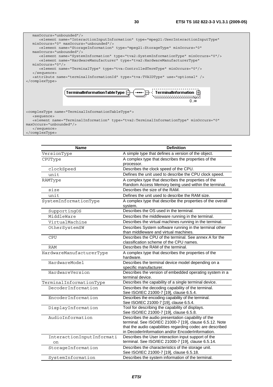

 <element name="TerminalInformation" type="tva2:TerminalInformationType" minOccurs="0" maxOccurs="unbounded"/> </sequence>

</complexType>

| <b>Definition</b><br><b>Name</b> |                                                                                                  |
|----------------------------------|--------------------------------------------------------------------------------------------------|
| VersionType                      | A simple type that defines a version of the object.                                              |
| CPUType                          | A complex type that describes the properties of the                                              |
|                                  | processor.                                                                                       |
| clockSpeed                       | Describes the clock speed of the CPU.                                                            |
| unit                             | Defines the unit used to describe the CPU clock speed.                                           |
| RAMType                          | A complex type that describes the properties of the                                              |
|                                  | Random Access Memory being used within the terminal.                                             |
| size                             | Describes the size of the RAM.                                                                   |
| unit                             | Defines the unit used to describe the RAM size.                                                  |
| SystemInformationType            | A complex type that describe the properties of the overall<br>system.                            |
| SupportingOS                     | Describes the OS used in the terminal.                                                           |
| MiddleWare                       | Describes the middleware running in the terminal.                                                |
| VirtualMachine                   | Describes the virtual machines running in the terminal.                                          |
| OtherSystemSW                    | Describes System software running in the terminal other<br>than middleware and virtual machines. |
| <b>CPU</b>                       | Describes the CPU of the terminal. See annex A for the                                           |
|                                  | classification scheme of the CPU names.                                                          |
| <b>RAM</b>                       | Describes the RAM of the terminal.                                                               |
| HardwareManufacturerType         | A complex type that describes the properties of the                                              |
|                                  | hardware.                                                                                        |
| HardwareModel                    | Describes the terminal device model depending on a                                               |
|                                  | specific manufacturer.                                                                           |
| HardwareVersion                  | Describes the version of embedded operating system in a<br>terminal device.                      |
| TerminalInformationType          | Describes the capability of a single terminal device.                                            |
| DecoderInformation               | Describes the decoding capability of the terminal.<br>See ISO/IEC 21000-7 [19], clause 6.5.4.    |
| EncoderInformation               | Describes the encoding capability of the terminal.                                               |
|                                  | See ISO/IEC 21000-7 [19], clause 6.5.4.                                                          |
| DisplayInformation               | Tool for describing the capability of displays.<br>See ISO/IEC 21000-7 [19], clause 6.5.8.       |
| AudioInformation                 | Describes the audio presentation capability of the                                               |
|                                  | terminal. See ISO/IEC 21000-7 [19], clause 6.5.12. Note                                          |
|                                  | that the audio capabilities regarding codec are described                                        |
|                                  | in DecoderInformation and/or EncoderInformation.                                                 |
| InteractionInputInformati        | Describes the User interaction input support of the                                              |
| on                               | terminal. See ISO/IEC 21000-7 [19], clause 6.5.14.                                               |
| StorageInformation               | Describes the characteristics of the storage unit.<br>See ISO/IEC 21000-7 [19], clause 6.5.18.   |
| SystemInformation                | Describes the system information of the terminal.                                                |
|                                  |                                                                                                  |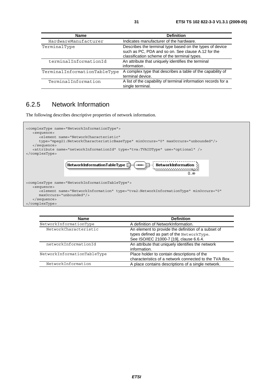| <b>Name</b>                  | <b>Definition</b>                                                                                                                                              |
|------------------------------|----------------------------------------------------------------------------------------------------------------------------------------------------------------|
| HardwareManufacturer         | Indicates manufacturer of the hardware.                                                                                                                        |
| TerminalType                 | Describes the terminal type based on the types of device<br>such as PC, PDA and so on. See clause A.12 for the<br>classification scheme of the terminal types. |
| terminalInformationId        | An attribute that uniquely identifies the terminal<br>information.                                                                                             |
| TerminalInformationTableType | A complex type that describes a table of the capability of<br>terminal device.                                                                                 |
| TerminalInformation          | A list of the capability of terminal information records for a<br>single terminal.                                                                             |

### 6.2.5 Network Information

The following describes descriptive properties of network information.



| <b>Name</b>                 | <b>Definition</b>                                      |
|-----------------------------|--------------------------------------------------------|
| NetworkInformationType      | A definition of NetworkInformation.                    |
| NetworkCharacteristic       | An element to provide the definition of a subset of    |
|                             | types defined as part of the NetworkType.              |
|                             | See ISO/IEC 21000-7 [19], clause 6.6.4.                |
| networkInformationId        | An attribute that uniquely identifies the network      |
|                             | information.                                           |
| NetworkInformationTableType | Place holder to contain descriptions of the            |
|                             | characteristics of a network connected to the TVA Box. |
| NetworkInformation          | A place contains descriptions of a single network.     |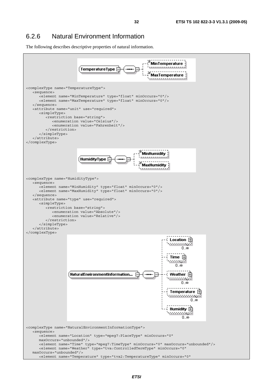### 6.2.6 Natural Environment Information

The following describes descriptive properties of natural information.

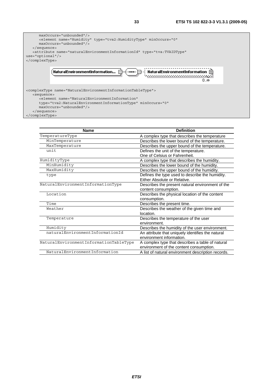

| <b>Name</b>                            | <b>Definition</b>                                  |
|----------------------------------------|----------------------------------------------------|
| TemperatureType                        | A complex type that describes the temperature      |
| MinTemperature                         | Describes the lower bound of the temperature.      |
| MaxTemperature                         | Describes the upper bound of the temperature.      |
| unit                                   | Defines the unit of the temperature.               |
|                                        | One of Celsius or Fahrenheit.                      |
| HumidityType                           | A complex type that describes the humidity.        |
| MinHumidity                            | Describes the lower bound of the humidity.         |
| MaxHumidity                            | Describes the upper bound of the humidity.         |
| type                                   | Defines the type used to describe the humidity.    |
|                                        | Either Absolute or Relative.                       |
| NaturalEnvironmentInformationType      | Describes the present natural environment of the   |
|                                        | content consumption.                               |
| Location                               | Describes the physical location of the content     |
|                                        | consumption.                                       |
| Time                                   | Describes the present time.                        |
| Weather                                | Describes the weather of the given time and        |
|                                        | location.                                          |
| Temperature                            | Describes the temperature of the user              |
|                                        | environment.                                       |
| Humidity                               | Describes the humidity of the user environment.    |
| naturalEnvironmentInformationId        | An attribute that uniquely identifies the natural  |
|                                        | environment information.                           |
| NaturalEnvironmentInformationTableType | A complex type that describes a table of natural   |
|                                        | environment of the content consumption.            |
| NaturalEnvironmentInformation          | A list of natural environment description records. |
|                                        |                                                    |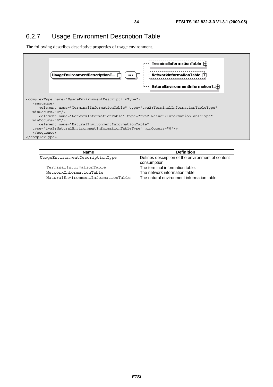### 6.2.7 Usage Environment Description Table

The following describes descriptive properties of usage environment.



| <b>Name</b>                        | <b>Definition</b>                                                 |
|------------------------------------|-------------------------------------------------------------------|
| UsaqeEnvironmentDescriptionType    | Defines description of the environment of content<br>consumption. |
| TerminalInformationTable           | The terminal information table.                                   |
| NetworkInformationTable            | The network information table.                                    |
| NaturalEnvironmentInformationTable | The natural environment information table.                        |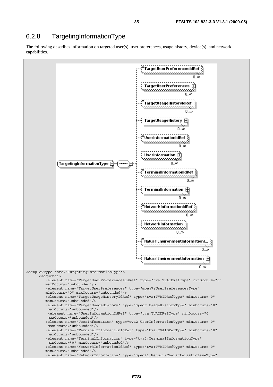### 6.2.8 TargetingInformationType

The following describes information on targeted user(s), user preferences, usage history, device(s), and network capabilities.

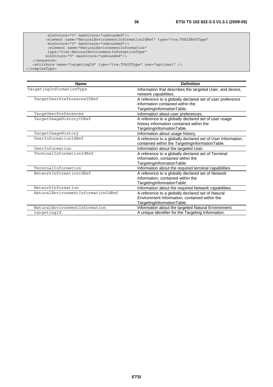```
 minOccurs="0" maxOccurs="unbounded"/> 
         <element name="NaturalEnvironmentInformationIdRef" type="tva:TVAIDRefType" 
          minOccurs="0" maxOccurs="unbounded"/> 
          <element name="NaturalEnvironmentInformation" 
 type="tva2:NaturalEnvironmentInformationType" 
 minOccurs="0" maxOccurs="unbounded"/> 
   </sequence> 
   <attribute name="targetingId" type="tva:TVAIDType" use="optional" /> 
</complexType>
```

| <b>Name</b>                        | <b>Definition</b>                                                                                                                |
|------------------------------------|----------------------------------------------------------------------------------------------------------------------------------|
| TargetingInformationType           | Information that describes the targeted User, and device,<br>network capabilities.                                               |
| TargetUserPreferencesIDRef         | A reference to a globally declared set of user preference<br>information contained within the<br>TargetingInformationTable.      |
| TargeUserPreferences               | Information about user preferences.                                                                                              |
| TargetUsageHistoryIDRef            | A reference to a globally declared set of user usage<br>history information contained within the<br>TargetingInformationTable.   |
| TargetUsageHistory                 | Information about usage history.                                                                                                 |
| UserInformationIdRef               | A reference to a globally declared set of User Information,<br>contained within the TargetingInformationTable.                   |
| UserInformation                    | Information about the targeted User.                                                                                             |
| TerminalInformationIdRef           | A reference to a globally declared set of Terminal<br>Information, contained within the<br>TargetingInformationTable.            |
| TerminalInformation                | Information about the required terminal capabilities.                                                                            |
| NetworkInformationIdRef            | A reference to a globally declared set of Network<br>Information, contained within the<br>TargetingInformationTable.             |
| NetworkInformation                 | Information about the required Network capabilities.                                                                             |
| NaturalEnvironmentInformationIdRef | A reference to a globally declared set of Natural<br>Environment Information, contained within the<br>TargetingInformationTable. |
| NaturalEnvironmentInformation      | Information about the targeted Natural Environment.                                                                              |
| targetingId                        | A unique identifier for the Targeting Information.                                                                               |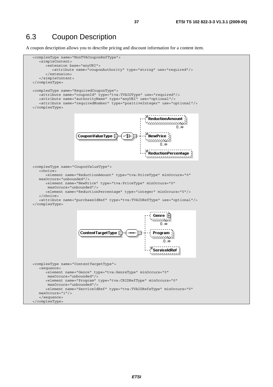#### 6.3 Coupon Description

A coupon description allows you to describe pricing and discount information for a content item.

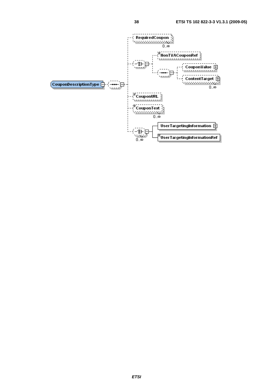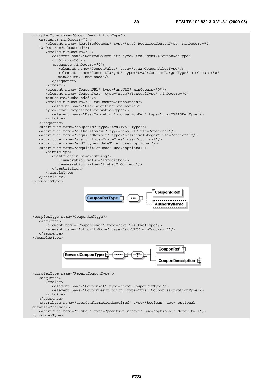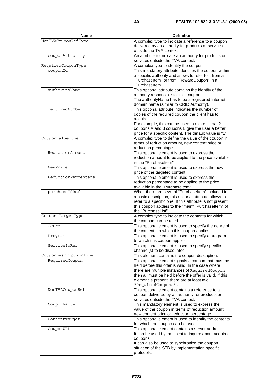| <b>Name</b>           | <b>Definition</b>                                                                                              |
|-----------------------|----------------------------------------------------------------------------------------------------------------|
| NonTVACouponRefType   | A complex type to indicate a reference to a coupon                                                             |
|                       | delivered by an authority for products or services                                                             |
|                       | outside the TVA context.                                                                                       |
| couponAuthority       | An attribute to indicate an authority for products or                                                          |
|                       | services outside the TVA context.                                                                              |
| RequiredCouponType    | A complex type to identify the coupon.                                                                         |
| couponId              | This mandatory attribute identifies the coupon within                                                          |
|                       | a specific authority and allows to refer to it from a                                                          |
|                       | "PurchaseItem" or from "RewardCoupon" in a                                                                     |
|                       | "Purchaseltem".                                                                                                |
| authorityName         | This optional attribute contains the identity of the                                                           |
|                       | authority responsible for this coupon.                                                                         |
|                       | The authority Name has to be a registered Internet                                                             |
|                       | domain name (similar to CRID Authority).                                                                       |
| requiredNumber        | This optional attribute indicates the number of                                                                |
|                       | copies of the required coupon the client has to                                                                |
|                       | acquire.                                                                                                       |
|                       | For example, this can be used to express that 2                                                                |
|                       | coupons A and 3 coupons B give the user a better                                                               |
| CouponValueType       | price for a specific content. The default value is "1".<br>A complex type to define the value of the coupon in |
|                       | terms of reduction amount, new content price or                                                                |
|                       | reduction percentage.                                                                                          |
| ReductionAmount       | This optional element is used to express the                                                                   |
|                       | reduction amount to be applied to the price available                                                          |
|                       | in the "Purchaseltem".                                                                                         |
| NewPrice              | This optional element is used to express the new                                                               |
|                       | price of the targeted content.                                                                                 |
| ReductionPercentage   | This optional element is used to express the                                                                   |
|                       | reduction percentage to be applied to the price                                                                |
|                       | available in the "Purchaseltem".                                                                               |
| purchaseIdRef         | When there are several "Purchaseltem" included in                                                              |
|                       | a basic description, this optional attribute allows to                                                         |
|                       | refer to a specific one. If this attribute is not present,                                                     |
|                       | this coupon applies to the "main" "Purchaseltem" of                                                            |
|                       | the "PurchaseList".                                                                                            |
| ContentTargetType     | A complex type to indicate the contents for which                                                              |
|                       | the coupon can be used.                                                                                        |
| Genre                 | This optional element is used to specify the genre of                                                          |
|                       | the contents to which this coupon applies.<br>This optional element is used to specify a program               |
| Program               |                                                                                                                |
| ServiceIdRef          | to which this coupon applies.<br>This optional element is used to specify specific                             |
|                       | channel(s) to be discounted.                                                                                   |
| CouponDescriptionType | This element contains the coupon description.                                                                  |
| RequiredCoupon        | This optional element signals a coupon that must be                                                            |
|                       | held before this offer is valid. In the case where                                                             |
|                       | there are multiple instances of RequiredCoupon                                                                 |
|                       | then all must be held before the offer is valid. If this                                                       |
|                       | element is present, there are at least two                                                                     |
|                       | "RequiredCoupons".                                                                                             |
| NonTVACouponRef       | This optional element contains a reference to a                                                                |
|                       | coupon delivered by an authority for products or                                                               |
|                       | services outside the TVA context.                                                                              |
| CouponValue           | This mandatory element is used to express the                                                                  |
|                       | value of the coupon in terms of reduction amount,                                                              |
|                       | new content price or reduction percentage.                                                                     |
| ContentTarget         | This optional element is used to identify the contents                                                         |
|                       | for which the coupon can be used.                                                                              |
| CouponURL             | This optional element contains a server address.                                                               |
|                       | It can be used by the client to inquire about acquired                                                         |
|                       | coupons.                                                                                                       |
|                       | It can also be used to synchronize the coupon                                                                  |
|                       | situation of the STB by implementation specific                                                                |
|                       | protocols.                                                                                                     |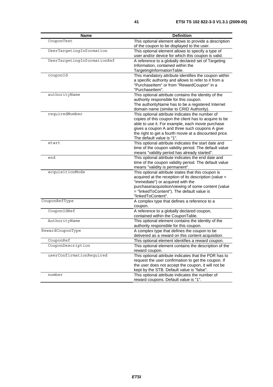| <b>Name</b>                 | <b>Definition</b>                                                                                              |
|-----------------------------|----------------------------------------------------------------------------------------------------------------|
| CouponText                  | This optional element allows to provide a description                                                          |
|                             | of the coupon to be displayed to the user.                                                                     |
| UserTargetingInformation    | This optional element allows to specify a type of                                                              |
|                             | user and/or device for which this coupon is valid.                                                             |
| UserTargetingInformationRef | A reference to a globally declared set of Targeting                                                            |
|                             | Information, contained within the                                                                              |
|                             | TargetingInformationTable.                                                                                     |
| couponId                    | This mandatory attribute identifies the coupon within<br>a specific authority and allows to refer to it from a |
|                             | "PurchaseItem" or from "RewardCoupon" in a                                                                     |
|                             | "Purchaseltem".                                                                                                |
| authorityName               | This optional attribute contains the identity of the                                                           |
|                             | authority responsible for this coupon.                                                                         |
|                             | The authorityName has to be a registered Internet                                                              |
|                             | domain name (similar to CRID Authority).                                                                       |
| requiredNumber              | This optional attribute indicates the number of                                                                |
|                             | copies of this coupon the client has to acquire to be                                                          |
|                             | able to use it. For example, each movie purchase                                                               |
|                             | gives a coupon A and three such coupons A give                                                                 |
|                             | the right to get a fourth movie at a discounted price.                                                         |
| start                       | The default value is "1".                                                                                      |
|                             | This optional attribute indicates the start date and<br>time of the coupon validity period. The default value  |
|                             | means "validity period has already started".                                                                   |
| end                         | This optional attribute indicates the end date and                                                             |
|                             | time of the coupon validity period. The default value                                                          |
|                             | means "validity is permanent".                                                                                 |
| acquisitionMode             | This optional attribute states that this coupon is                                                             |
|                             | acquired at the reception of its description (value =                                                          |
|                             | "immediate") or acquired with the                                                                              |
|                             | purchase/acquisition/viewing of some content (value                                                            |
|                             | = "linkedToContent"). The default value is                                                                     |
|                             | "linkedToContent".                                                                                             |
| CouponRefType               | A complex type that defines a reference to a<br>coupon.                                                        |
| CouponIdRef                 | A reference to a globally declared coupon,                                                                     |
|                             | contained within the CouponTable.                                                                              |
| AuthorityName               | This optional element contains the identity of the                                                             |
|                             | authority responsible for this coupon.                                                                         |
| RewardCouponType            | A complex type that defines the coupon to be                                                                   |
|                             | delivered as a reward on this content acquisition.                                                             |
| CouponRef                   | This optional element identifies a reward coupon.                                                              |
| CouponDescription           | This optional element contains the description of the                                                          |
|                             | reward coupon.                                                                                                 |
| userConfirmationRequired    | This optional attribute indicates that the PDR has to                                                          |
|                             | request the user confirmation to get the coupon. If                                                            |
|                             | the user does not accept the coupon, it will not be                                                            |
|                             | kept by the STB. Default value is "false".                                                                     |
| number                      | This optional attribute indicates the number of                                                                |
|                             | reward coupons. Default value is "1".                                                                          |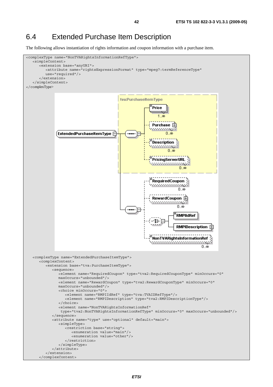## 6.4 Extended Purchase Item Description

The following allows instantiation of rights information and coupon information with a purchase item.

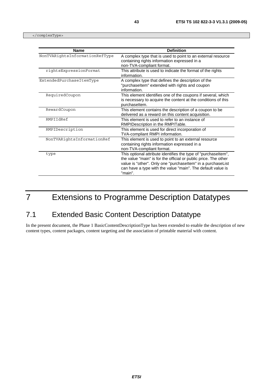</complexType>

| <b>Name</b>                    | <b>Definition</b>                                                                                                                                                                                                                                                          |
|--------------------------------|----------------------------------------------------------------------------------------------------------------------------------------------------------------------------------------------------------------------------------------------------------------------------|
| NonTVARightsInformationRefType | A complex type that is used to point to an external resource<br>containing rights information expressed in a<br>non-TVA-compliant format.                                                                                                                                  |
| rightsExpressionFormat         | This attribute is used to indicate the format of the rights<br>information.                                                                                                                                                                                                |
| ExtendedPurchaseItemType       | A complex type that defines the description of the<br>"purchaseltem" extended with rights and coupon<br>information.                                                                                                                                                       |
| RequiredCoupon                 | This element identifies one of the coupons if several, which<br>is necessary to acquire the content at the conditions of this<br>purchaseltem.                                                                                                                             |
| RewardCoupon                   | This element contains the description of a coupon to be<br>delivered as a reward on this content acquisition.                                                                                                                                                              |
| RMPIIdRef                      | This element is used to refer to an instance of<br>RMPIDescription in the RMPITable.                                                                                                                                                                                       |
| RMPIDescription                | This element is used for direct incorporation of<br>TVA-compliant RMPI information.                                                                                                                                                                                        |
| NonTVARightsInformationRef     | This element is used to point to an external resource<br>containing rights information expressed in a<br>non-TVA-compliant format.                                                                                                                                         |
| type                           | This optional attribute identifies the type of "purchaseltem",<br>the value "main" is for the official or public price. The other<br>value is "other". Only one "purchaseltem" in a purchaseList<br>can have a type with the value "main". The default value is<br>"main". |

# 7 Extensions to Programme Description Datatypes

# 7.1 Extended Basic Content Description Datatype

In the present document, the Phase 1 BasicContentDescriptionType has been extended to enable the description of new content types, content packages, content targeting and the association of printable material with content.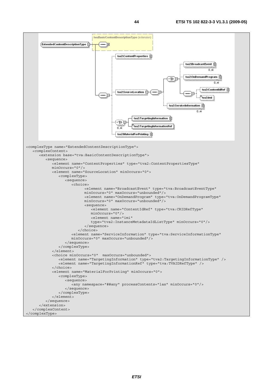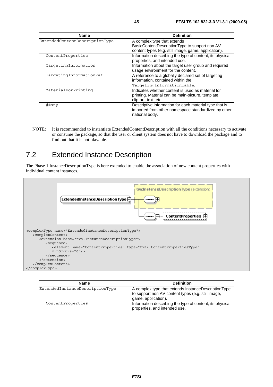| <b>Name</b>                    | <b>Definition</b>                                        |
|--------------------------------|----------------------------------------------------------|
| ExtendedContentDescriptionType | A complex type that extends                              |
|                                | BasicContentDescriptionType to support non AV            |
|                                | content types (e.g. still image, game, application).     |
| ContentProperties              | Information describing the type of content, its physical |
|                                | properties, and intended use.                            |
| TargetingInformation           | Information about the target user group and required     |
|                                | usage environment for the content.                       |
| TargetingInformationRef        | A reference to a globally declared set of targeting      |
|                                | information, contained within the                        |
|                                | TargetingInformationTable.                               |
| MaterialForPrinting            | Indicates whether content is used as material for        |
|                                | printing. Material can be main-picture, template,        |
|                                | clip-art, text, etc.                                     |
| ##any                          | Descriptive information for each material type that is   |
|                                | imported from other namespace standardized by other      |
|                                | national body.                                           |

NOTE: It is recommended to instantiate ExtendedContentDescription with all the conditions necessary to activate or consume the package, so that the user or client system does not have to download the package and to find out that it is not playable.

## 7.2 Extended Instance Description

The Phase 1 InstanceDescriptionType is here extended to enable the association of new content properties with individual content instances.



| Name                            | <b>Definition</b>                                                                                                                |
|---------------------------------|----------------------------------------------------------------------------------------------------------------------------------|
| ExtendedInstanceDescriptionType | A complex type that extends InstanceDescriptionType<br>to support non AV content types (e.g. still image,<br>game, application). |
| ContentProperties               | Information describing the type of content, its physical<br>properties, and intended use.                                        |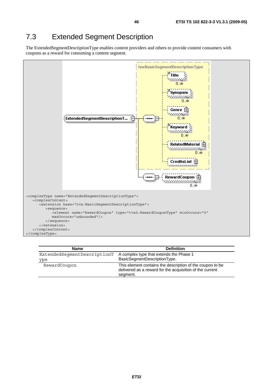## 7.3 Extended Segment Description

The ExtendedSegmentDescriptionType enables content providers and others to provide content consumers with coupons as a reward for consuming a content segment.



| <b>Name</b>                 | <b>Definition</b>                                                                                                                 |
|-----------------------------|-----------------------------------------------------------------------------------------------------------------------------------|
| ExtendedSeqmentDescriptionT | A complex type that extends the Phase 1                                                                                           |
| ype                         | BasicSegmentDescriptionType.                                                                                                      |
| RewardCoupon                | This element contains the description of the coupon to be<br>delivered as a reward for the acquisition of the current<br>segment. |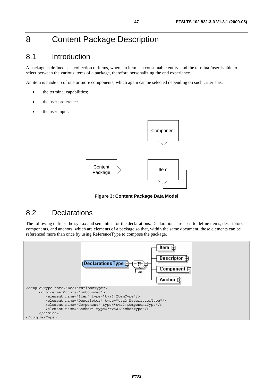## 8 Content Package Description

#### 8.1 Introduction

A package is defined as a collection of items, where an item is a consumable entity, and the terminal/user is able to select between the various items of a package, therefore personalizing the end experience.

An item is made up of one or more components, which again can be selected depending on such criteria as:

- the terminal capabilities;
- the user preferences;
- the user input.



**Figure 3: Content Package Data Model** 

#### 8.2 Declarations

The following defines the syntax and semantics for the declarations. Declarations are used to define items, descriptors, components, and anchors, which are elements of a package so that, within the same document, those elements can be referenced more than once by using ReferenceType to compose the package.

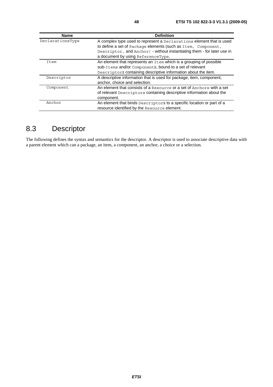| <b>Name</b>      | <b>Definition</b>                                                       |
|------------------|-------------------------------------------------------------------------|
| DeclarationsType | A complex type used to represent a Declarations element that is used    |
|                  | to define a set of Package elements (such as Item, Component,           |
|                  | Descriptor, and Anchor) - without instantiating them - for later use in |
|                  | a document by using ReferenceType.                                      |
| Item             | An element that represents an Item which is a grouping of possible      |
|                  | sub-Items and/or Components, bound to a set of relevant                 |
|                  | Descriptors containing descriptive information about the item.          |
| Descriptor       | A descriptive information that is used for package, item, component,    |
|                  | anchor, choice and selection.                                           |
| Component        | An element that consists of a Resource or a set of Anchors with a set   |
|                  | of relevant Descriptors containing descriptive information about the    |
|                  | component.                                                              |
| Anchor           | An element that binds Descriptors to a specific location or part of a   |
|                  | resource identified by the Resource element.                            |

# 8.3 Descriptor

The following defines the syntax and semantics for the descriptor. A descriptor is used to associate descriptive data with a parent element which can a package, an item, a component, an anchor, a choice or a selection.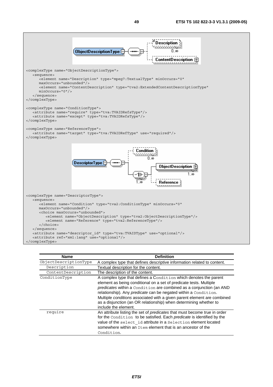

| <b>Name</b>           | <b>Definition</b>                                                                                                                                                                                                                                                                                                                                                                                                                                        |
|-----------------------|----------------------------------------------------------------------------------------------------------------------------------------------------------------------------------------------------------------------------------------------------------------------------------------------------------------------------------------------------------------------------------------------------------------------------------------------------------|
| ObjectDescriptionType | A complex type that defines descriptive information related to content.                                                                                                                                                                                                                                                                                                                                                                                  |
| Description           | Textual description for the content.                                                                                                                                                                                                                                                                                                                                                                                                                     |
| ContentDescription    | The description of the content.                                                                                                                                                                                                                                                                                                                                                                                                                          |
| ConditionType         | A complex type that defines a Condition which denotes the parent<br>element as being conditional on a set of predicate tests. Multiple<br>predicates within a Condition are combined as a conjunction (an AND<br>relationship). Any predicate can be negated within a Condition.<br>Multiple conditions associated with a given parent element are combined<br>as a disjunction (an OR relationship) when determining whether to<br>include the element. |
| require               | An attribute listing the set of predicates that must become true in order<br>for the Condition to be satisfied. Each predicate is identified by the<br>value of the select id attribute in a Selection element located<br>somewhere within an Item element that is an ancestor of the<br>Condition.                                                                                                                                                      |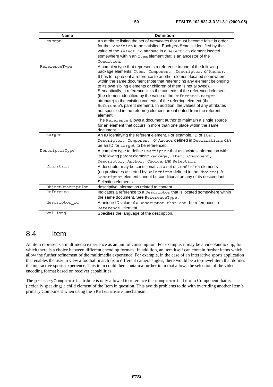| <b>Name</b>       | <b>Definition</b>                                                                                                                                                                                                                                                                                                                                                                                                                                                                                                                                                                                                                                                                                                                                                                                                                                                                             |
|-------------------|-----------------------------------------------------------------------------------------------------------------------------------------------------------------------------------------------------------------------------------------------------------------------------------------------------------------------------------------------------------------------------------------------------------------------------------------------------------------------------------------------------------------------------------------------------------------------------------------------------------------------------------------------------------------------------------------------------------------------------------------------------------------------------------------------------------------------------------------------------------------------------------------------|
| except            | An attribute listing the set of predicates that must become false in order<br>for the Condition to be satisfied. Each predicate is identified by the<br>value of the select id attribute in a Selection element located<br>somewhere within an Item element that is an ancestor of the<br>Condition.                                                                                                                                                                                                                                                                                                                                                                                                                                                                                                                                                                                          |
| ReferenceType     | A complex type that represents a reference to one of the following<br>package elements: Item, Component, Descriptor, or Anchor.<br>It has to represent a reference to another element located somewhere<br>within the same document (note that referencing any element belonging<br>to its own sibling elements or children of them is not allowed).<br>Semantically, a reference links the contents of the referenced element<br>(the element identified by the value of the Reference's target<br>attribute) to the existing contents of the referring element (the<br>Reference's parent element). In addition, the values of any attributes<br>not specified in the referring element are inherited from the referent<br>element.<br>The Reference allows a document author to maintain a single source<br>for an element that occurs in more than one place within the same<br>document. |
| target            | An ID identifying the referent element. For example, ID of Item,<br>Descriptor, Component, Or Anchor defined in Declarations can<br>be an ID for target to be referenced.                                                                                                                                                                                                                                                                                                                                                                                                                                                                                                                                                                                                                                                                                                                     |
| DescriptorType    | A complex type to define Descriptor that associates information with<br>its following parent element: Package, Item, Component,<br>Descriptor, Anchor, Choice, and Selection.                                                                                                                                                                                                                                                                                                                                                                                                                                                                                                                                                                                                                                                                                                                 |
| Condition         | A descriptor may be conditional via a set of Condition elements<br>(on predicates asserted by Selections defined in the Choices). A<br>Descriptor element cannot be conditional on any of its descendant<br>Selection elements.                                                                                                                                                                                                                                                                                                                                                                                                                                                                                                                                                                                                                                                               |
| ObjectDescription | descriptive information related to content.                                                                                                                                                                                                                                                                                                                                                                                                                                                                                                                                                                                                                                                                                                                                                                                                                                                   |
| Reference         | Indicates a reference to a Descriptor that is located somewhere within<br>the same document. See ReferenceType.                                                                                                                                                                                                                                                                                                                                                                                                                                                                                                                                                                                                                                                                                                                                                                               |
| descriptor id     | A unique ID value of a Descriptor that can be referenced in<br>Reference element.                                                                                                                                                                                                                                                                                                                                                                                                                                                                                                                                                                                                                                                                                                                                                                                                             |
| xml:lang          | Specifies the language of the description.                                                                                                                                                                                                                                                                                                                                                                                                                                                                                                                                                                                                                                                                                                                                                                                                                                                    |

#### 8.4 Item

An item represents a multimedia experience as an unit of consumption. For example, it may be a video/audio clip, for which there is a choice between different encoding formats. In addition, an item itself can contain further items which allow the further refinement of the multimedia experience. For example, in the case of an interactive sports application that enables the user to view a football match from different camera angles, there would be a top-level item that defines the interactive sports experience. This item could then contain a further item that allows the selection of the video encoding format based on receiver capabilities.

The primaryComponent attribute is only allowed to reference the component id of a Component that is (lexically speaking) a child element of the Item in question. This avoids problems to do with overriding another Item's primary Component when using the <Reference> mechanism.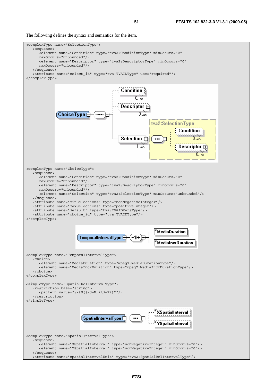The following defines the syntax and semantics for the item.

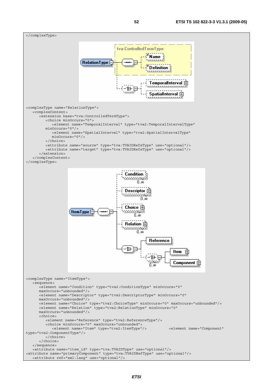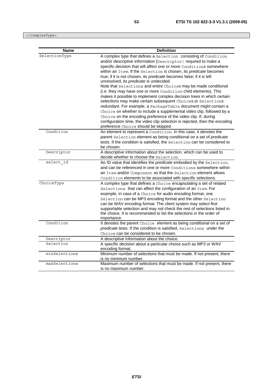</complexType>

| <b>Name</b>   | <b>Definition</b>                                                                                                                                                                                                                                                                                                                                                                                                                                                                                                                                                                                                                                                                                                                                                                                                                                                                                                                                                                                                       |
|---------------|-------------------------------------------------------------------------------------------------------------------------------------------------------------------------------------------------------------------------------------------------------------------------------------------------------------------------------------------------------------------------------------------------------------------------------------------------------------------------------------------------------------------------------------------------------------------------------------------------------------------------------------------------------------------------------------------------------------------------------------------------------------------------------------------------------------------------------------------------------------------------------------------------------------------------------------------------------------------------------------------------------------------------|
| SelectionType | A complex type that defines a Selection consisting of Condition<br>and/or descriptive information (Descriptor) required to make a<br>specific decision that will affect one or more Conditions somewhere<br>within an Item. If the Selection is chosen, its predicate becomes<br>true; if it is not chosen, its predicate becomes false; if it is left<br>unresolved, its predicate is undecided.<br>Note that Selections and entire Choices may be made conditional<br>(i.e. they may have one or more Condition child elements). This<br>makes it possible to implement complex decision trees in which certain<br>selections may make certain subsequent Choices or Selections<br>redundant. For example, a PackageTable document might contain a<br>Choice on whether to include a supplemental video clip, followed by a<br>Choice on the encoding preference of the video clip. If, during<br>configuration time, the video clip selection is rejected, then the encoding<br>preference Choice should be skipped. |
| Condition     | An element to represent a Condition. In this case, it denotes the<br>parent Selection element as being conditional on a set of predicate<br>tests. If the condition is satisfied, the Selection can be considered to<br>be chosen.                                                                                                                                                                                                                                                                                                                                                                                                                                                                                                                                                                                                                                                                                                                                                                                      |
| Descriptor    | A descriptive information about the selection, which can be used to<br>decide whether to choose the Selection.                                                                                                                                                                                                                                                                                                                                                                                                                                                                                                                                                                                                                                                                                                                                                                                                                                                                                                          |
| select id     | An ID value that identifies the predicate embodied by the Selection,<br>and can be referenced in one or more Conditions somewhere within<br>an Item and/or Component so that the Selection element allows<br>Condition elements to be associated with specific selections.                                                                                                                                                                                                                                                                                                                                                                                                                                                                                                                                                                                                                                                                                                                                              |
| ChoiceType    | A complex type that defines a Choice encapsulating a set of related<br>Selections that can affect the configuration of an Item. For<br>example, in case of a Choice for audio encoding format, one<br>Selection can be MP3 encoding format and the other Selection<br>can be WAV encoding format. The client system may select first<br>supportable selection and may not check the rest of selections listed in<br>the choice. It is recommended to list the selections in the order of<br>importance.                                                                                                                                                                                                                                                                                                                                                                                                                                                                                                                 |
| Condition     | It denotes the parent Choice element as being conditional on a set of<br>predicate tests. If the condition is satisfied, Selections under the<br>Choice can be considered to be chosen.                                                                                                                                                                                                                                                                                                                                                                                                                                                                                                                                                                                                                                                                                                                                                                                                                                 |
| Descriptor    | A descriptive information about the choice.                                                                                                                                                                                                                                                                                                                                                                                                                                                                                                                                                                                                                                                                                                                                                                                                                                                                                                                                                                             |
| Selection     | A specific decision about a particular choice such as MP3 or WAV<br>encoding format.                                                                                                                                                                                                                                                                                                                                                                                                                                                                                                                                                                                                                                                                                                                                                                                                                                                                                                                                    |
| minSelections | Minimum number of selections that must be made. If not present, there<br>is no minimum number.                                                                                                                                                                                                                                                                                                                                                                                                                                                                                                                                                                                                                                                                                                                                                                                                                                                                                                                          |
| maxSelections | Maximum number of selections that must be made. If not present, there<br>is no maximum number.                                                                                                                                                                                                                                                                                                                                                                                                                                                                                                                                                                                                                                                                                                                                                                                                                                                                                                                          |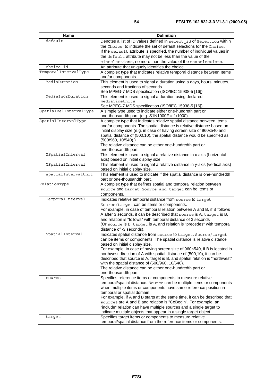| default<br>Denotes a list of ID values defined in select id of Selection within<br>the Choice to indicate the set of default selections for the Choice.<br>If the default attribute is specified, the number of individual values in<br>the default attribute may not be less than the value of the<br>minselections, no more than the value of the maxselections.<br>choice id<br>An attribute that uniquely identifies the choice.<br>TemporalIntervalType<br>A complex type that Indicates relative temporal distance between Items<br>and/or components.<br>MediaDuration<br>This element is used to signal a duration using a days, hours, minutes,<br>seconds and fractions of seconds.<br>See MPEG-7 MDS specification (ISO/IEC 15938-5 [16]).<br>MediaIncrDuration<br>This element is used to signal a duration using declared<br>mediaTimeUnits<br>See MPEG-7 MDS specification (ISO/IEC 15938-5 [16]).<br>SpatialRelIntervalType<br>A simple type used to indicate either one-hundreth part or<br>one-thousandth part. (e.g. $S1N1000F = 1/1000$ ).<br>SpatialIntervalType<br>A complex type that Indicates relative spatial distance between Items<br>and/or components. The spatial distance is relative distance based on<br>initial display size (e.g. in case of having screen size of 960x540 and<br>spatial distance of (500,10), the spatial distance would be specified as<br>$(500/960, 10/540)$ .)<br>The relative distance can be either one-hundredth part or<br>one-thousandth part.<br>XSpatialInterval<br>This element is used to signal a relative distance in x-axis (horizontal<br>axis) based on initial display size.<br>YSpatialInterval<br>This element is used to signal a relative distance in y-axis (vertical axis)<br>based on initial display size.<br>spatialIntervalUnit<br>This element is used to indicate if the spatial distance is one-hundredth<br>part or one-thousandth part.<br>RelationType<br>A complex type that defines spatial and temporal relation between<br>source and target. Source and target can be items or<br>components.<br>TemporalInterval<br>Indicates relative temporal distance from source to target.<br>Source/target can be items or components.<br>For example, in case of temporal relation between A and B, if B follows<br>A after 3 seconds, it can be described that source is A, target is B,<br>and relation is "follows" with temporal distance of 3 seconds<br>(Or source is B, target is A, and relation is "precedes" with temporal<br>distance of -3 seconds).<br>SpatialInterval<br>Indicates spatial distance from source to target. Source/target<br>can be items or components. The spatial distance is relative distance<br>based on initial display size.<br>For example. in case of having screen size of 960x540, if B is located in<br>northwest direction of A with spatial distance of (500,10), it can be<br>described that source is A, target is B, and spatial relation is "northwest"<br>with the spatial distance of (500/960, 10/540).<br>The relative distance can be either one-hundredth part or<br>one-thousandth part.<br>Specifies reference items or components to measure relative<br>source<br>temporal/spatial distance. Source can be multiple items or components<br>when multiple items or components have same reference position in<br>temporal or spatial domain.<br>For example, if A and B starts at the same time, it can be described that<br>sources are A and B and relation is "CoBegin". For example, an<br>"include" relation can have multiple sources and a single target to<br>indicate multiple objects that appear in a single target object.<br>Specifies target items or components to measure relative<br>target | Name | <b>Definition</b>                                                 |
|------------------------------------------------------------------------------------------------------------------------------------------------------------------------------------------------------------------------------------------------------------------------------------------------------------------------------------------------------------------------------------------------------------------------------------------------------------------------------------------------------------------------------------------------------------------------------------------------------------------------------------------------------------------------------------------------------------------------------------------------------------------------------------------------------------------------------------------------------------------------------------------------------------------------------------------------------------------------------------------------------------------------------------------------------------------------------------------------------------------------------------------------------------------------------------------------------------------------------------------------------------------------------------------------------------------------------------------------------------------------------------------------------------------------------------------------------------------------------------------------------------------------------------------------------------------------------------------------------------------------------------------------------------------------------------------------------------------------------------------------------------------------------------------------------------------------------------------------------------------------------------------------------------------------------------------------------------------------------------------------------------------------------------------------------------------------------------------------------------------------------------------------------------------------------------------------------------------------------------------------------------------------------------------------------------------------------------------------------------------------------------------------------------------------------------------------------------------------------------------------------------------------------------------------------------------------------------------------------------------------------------------------------------------------------------------------------------------------------------------------------------------------------------------------------------------------------------------------------------------------------------------------------------------------------------------------------------------------------------------------------------------------------------------------------------------------------------------------------------------------------------------------------------------------------------------------------------------------------------------------------------------------------------------------------------------------------------------------------------------------------------------------------------------------------------------------------------------------------------------------------------------------------------------------------------------------------------------------------------------------------------------------------------------------------------------------------------------------------------------------------------|------|-------------------------------------------------------------------|
|                                                                                                                                                                                                                                                                                                                                                                                                                                                                                                                                                                                                                                                                                                                                                                                                                                                                                                                                                                                                                                                                                                                                                                                                                                                                                                                                                                                                                                                                                                                                                                                                                                                                                                                                                                                                                                                                                                                                                                                                                                                                                                                                                                                                                                                                                                                                                                                                                                                                                                                                                                                                                                                                                                                                                                                                                                                                                                                                                                                                                                                                                                                                                                                                                                                                                                                                                                                                                                                                                                                                                                                                                                                                                                                                                            |      |                                                                   |
|                                                                                                                                                                                                                                                                                                                                                                                                                                                                                                                                                                                                                                                                                                                                                                                                                                                                                                                                                                                                                                                                                                                                                                                                                                                                                                                                                                                                                                                                                                                                                                                                                                                                                                                                                                                                                                                                                                                                                                                                                                                                                                                                                                                                                                                                                                                                                                                                                                                                                                                                                                                                                                                                                                                                                                                                                                                                                                                                                                                                                                                                                                                                                                                                                                                                                                                                                                                                                                                                                                                                                                                                                                                                                                                                                            |      |                                                                   |
|                                                                                                                                                                                                                                                                                                                                                                                                                                                                                                                                                                                                                                                                                                                                                                                                                                                                                                                                                                                                                                                                                                                                                                                                                                                                                                                                                                                                                                                                                                                                                                                                                                                                                                                                                                                                                                                                                                                                                                                                                                                                                                                                                                                                                                                                                                                                                                                                                                                                                                                                                                                                                                                                                                                                                                                                                                                                                                                                                                                                                                                                                                                                                                                                                                                                                                                                                                                                                                                                                                                                                                                                                                                                                                                                                            |      |                                                                   |
|                                                                                                                                                                                                                                                                                                                                                                                                                                                                                                                                                                                                                                                                                                                                                                                                                                                                                                                                                                                                                                                                                                                                                                                                                                                                                                                                                                                                                                                                                                                                                                                                                                                                                                                                                                                                                                                                                                                                                                                                                                                                                                                                                                                                                                                                                                                                                                                                                                                                                                                                                                                                                                                                                                                                                                                                                                                                                                                                                                                                                                                                                                                                                                                                                                                                                                                                                                                                                                                                                                                                                                                                                                                                                                                                                            |      |                                                                   |
|                                                                                                                                                                                                                                                                                                                                                                                                                                                                                                                                                                                                                                                                                                                                                                                                                                                                                                                                                                                                                                                                                                                                                                                                                                                                                                                                                                                                                                                                                                                                                                                                                                                                                                                                                                                                                                                                                                                                                                                                                                                                                                                                                                                                                                                                                                                                                                                                                                                                                                                                                                                                                                                                                                                                                                                                                                                                                                                                                                                                                                                                                                                                                                                                                                                                                                                                                                                                                                                                                                                                                                                                                                                                                                                                                            |      |                                                                   |
|                                                                                                                                                                                                                                                                                                                                                                                                                                                                                                                                                                                                                                                                                                                                                                                                                                                                                                                                                                                                                                                                                                                                                                                                                                                                                                                                                                                                                                                                                                                                                                                                                                                                                                                                                                                                                                                                                                                                                                                                                                                                                                                                                                                                                                                                                                                                                                                                                                                                                                                                                                                                                                                                                                                                                                                                                                                                                                                                                                                                                                                                                                                                                                                                                                                                                                                                                                                                                                                                                                                                                                                                                                                                                                                                                            |      |                                                                   |
|                                                                                                                                                                                                                                                                                                                                                                                                                                                                                                                                                                                                                                                                                                                                                                                                                                                                                                                                                                                                                                                                                                                                                                                                                                                                                                                                                                                                                                                                                                                                                                                                                                                                                                                                                                                                                                                                                                                                                                                                                                                                                                                                                                                                                                                                                                                                                                                                                                                                                                                                                                                                                                                                                                                                                                                                                                                                                                                                                                                                                                                                                                                                                                                                                                                                                                                                                                                                                                                                                                                                                                                                                                                                                                                                                            |      |                                                                   |
|                                                                                                                                                                                                                                                                                                                                                                                                                                                                                                                                                                                                                                                                                                                                                                                                                                                                                                                                                                                                                                                                                                                                                                                                                                                                                                                                                                                                                                                                                                                                                                                                                                                                                                                                                                                                                                                                                                                                                                                                                                                                                                                                                                                                                                                                                                                                                                                                                                                                                                                                                                                                                                                                                                                                                                                                                                                                                                                                                                                                                                                                                                                                                                                                                                                                                                                                                                                                                                                                                                                                                                                                                                                                                                                                                            |      |                                                                   |
|                                                                                                                                                                                                                                                                                                                                                                                                                                                                                                                                                                                                                                                                                                                                                                                                                                                                                                                                                                                                                                                                                                                                                                                                                                                                                                                                                                                                                                                                                                                                                                                                                                                                                                                                                                                                                                                                                                                                                                                                                                                                                                                                                                                                                                                                                                                                                                                                                                                                                                                                                                                                                                                                                                                                                                                                                                                                                                                                                                                                                                                                                                                                                                                                                                                                                                                                                                                                                                                                                                                                                                                                                                                                                                                                                            |      |                                                                   |
|                                                                                                                                                                                                                                                                                                                                                                                                                                                                                                                                                                                                                                                                                                                                                                                                                                                                                                                                                                                                                                                                                                                                                                                                                                                                                                                                                                                                                                                                                                                                                                                                                                                                                                                                                                                                                                                                                                                                                                                                                                                                                                                                                                                                                                                                                                                                                                                                                                                                                                                                                                                                                                                                                                                                                                                                                                                                                                                                                                                                                                                                                                                                                                                                                                                                                                                                                                                                                                                                                                                                                                                                                                                                                                                                                            |      |                                                                   |
|                                                                                                                                                                                                                                                                                                                                                                                                                                                                                                                                                                                                                                                                                                                                                                                                                                                                                                                                                                                                                                                                                                                                                                                                                                                                                                                                                                                                                                                                                                                                                                                                                                                                                                                                                                                                                                                                                                                                                                                                                                                                                                                                                                                                                                                                                                                                                                                                                                                                                                                                                                                                                                                                                                                                                                                                                                                                                                                                                                                                                                                                                                                                                                                                                                                                                                                                                                                                                                                                                                                                                                                                                                                                                                                                                            |      |                                                                   |
|                                                                                                                                                                                                                                                                                                                                                                                                                                                                                                                                                                                                                                                                                                                                                                                                                                                                                                                                                                                                                                                                                                                                                                                                                                                                                                                                                                                                                                                                                                                                                                                                                                                                                                                                                                                                                                                                                                                                                                                                                                                                                                                                                                                                                                                                                                                                                                                                                                                                                                                                                                                                                                                                                                                                                                                                                                                                                                                                                                                                                                                                                                                                                                                                                                                                                                                                                                                                                                                                                                                                                                                                                                                                                                                                                            |      |                                                                   |
|                                                                                                                                                                                                                                                                                                                                                                                                                                                                                                                                                                                                                                                                                                                                                                                                                                                                                                                                                                                                                                                                                                                                                                                                                                                                                                                                                                                                                                                                                                                                                                                                                                                                                                                                                                                                                                                                                                                                                                                                                                                                                                                                                                                                                                                                                                                                                                                                                                                                                                                                                                                                                                                                                                                                                                                                                                                                                                                                                                                                                                                                                                                                                                                                                                                                                                                                                                                                                                                                                                                                                                                                                                                                                                                                                            |      |                                                                   |
|                                                                                                                                                                                                                                                                                                                                                                                                                                                                                                                                                                                                                                                                                                                                                                                                                                                                                                                                                                                                                                                                                                                                                                                                                                                                                                                                                                                                                                                                                                                                                                                                                                                                                                                                                                                                                                                                                                                                                                                                                                                                                                                                                                                                                                                                                                                                                                                                                                                                                                                                                                                                                                                                                                                                                                                                                                                                                                                                                                                                                                                                                                                                                                                                                                                                                                                                                                                                                                                                                                                                                                                                                                                                                                                                                            |      |                                                                   |
|                                                                                                                                                                                                                                                                                                                                                                                                                                                                                                                                                                                                                                                                                                                                                                                                                                                                                                                                                                                                                                                                                                                                                                                                                                                                                                                                                                                                                                                                                                                                                                                                                                                                                                                                                                                                                                                                                                                                                                                                                                                                                                                                                                                                                                                                                                                                                                                                                                                                                                                                                                                                                                                                                                                                                                                                                                                                                                                                                                                                                                                                                                                                                                                                                                                                                                                                                                                                                                                                                                                                                                                                                                                                                                                                                            |      |                                                                   |
|                                                                                                                                                                                                                                                                                                                                                                                                                                                                                                                                                                                                                                                                                                                                                                                                                                                                                                                                                                                                                                                                                                                                                                                                                                                                                                                                                                                                                                                                                                                                                                                                                                                                                                                                                                                                                                                                                                                                                                                                                                                                                                                                                                                                                                                                                                                                                                                                                                                                                                                                                                                                                                                                                                                                                                                                                                                                                                                                                                                                                                                                                                                                                                                                                                                                                                                                                                                                                                                                                                                                                                                                                                                                                                                                                            |      |                                                                   |
|                                                                                                                                                                                                                                                                                                                                                                                                                                                                                                                                                                                                                                                                                                                                                                                                                                                                                                                                                                                                                                                                                                                                                                                                                                                                                                                                                                                                                                                                                                                                                                                                                                                                                                                                                                                                                                                                                                                                                                                                                                                                                                                                                                                                                                                                                                                                                                                                                                                                                                                                                                                                                                                                                                                                                                                                                                                                                                                                                                                                                                                                                                                                                                                                                                                                                                                                                                                                                                                                                                                                                                                                                                                                                                                                                            |      |                                                                   |
|                                                                                                                                                                                                                                                                                                                                                                                                                                                                                                                                                                                                                                                                                                                                                                                                                                                                                                                                                                                                                                                                                                                                                                                                                                                                                                                                                                                                                                                                                                                                                                                                                                                                                                                                                                                                                                                                                                                                                                                                                                                                                                                                                                                                                                                                                                                                                                                                                                                                                                                                                                                                                                                                                                                                                                                                                                                                                                                                                                                                                                                                                                                                                                                                                                                                                                                                                                                                                                                                                                                                                                                                                                                                                                                                                            |      |                                                                   |
|                                                                                                                                                                                                                                                                                                                                                                                                                                                                                                                                                                                                                                                                                                                                                                                                                                                                                                                                                                                                                                                                                                                                                                                                                                                                                                                                                                                                                                                                                                                                                                                                                                                                                                                                                                                                                                                                                                                                                                                                                                                                                                                                                                                                                                                                                                                                                                                                                                                                                                                                                                                                                                                                                                                                                                                                                                                                                                                                                                                                                                                                                                                                                                                                                                                                                                                                                                                                                                                                                                                                                                                                                                                                                                                                                            |      |                                                                   |
|                                                                                                                                                                                                                                                                                                                                                                                                                                                                                                                                                                                                                                                                                                                                                                                                                                                                                                                                                                                                                                                                                                                                                                                                                                                                                                                                                                                                                                                                                                                                                                                                                                                                                                                                                                                                                                                                                                                                                                                                                                                                                                                                                                                                                                                                                                                                                                                                                                                                                                                                                                                                                                                                                                                                                                                                                                                                                                                                                                                                                                                                                                                                                                                                                                                                                                                                                                                                                                                                                                                                                                                                                                                                                                                                                            |      |                                                                   |
|                                                                                                                                                                                                                                                                                                                                                                                                                                                                                                                                                                                                                                                                                                                                                                                                                                                                                                                                                                                                                                                                                                                                                                                                                                                                                                                                                                                                                                                                                                                                                                                                                                                                                                                                                                                                                                                                                                                                                                                                                                                                                                                                                                                                                                                                                                                                                                                                                                                                                                                                                                                                                                                                                                                                                                                                                                                                                                                                                                                                                                                                                                                                                                                                                                                                                                                                                                                                                                                                                                                                                                                                                                                                                                                                                            |      |                                                                   |
|                                                                                                                                                                                                                                                                                                                                                                                                                                                                                                                                                                                                                                                                                                                                                                                                                                                                                                                                                                                                                                                                                                                                                                                                                                                                                                                                                                                                                                                                                                                                                                                                                                                                                                                                                                                                                                                                                                                                                                                                                                                                                                                                                                                                                                                                                                                                                                                                                                                                                                                                                                                                                                                                                                                                                                                                                                                                                                                                                                                                                                                                                                                                                                                                                                                                                                                                                                                                                                                                                                                                                                                                                                                                                                                                                            |      |                                                                   |
|                                                                                                                                                                                                                                                                                                                                                                                                                                                                                                                                                                                                                                                                                                                                                                                                                                                                                                                                                                                                                                                                                                                                                                                                                                                                                                                                                                                                                                                                                                                                                                                                                                                                                                                                                                                                                                                                                                                                                                                                                                                                                                                                                                                                                                                                                                                                                                                                                                                                                                                                                                                                                                                                                                                                                                                                                                                                                                                                                                                                                                                                                                                                                                                                                                                                                                                                                                                                                                                                                                                                                                                                                                                                                                                                                            |      |                                                                   |
|                                                                                                                                                                                                                                                                                                                                                                                                                                                                                                                                                                                                                                                                                                                                                                                                                                                                                                                                                                                                                                                                                                                                                                                                                                                                                                                                                                                                                                                                                                                                                                                                                                                                                                                                                                                                                                                                                                                                                                                                                                                                                                                                                                                                                                                                                                                                                                                                                                                                                                                                                                                                                                                                                                                                                                                                                                                                                                                                                                                                                                                                                                                                                                                                                                                                                                                                                                                                                                                                                                                                                                                                                                                                                                                                                            |      |                                                                   |
|                                                                                                                                                                                                                                                                                                                                                                                                                                                                                                                                                                                                                                                                                                                                                                                                                                                                                                                                                                                                                                                                                                                                                                                                                                                                                                                                                                                                                                                                                                                                                                                                                                                                                                                                                                                                                                                                                                                                                                                                                                                                                                                                                                                                                                                                                                                                                                                                                                                                                                                                                                                                                                                                                                                                                                                                                                                                                                                                                                                                                                                                                                                                                                                                                                                                                                                                                                                                                                                                                                                                                                                                                                                                                                                                                            |      |                                                                   |
|                                                                                                                                                                                                                                                                                                                                                                                                                                                                                                                                                                                                                                                                                                                                                                                                                                                                                                                                                                                                                                                                                                                                                                                                                                                                                                                                                                                                                                                                                                                                                                                                                                                                                                                                                                                                                                                                                                                                                                                                                                                                                                                                                                                                                                                                                                                                                                                                                                                                                                                                                                                                                                                                                                                                                                                                                                                                                                                                                                                                                                                                                                                                                                                                                                                                                                                                                                                                                                                                                                                                                                                                                                                                                                                                                            |      |                                                                   |
|                                                                                                                                                                                                                                                                                                                                                                                                                                                                                                                                                                                                                                                                                                                                                                                                                                                                                                                                                                                                                                                                                                                                                                                                                                                                                                                                                                                                                                                                                                                                                                                                                                                                                                                                                                                                                                                                                                                                                                                                                                                                                                                                                                                                                                                                                                                                                                                                                                                                                                                                                                                                                                                                                                                                                                                                                                                                                                                                                                                                                                                                                                                                                                                                                                                                                                                                                                                                                                                                                                                                                                                                                                                                                                                                                            |      |                                                                   |
|                                                                                                                                                                                                                                                                                                                                                                                                                                                                                                                                                                                                                                                                                                                                                                                                                                                                                                                                                                                                                                                                                                                                                                                                                                                                                                                                                                                                                                                                                                                                                                                                                                                                                                                                                                                                                                                                                                                                                                                                                                                                                                                                                                                                                                                                                                                                                                                                                                                                                                                                                                                                                                                                                                                                                                                                                                                                                                                                                                                                                                                                                                                                                                                                                                                                                                                                                                                                                                                                                                                                                                                                                                                                                                                                                            |      |                                                                   |
|                                                                                                                                                                                                                                                                                                                                                                                                                                                                                                                                                                                                                                                                                                                                                                                                                                                                                                                                                                                                                                                                                                                                                                                                                                                                                                                                                                                                                                                                                                                                                                                                                                                                                                                                                                                                                                                                                                                                                                                                                                                                                                                                                                                                                                                                                                                                                                                                                                                                                                                                                                                                                                                                                                                                                                                                                                                                                                                                                                                                                                                                                                                                                                                                                                                                                                                                                                                                                                                                                                                                                                                                                                                                                                                                                            |      |                                                                   |
|                                                                                                                                                                                                                                                                                                                                                                                                                                                                                                                                                                                                                                                                                                                                                                                                                                                                                                                                                                                                                                                                                                                                                                                                                                                                                                                                                                                                                                                                                                                                                                                                                                                                                                                                                                                                                                                                                                                                                                                                                                                                                                                                                                                                                                                                                                                                                                                                                                                                                                                                                                                                                                                                                                                                                                                                                                                                                                                                                                                                                                                                                                                                                                                                                                                                                                                                                                                                                                                                                                                                                                                                                                                                                                                                                            |      |                                                                   |
|                                                                                                                                                                                                                                                                                                                                                                                                                                                                                                                                                                                                                                                                                                                                                                                                                                                                                                                                                                                                                                                                                                                                                                                                                                                                                                                                                                                                                                                                                                                                                                                                                                                                                                                                                                                                                                                                                                                                                                                                                                                                                                                                                                                                                                                                                                                                                                                                                                                                                                                                                                                                                                                                                                                                                                                                                                                                                                                                                                                                                                                                                                                                                                                                                                                                                                                                                                                                                                                                                                                                                                                                                                                                                                                                                            |      |                                                                   |
|                                                                                                                                                                                                                                                                                                                                                                                                                                                                                                                                                                                                                                                                                                                                                                                                                                                                                                                                                                                                                                                                                                                                                                                                                                                                                                                                                                                                                                                                                                                                                                                                                                                                                                                                                                                                                                                                                                                                                                                                                                                                                                                                                                                                                                                                                                                                                                                                                                                                                                                                                                                                                                                                                                                                                                                                                                                                                                                                                                                                                                                                                                                                                                                                                                                                                                                                                                                                                                                                                                                                                                                                                                                                                                                                                            |      |                                                                   |
|                                                                                                                                                                                                                                                                                                                                                                                                                                                                                                                                                                                                                                                                                                                                                                                                                                                                                                                                                                                                                                                                                                                                                                                                                                                                                                                                                                                                                                                                                                                                                                                                                                                                                                                                                                                                                                                                                                                                                                                                                                                                                                                                                                                                                                                                                                                                                                                                                                                                                                                                                                                                                                                                                                                                                                                                                                                                                                                                                                                                                                                                                                                                                                                                                                                                                                                                                                                                                                                                                                                                                                                                                                                                                                                                                            |      |                                                                   |
|                                                                                                                                                                                                                                                                                                                                                                                                                                                                                                                                                                                                                                                                                                                                                                                                                                                                                                                                                                                                                                                                                                                                                                                                                                                                                                                                                                                                                                                                                                                                                                                                                                                                                                                                                                                                                                                                                                                                                                                                                                                                                                                                                                                                                                                                                                                                                                                                                                                                                                                                                                                                                                                                                                                                                                                                                                                                                                                                                                                                                                                                                                                                                                                                                                                                                                                                                                                                                                                                                                                                                                                                                                                                                                                                                            |      |                                                                   |
|                                                                                                                                                                                                                                                                                                                                                                                                                                                                                                                                                                                                                                                                                                                                                                                                                                                                                                                                                                                                                                                                                                                                                                                                                                                                                                                                                                                                                                                                                                                                                                                                                                                                                                                                                                                                                                                                                                                                                                                                                                                                                                                                                                                                                                                                                                                                                                                                                                                                                                                                                                                                                                                                                                                                                                                                                                                                                                                                                                                                                                                                                                                                                                                                                                                                                                                                                                                                                                                                                                                                                                                                                                                                                                                                                            |      |                                                                   |
|                                                                                                                                                                                                                                                                                                                                                                                                                                                                                                                                                                                                                                                                                                                                                                                                                                                                                                                                                                                                                                                                                                                                                                                                                                                                                                                                                                                                                                                                                                                                                                                                                                                                                                                                                                                                                                                                                                                                                                                                                                                                                                                                                                                                                                                                                                                                                                                                                                                                                                                                                                                                                                                                                                                                                                                                                                                                                                                                                                                                                                                                                                                                                                                                                                                                                                                                                                                                                                                                                                                                                                                                                                                                                                                                                            |      |                                                                   |
|                                                                                                                                                                                                                                                                                                                                                                                                                                                                                                                                                                                                                                                                                                                                                                                                                                                                                                                                                                                                                                                                                                                                                                                                                                                                                                                                                                                                                                                                                                                                                                                                                                                                                                                                                                                                                                                                                                                                                                                                                                                                                                                                                                                                                                                                                                                                                                                                                                                                                                                                                                                                                                                                                                                                                                                                                                                                                                                                                                                                                                                                                                                                                                                                                                                                                                                                                                                                                                                                                                                                                                                                                                                                                                                                                            |      |                                                                   |
|                                                                                                                                                                                                                                                                                                                                                                                                                                                                                                                                                                                                                                                                                                                                                                                                                                                                                                                                                                                                                                                                                                                                                                                                                                                                                                                                                                                                                                                                                                                                                                                                                                                                                                                                                                                                                                                                                                                                                                                                                                                                                                                                                                                                                                                                                                                                                                                                                                                                                                                                                                                                                                                                                                                                                                                                                                                                                                                                                                                                                                                                                                                                                                                                                                                                                                                                                                                                                                                                                                                                                                                                                                                                                                                                                            |      |                                                                   |
|                                                                                                                                                                                                                                                                                                                                                                                                                                                                                                                                                                                                                                                                                                                                                                                                                                                                                                                                                                                                                                                                                                                                                                                                                                                                                                                                                                                                                                                                                                                                                                                                                                                                                                                                                                                                                                                                                                                                                                                                                                                                                                                                                                                                                                                                                                                                                                                                                                                                                                                                                                                                                                                                                                                                                                                                                                                                                                                                                                                                                                                                                                                                                                                                                                                                                                                                                                                                                                                                                                                                                                                                                                                                                                                                                            |      |                                                                   |
|                                                                                                                                                                                                                                                                                                                                                                                                                                                                                                                                                                                                                                                                                                                                                                                                                                                                                                                                                                                                                                                                                                                                                                                                                                                                                                                                                                                                                                                                                                                                                                                                                                                                                                                                                                                                                                                                                                                                                                                                                                                                                                                                                                                                                                                                                                                                                                                                                                                                                                                                                                                                                                                                                                                                                                                                                                                                                                                                                                                                                                                                                                                                                                                                                                                                                                                                                                                                                                                                                                                                                                                                                                                                                                                                                            |      |                                                                   |
|                                                                                                                                                                                                                                                                                                                                                                                                                                                                                                                                                                                                                                                                                                                                                                                                                                                                                                                                                                                                                                                                                                                                                                                                                                                                                                                                                                                                                                                                                                                                                                                                                                                                                                                                                                                                                                                                                                                                                                                                                                                                                                                                                                                                                                                                                                                                                                                                                                                                                                                                                                                                                                                                                                                                                                                                                                                                                                                                                                                                                                                                                                                                                                                                                                                                                                                                                                                                                                                                                                                                                                                                                                                                                                                                                            |      |                                                                   |
|                                                                                                                                                                                                                                                                                                                                                                                                                                                                                                                                                                                                                                                                                                                                                                                                                                                                                                                                                                                                                                                                                                                                                                                                                                                                                                                                                                                                                                                                                                                                                                                                                                                                                                                                                                                                                                                                                                                                                                                                                                                                                                                                                                                                                                                                                                                                                                                                                                                                                                                                                                                                                                                                                                                                                                                                                                                                                                                                                                                                                                                                                                                                                                                                                                                                                                                                                                                                                                                                                                                                                                                                                                                                                                                                                            |      |                                                                   |
|                                                                                                                                                                                                                                                                                                                                                                                                                                                                                                                                                                                                                                                                                                                                                                                                                                                                                                                                                                                                                                                                                                                                                                                                                                                                                                                                                                                                                                                                                                                                                                                                                                                                                                                                                                                                                                                                                                                                                                                                                                                                                                                                                                                                                                                                                                                                                                                                                                                                                                                                                                                                                                                                                                                                                                                                                                                                                                                                                                                                                                                                                                                                                                                                                                                                                                                                                                                                                                                                                                                                                                                                                                                                                                                                                            |      |                                                                   |
|                                                                                                                                                                                                                                                                                                                                                                                                                                                                                                                                                                                                                                                                                                                                                                                                                                                                                                                                                                                                                                                                                                                                                                                                                                                                                                                                                                                                                                                                                                                                                                                                                                                                                                                                                                                                                                                                                                                                                                                                                                                                                                                                                                                                                                                                                                                                                                                                                                                                                                                                                                                                                                                                                                                                                                                                                                                                                                                                                                                                                                                                                                                                                                                                                                                                                                                                                                                                                                                                                                                                                                                                                                                                                                                                                            |      |                                                                   |
|                                                                                                                                                                                                                                                                                                                                                                                                                                                                                                                                                                                                                                                                                                                                                                                                                                                                                                                                                                                                                                                                                                                                                                                                                                                                                                                                                                                                                                                                                                                                                                                                                                                                                                                                                                                                                                                                                                                                                                                                                                                                                                                                                                                                                                                                                                                                                                                                                                                                                                                                                                                                                                                                                                                                                                                                                                                                                                                                                                                                                                                                                                                                                                                                                                                                                                                                                                                                                                                                                                                                                                                                                                                                                                                                                            |      |                                                                   |
|                                                                                                                                                                                                                                                                                                                                                                                                                                                                                                                                                                                                                                                                                                                                                                                                                                                                                                                                                                                                                                                                                                                                                                                                                                                                                                                                                                                                                                                                                                                                                                                                                                                                                                                                                                                                                                                                                                                                                                                                                                                                                                                                                                                                                                                                                                                                                                                                                                                                                                                                                                                                                                                                                                                                                                                                                                                                                                                                                                                                                                                                                                                                                                                                                                                                                                                                                                                                                                                                                                                                                                                                                                                                                                                                                            |      |                                                                   |
|                                                                                                                                                                                                                                                                                                                                                                                                                                                                                                                                                                                                                                                                                                                                                                                                                                                                                                                                                                                                                                                                                                                                                                                                                                                                                                                                                                                                                                                                                                                                                                                                                                                                                                                                                                                                                                                                                                                                                                                                                                                                                                                                                                                                                                                                                                                                                                                                                                                                                                                                                                                                                                                                                                                                                                                                                                                                                                                                                                                                                                                                                                                                                                                                                                                                                                                                                                                                                                                                                                                                                                                                                                                                                                                                                            |      |                                                                   |
|                                                                                                                                                                                                                                                                                                                                                                                                                                                                                                                                                                                                                                                                                                                                                                                                                                                                                                                                                                                                                                                                                                                                                                                                                                                                                                                                                                                                                                                                                                                                                                                                                                                                                                                                                                                                                                                                                                                                                                                                                                                                                                                                                                                                                                                                                                                                                                                                                                                                                                                                                                                                                                                                                                                                                                                                                                                                                                                                                                                                                                                                                                                                                                                                                                                                                                                                                                                                                                                                                                                                                                                                                                                                                                                                                            |      |                                                                   |
|                                                                                                                                                                                                                                                                                                                                                                                                                                                                                                                                                                                                                                                                                                                                                                                                                                                                                                                                                                                                                                                                                                                                                                                                                                                                                                                                                                                                                                                                                                                                                                                                                                                                                                                                                                                                                                                                                                                                                                                                                                                                                                                                                                                                                                                                                                                                                                                                                                                                                                                                                                                                                                                                                                                                                                                                                                                                                                                                                                                                                                                                                                                                                                                                                                                                                                                                                                                                                                                                                                                                                                                                                                                                                                                                                            |      |                                                                   |
|                                                                                                                                                                                                                                                                                                                                                                                                                                                                                                                                                                                                                                                                                                                                                                                                                                                                                                                                                                                                                                                                                                                                                                                                                                                                                                                                                                                                                                                                                                                                                                                                                                                                                                                                                                                                                                                                                                                                                                                                                                                                                                                                                                                                                                                                                                                                                                                                                                                                                                                                                                                                                                                                                                                                                                                                                                                                                                                                                                                                                                                                                                                                                                                                                                                                                                                                                                                                                                                                                                                                                                                                                                                                                                                                                            |      |                                                                   |
|                                                                                                                                                                                                                                                                                                                                                                                                                                                                                                                                                                                                                                                                                                                                                                                                                                                                                                                                                                                                                                                                                                                                                                                                                                                                                                                                                                                                                                                                                                                                                                                                                                                                                                                                                                                                                                                                                                                                                                                                                                                                                                                                                                                                                                                                                                                                                                                                                                                                                                                                                                                                                                                                                                                                                                                                                                                                                                                                                                                                                                                                                                                                                                                                                                                                                                                                                                                                                                                                                                                                                                                                                                                                                                                                                            |      |                                                                   |
|                                                                                                                                                                                                                                                                                                                                                                                                                                                                                                                                                                                                                                                                                                                                                                                                                                                                                                                                                                                                                                                                                                                                                                                                                                                                                                                                                                                                                                                                                                                                                                                                                                                                                                                                                                                                                                                                                                                                                                                                                                                                                                                                                                                                                                                                                                                                                                                                                                                                                                                                                                                                                                                                                                                                                                                                                                                                                                                                                                                                                                                                                                                                                                                                                                                                                                                                                                                                                                                                                                                                                                                                                                                                                                                                                            |      |                                                                   |
|                                                                                                                                                                                                                                                                                                                                                                                                                                                                                                                                                                                                                                                                                                                                                                                                                                                                                                                                                                                                                                                                                                                                                                                                                                                                                                                                                                                                                                                                                                                                                                                                                                                                                                                                                                                                                                                                                                                                                                                                                                                                                                                                                                                                                                                                                                                                                                                                                                                                                                                                                                                                                                                                                                                                                                                                                                                                                                                                                                                                                                                                                                                                                                                                                                                                                                                                                                                                                                                                                                                                                                                                                                                                                                                                                            |      |                                                                   |
|                                                                                                                                                                                                                                                                                                                                                                                                                                                                                                                                                                                                                                                                                                                                                                                                                                                                                                                                                                                                                                                                                                                                                                                                                                                                                                                                                                                                                                                                                                                                                                                                                                                                                                                                                                                                                                                                                                                                                                                                                                                                                                                                                                                                                                                                                                                                                                                                                                                                                                                                                                                                                                                                                                                                                                                                                                                                                                                                                                                                                                                                                                                                                                                                                                                                                                                                                                                                                                                                                                                                                                                                                                                                                                                                                            |      | temporal/spatial distance from the reference items or components. |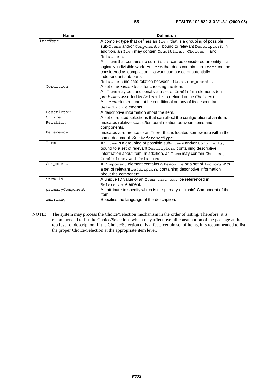| <b>Name</b>      | <b>Definition</b>                                                         |
|------------------|---------------------------------------------------------------------------|
| ItemType         | A complex type that defines an Item that is a grouping of possible        |
|                  | sub-Items and/or Components, bound to relevant Descriptors. In            |
|                  | addition, an Item may contain Conditions, Choices, and                    |
|                  | Relations.                                                                |
|                  | An item that contains no sub-Items can be considered an entity -- a       |
|                  | logically indivisible work. An Item that does contain sub-Items can be    |
|                  | considered as compilation -- a work composed of potentially               |
|                  | independent sub-parts.                                                    |
|                  | Relations indicate relation between Items/components.                     |
| Condition        | A set of <i>predicate</i> tests for choosing the item.                    |
|                  | An Item may be conditional via a set of Condition elements (on            |
|                  | predicates asserted by Selections defined in the Choices).                |
|                  | An Item element cannot be conditional on any of its descendant            |
|                  | Selection elements.                                                       |
| Descriptor       | A descriptive information about the item.                                 |
| Choice           | A set of related selections that can affect the configuration of an item. |
| Relation         | Indicates relative spatial/temporal relation between items and            |
|                  | components.                                                               |
| Reference        | Indicates a reference to an Item that is located somewhere within the     |
|                  | same document. See ReferenceType.                                         |
| Item             | An Item is a grouping of possible sub-Items and/or Components,            |
|                  | bound to a set of relevant Descriptors containing descriptive             |
|                  | information about item. In addition, an Item may contain Choices,         |
|                  | Conditions, and Relations.                                                |
| Component        | A Component element contains a Resource or a set of Anchors with          |
|                  | a set of relevant Descriptors containing descriptive information          |
|                  | about the component.                                                      |
| item id          | A unique ID value of an Item that can be referenced in                    |
|                  | Reference element.                                                        |
| primaryComponent | An attribute to specify which is the primary or "main" Component of the   |
|                  | item                                                                      |
| xml:lanq         | Specifies the language of the description.                                |

NOTE: The system may process the Choice/Selection mechanism in the order of listing. Therefore, it is recommended to list the Choice/Selections which may affect overall consumption of the package at the top level of description. If the Choice/Selection only affects certain set of items, it is recommended to list the proper Choice/Selection at the appropriate item level.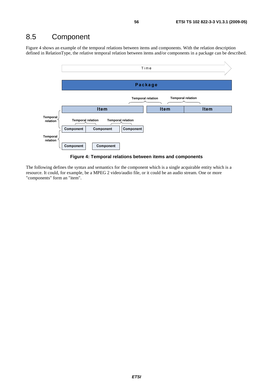## 8.5 Component

Figure 4 shows an example of the temporal relations between items and components. With the relation description defined in RelationType, the relative temporal relation between items and/or components in a package can be described.





The following defines the syntax and semantics for the component which is a single acquirable entity which is a resource. It could, for example, be a MPEG 2 video/audio file, or it could be an audio stream. One or more "components" form an "item".

*ETSI*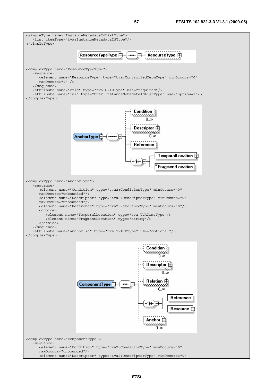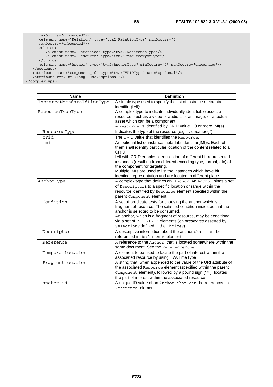```
 maxOccurs="unbounded"/> 
      <element name="Relation" type="tva2:RelationType" minOccurs="0" 
      maxOccurs="unbounded"/> 
      <choice> 
 <element name="Reference" type="tva2:ReferenceType"/> 
 <element name="Resource" type="tva2:ResourceTypeType"/> 
      </choice> 
      <element name="Anchor" type="tva2:AnchorType" minOccurs="0" maxOccurs="unbounded"/> 
   </sequence> 
 <attribute name="component_id" type="tva:TVAIDType" use="optional"/> 
 <attribute ref="xml:lang" use="optional"/> 
</complexType>
```

| <b>Name</b>                | <b>Definition</b>                                                                                                                                                                                                                      |
|----------------------------|----------------------------------------------------------------------------------------------------------------------------------------------------------------------------------------------------------------------------------------|
| InstanceMetadataIdListType | A simple type used to specify the list of instance metadata<br>identifier(IMI)s.                                                                                                                                                       |
| ResourceTypeType           | A complex type to indicate individually identifiable asset, a                                                                                                                                                                          |
|                            | resource, such as a video or audio clip, an image, or a textual                                                                                                                                                                        |
|                            | asset which can be a component.                                                                                                                                                                                                        |
|                            | A Resource is identified by CRID value + 0 or more IMI(s).                                                                                                                                                                             |
| ResourceType               | Indicates the type of the resource (e.g. "video/mpeg").                                                                                                                                                                                |
| crid                       | The CRID value that identifies the Resource.                                                                                                                                                                                           |
| imi                        | An optional list of instance metadata identifier(IMI)s. Each of<br>them shall identify particular location of the content related to a<br>CRID.                                                                                        |
|                            | IMI with CRID enables identification of different bit-represented<br>instances (resulting from different encoding type, format, etc) of<br>the component for targeting.<br>Multiple IMIs are used to list the instances which have bit |
|                            | identical representation and are located in different place.                                                                                                                                                                           |
| AnchorType                 | A complex type that defines an Anchor. An Anchor binds a set                                                                                                                                                                           |
|                            | of Descriptors to a specific location or range within the                                                                                                                                                                              |
|                            | resource identified by Resource element specified within the                                                                                                                                                                           |
|                            | parent Component element.                                                                                                                                                                                                              |
| Condition                  | A set of predicate tests for choosing the anchor which is a<br>fragment of resource. The satisfied condition indicates that the<br>anchor is selected to be consumed.                                                                  |
|                            | An anchor, which is a fragment of resource, may be conditional<br>via a set of Condition elements (on predicates asserted by<br>Selections defined in the Choices).                                                                    |
| Descriptor                 | A descriptive information about the anchor that can be                                                                                                                                                                                 |
|                            | referenced in Reference element.                                                                                                                                                                                                       |
| Reference                  | A reference to the Anchor that is located somewhere within the                                                                                                                                                                         |
|                            | same document. See the ReferenceType.                                                                                                                                                                                                  |
| TemporalLocation           | A element to be used to locate the part of interest within the                                                                                                                                                                         |
|                            | associated resource by using TVATimeType.                                                                                                                                                                                              |
| Fragmentlocation           | A string that, when appended to the value of the URI attribute of<br>the associated Resource element (specified within the parent<br>Component element), followed by a pound sign ("#"), locates                                       |
|                            | the part of interest within the associated resource.                                                                                                                                                                                   |
| anchor id                  | A unique ID value of an Anchor that can be referenced in<br>Reference element.                                                                                                                                                         |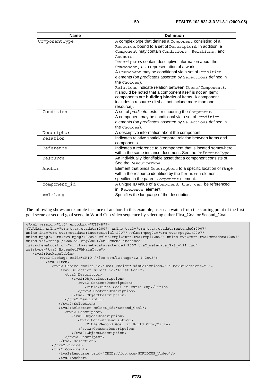| <b>Name</b>   | <b>Definition</b>                                                |
|---------------|------------------------------------------------------------------|
| ComponentType | A complex type that defines a Component consisting of a          |
|               | Resource, bound to a set of Descriptors. In addition, a          |
|               | Component may contain Conditions, Relations, and                 |
|               | Anchors.                                                         |
|               | Descriptors contain descriptive information about the            |
|               | Component, as a representation of a work.                        |
|               | A Component may be conditional via a set of Condition            |
|               | elements (on predicates asserted by Selections defined in        |
|               | the Choices).                                                    |
|               | Relations indicate relation between Items/Components.            |
|               | It should be noted that a component itself is not an Item;       |
|               | components are building blocks of Items. A component             |
|               | includes a resource (It shall not include more than one          |
|               | resource).                                                       |
| Condition     | A set of predicate tests for choosing the Component.             |
|               | A component may be conditional via a set of Condition            |
|               | elements (on <i>predicates</i> asserted by Selections defined in |
|               | the Choices).                                                    |
| Descriptor    | A descriptive information about the component.                   |
| Relation      | Indicates relative spatial/temporal relation between items and   |
|               | components.                                                      |
| Reference     | Indicates a reference to a component that is located somewhere   |
|               | within the same instance document. See the ReferenceType.        |
| Resource      | An individually identifiable asset that a component consists of. |
|               | See the ResourceType.                                            |
| Anchor        | Element that binds Descriptors to a specific location or range   |
|               | within the resource identified by the Resource element           |
|               | specified in the parent Component element.                       |
| component id  | A unique ID value of a Component that can be referenced          |
|               | in Reference element.                                            |
| $xml:$ lang   | Specifies the language of the description.                       |

The following shows an example instance of anchor. In this example, user can watch from the starting point of the first goal scene or second goal scene in World Cup video sequence by selecting either First\_Goal or Second\_Goal.

```
<?xml version="1.0" encoding="UTF-8"?> 
<TVAMain xmlns="urn:tva:metadata:2007" xmlns:tva2="urn:tva:metadata:extended:2007" 
xmlns:int="urn:tva:metadata:interstitial:2007" xmlns:mpeg21="urn:tva:mpeg21:2007" 
xmlns:mpeg7="urn:tva:mpeg7:2005" xmlns:rmpi="urn:tva:rmpi:2005" xmlns:tva="urn:tva:metadata:2007" 
xmlns:xsi="http://www.w3.org/2001/XMLSchema-instance" 
xsi:schemaLocation="urn:tva:metadata:extended:2007 tva2_metadata_3-3_v121.xsd" 
xsi:type="tva2:ExtendedTVAMainType"> 
    <tva2:PackageTable> 
       <tva2:Package crid="CRID://foo.com/Package/12-1-2005"> 
          <tva2:Item> 
             <tva2:Choice choice_id="Goal_Choice" minSelections="0" maxSelections="1"> 
                <tva2:Selection select_id="First_Goal"> 
                   <tva2:Descriptor> 
                      <tva2:ObjectDescription> 
                         <tva2:ContentDescription> 
                             <Title>First Goal in World Cup</Title> 
                          </tva2:ContentDescription> 
                       </tva2:ObjectDescription> 
                   </tva2:Descriptor> 
                </tva2:Selection> 
                <tva2:Selection select_id="Second_Goal"> 
                   <tva2:Descriptor> 
                      <tva2:ObjectDescription> 
                         <tva2:ContentDescription> 
                             <Title>Second Goal in World Cup</Title> 
                          </tva2:ContentDescription> 
                      </tva2:ObjectDescription> 
                   </tva2:Descriptor> 
                </tva2:Selection> 
             </tva2:Choice> 
             <tva2:Component> 
                <tva2:Resource crid="CRID://foo.com/WORLDCUP_Video"/> 
                <tva2:Anchor>
```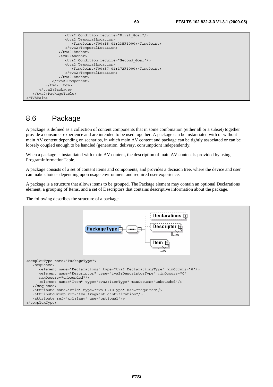```
 <tva2:Condition require="First_Goal"/> 
                  <tva2:TemporalLocation> 
                      <TimePoint>T00:15:01:235F1000</TimePoint> 
                  </tva2:TemporalLocation> 
               </tva2:Anchor> 
               <tva2:Anchor> 
                  <tva2:Condition require="Second_Goal"/> 
                  <tva2:TemporalLocation> 
                      <TimePoint>T00:37:01:172F1000</TimePoint> 
                  </tva2:TemporalLocation> 
               </tva2:Anchor> 
            </tva2:Component> 
        </tva2:Item>
     </tva2:Package> 
  </tva2:PackageTable> 
</TVAMain>
```
## 8.6 Package

A package is defined as a collection of content components that in some combination (either all or a subset) together provide a consumer experience and are intended to be used together. A package can be instantiated with or without main AV content depending on scenarios, in which main AV content and package can be tightly associated or can be loosely coupled enough to be handled (generation, delivery, consumption) independently.

When a package is instantiated with main AV content, the description of main AV content is provided by using ProgramInformationTable.

A package consists of a set of content items and components, and provides a decision tree, where the device and user can make choices depending upon usage environment and required user experience.

A package is a structure that allows items to be grouped. The Package element may contain an optional Declarations element, a grouping of Items, and a set of Descriptors that contains descriptive information about the package.

The following describes the structure of a package.

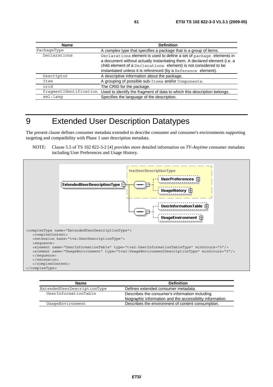| Name                   | <b>Definition</b>                                                                                                                                                                                                                                                                       |
|------------------------|-----------------------------------------------------------------------------------------------------------------------------------------------------------------------------------------------------------------------------------------------------------------------------------------|
| PackageType            | A complex type that specifies a package that is a group of items.                                                                                                                                                                                                                       |
| Declarations           | Declarations element is used to define a set of package elements in<br>a document without actually instantiating them. A declared element (i.e. a<br>child element of a Declarations element) is not considered to be<br>instantiated unless it is referenced (by a Reference element). |
| Descriptor             | A descriptive information about the package.                                                                                                                                                                                                                                            |
| Item                   | A grouping of possible sub-Items and/or Components.                                                                                                                                                                                                                                     |
| crid                   | The CRID for the package.                                                                                                                                                                                                                                                               |
| fraqmentIdentification | Used to identify the fragment of data to which this description belongs.                                                                                                                                                                                                                |
| xml:lang               | Specifies the language of the description.                                                                                                                                                                                                                                              |

## 9 Extended User Description Datatypes

The present clause defines consumer metadata extended to describe consumer and consumer's environments supporting targeting and compatibility with Phase 1 user description metadata.

NOTE: Clause 5.5 of TS 102 822-3-2 [4] provides more detailed information on *TV-Anytime* consumer metadata including User Preferences and Usage History.



| <b>Name</b>                 | <b>Definition</b>                                                                                           |
|-----------------------------|-------------------------------------------------------------------------------------------------------------|
| ExtendedUserDescriptionType | Defines extended consumer metadata.                                                                         |
| UserInformationTable        | Describes the consumer's information including<br>biographic information and the accessibility information. |
| UsaqeEnvironment            | Describes the environment of content consumption.                                                           |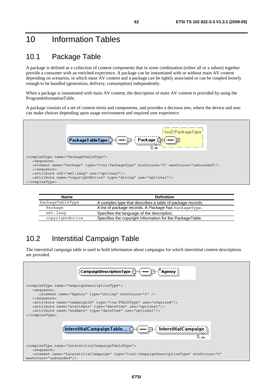## 10 Information Tables

## 10.1 Package Table

A package is defined as a collection of content components that in some combination (either all or a subset) together provide a consumer with an enriched experience. A package can be instantiated with or without main AV content depending on scenarios, in which main AV content and a package can be tightly associated or can be coupled loosely enough to be handled (generation, delivery, consumption) independently.

When a package is instantiated with main AV content, the description of main AV content is provided by using the ProgramInformationTable.

A package consists of a set of content items and components, and provides a decision tree, where the device and user can make choices depending upon usage environment and required user experience.



| <b>Name</b>      | <b>Definition</b>                                         |
|------------------|-----------------------------------------------------------|
| PackageTableType | A complex type that describes a table of package records. |
| Package          | A list of package records. A Package has PackageType.     |
| xml:lang         | Specifies the language of the description.                |
| copyrightNotice  | Specifies the copyright information for the PackageTable. |

## 10.2 Interstitial Campaign Table

The interstitial campaign table is used to hold information about campaigns for which interstitial content descriptions are provided.

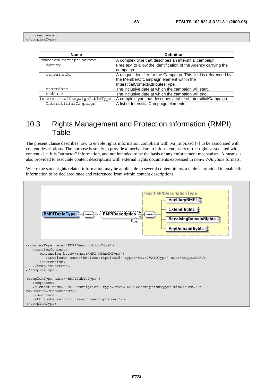</sequence> </complexType>

| <b>Name</b>                   | <b>Definition</b>                                                 |
|-------------------------------|-------------------------------------------------------------------|
| CampaignDescriptionType       | A complex type that describes an interstitial campaign.           |
| Agency                        | Free text to allow the identification of the Agency carrying the  |
|                               | campaign.                                                         |
| campaignId                    | A unique identifier for the Campaign. This field is referenced by |
|                               | the MemberOfCampaign element within the                           |
|                               | InterstitialContextAttributesType.                                |
| startdate                     | The inclusive date at which the campaign will start.              |
| enddate                       | The inclusive date at which the campaign will end.                |
| InterstitialCampaignTableType | A complex type that describes a table of InterstitialCampaign.    |
| InterstitialCampaign          | A list of InterstitialCampaign elements.                          |

#### 10.3 Rights Management and Protection Information (RMPI) Table

The present clause describes how to enable rights information compliant with tva\_rmpi.xsd [7] to be associated with content descriptions. The purpose is solely to provide a mechanism to inform end users of the rights associated with content - i.e. it is "attractor" information, and not intended to be the basis of any enforcement mechanism. A means is also provided to associate content descriptions with external rights documents expressed in non-*TV-Anytime* formats.

Where the same rights related information may be applicable to several content items, a table is provided to enable this information to be declared once and referenced from within content descriptions.

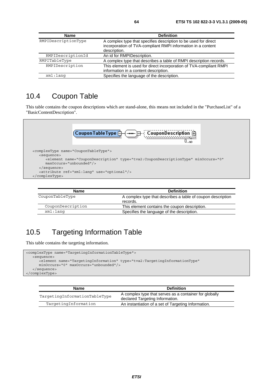| <b>Name</b>         | <b>Definition</b>                                                                                                                               |
|---------------------|-------------------------------------------------------------------------------------------------------------------------------------------------|
| RMPIDescriptionType | A complex type that specifies description to be used for direct<br>incorporation of TVA-compliant RMPI information in a content<br>description. |
| RMPIDescriptionId   | An id for RMPIDescription.                                                                                                                      |
| RMPITableType       | A complex type that describes a table of RMPI description records.                                                                              |
| RMPIDescription     | This element is used for direct incorporation of TVA-compliant RMPI<br>information in a content description.                                    |
| xml:lang            | Specifies the language of the description.                                                                                                      |

#### 10.4 Coupon Table

This table contains the coupon descriptions which are stand-alone, this means not included in the "PurchaseList" of a "BasicContentDescription".



| Name              | <b>Definition</b>                                                       |
|-------------------|-------------------------------------------------------------------------|
| CouponTableType   | A complex type that describes a table of coupon description<br>records. |
| CouponDescription | This element contains the coupon description.                           |
| xml:lanq          | Specifies the language of the description.                              |

## 10.5 Targeting Information Table

This table contains the targeting information.

```
<complexType name="TargetingInformationTableType"> 
   <sequence> 
       <element name="TargetingInformation" type="tva2:TargetingInformationType" 
      minOccurs="0" maxOccurs="unbounded"/> 
    </sequence> 
</complexType>
```

| <b>Name</b>                   | <b>Definition</b>                                                                         |
|-------------------------------|-------------------------------------------------------------------------------------------|
| TargetingInformationTableType | A complex type that serves as a container for globally<br>declared Targeting Information. |
| TargetingInformation          | An instantiation of a set of Targeting Information.                                       |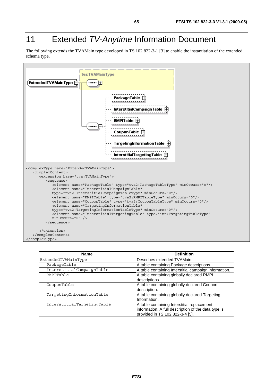# 11 Extended *TV-Anytime* Information Document

The following extends the TVAMain type developed in TS 102 822-3-1 [3] to enable the instantiation of the extended schema type.



| <b>Name</b>                | <b>Definition</b>                                     |
|----------------------------|-------------------------------------------------------|
| ExtendedTVAMainType        | Describes extended TVAMain.                           |
| PackageTable               | A table containing Package descriptions.              |
| InterstitialCampaignTable  | A table containing Interstitial campaign information. |
| RMPITable                  | A table containing globally declared RMPI             |
|                            | descriptions.                                         |
| CouponTable                | A table containing globally declared Coupon           |
|                            | description.                                          |
| TargetingInformationTable  | A table containing globally declared Targeting        |
|                            | Information.                                          |
| InterstitialTargetingTable | A table containing Interstitial replacement           |
|                            | information. A full description of the data type is   |
|                            | provided in TS 102 822-3-4 [5].                       |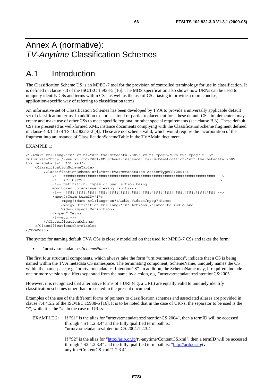## Annex A (normative): *TV-Anytime* Classification Schemes

## A.1 Introduction

The Classification Scheme DS is an MPEG-7 tool for the provision of controlled terminology for use in classification. It is defined in clause 7.3 of the ISO/IEC 15938-5 [16]. The MDS specification also shows how URNs can be used to uniquely identify CSs and terms within CSs, as well as the use of CS aliasing to provide a more concise, application-specific way of referring to classification terms.

An informative set of Classification Schemes has been developed by TVA to provide a universally applicable default set of classification terms. In addition to - or as a total or partial replacement for - these default CSs, implementers may create and make use of other CSs to meet specific regional or other special requirements (see clause B.3). These default CSs are presented as well-formed XML instance documents complying with the ClassificationScheme fragment defined in clause 4.3.1.13 of TS 102 822-3-2 [4]. These are not schema valid, which would require the incorporation of the fragment into an instance of ClassificationSchemeTable in the TVAMain document.

#### EXAMPLE 1:

```
<TVAMain xml:lang="en" xmlns="urn:tva:metadata:2005" xmlns:mpeg7="urn:tva:mpeg7:2005" 
xmlns:xsi="http://www.w3.org/2001/XMLSchema-instance" xsi:schemaLocation="urn:tva:metadata:2005 
tva metadata 3-1 v131.xsd">
     <ClassificationSchemeTable> 
         <ClassificationScheme uri="urn:tva:metadata:cs:ActionTypeCS:2004"> 
             <!-- ##################################################################### --> 
             <!-- ACTIONTYPE --> 
             <!-- Definition: Types of user action being 
             monitored to analyse viewing habits--> 
             <!-- ##################################################################### --> 
             <mpeg7:Term termID="1"> 
                  <mpeg7:Name xml:lang="en">Audio-Video</mpeg7:Name> 
                  <mpeg7:Definition xml:lang="en">Actions Related to Audio and 
                  Video</mpeg7:Definition> 
             </mpeg7:Term> 
             <!--etc.--> 
         </ClassificationScheme> 
     </ClassificationSchemeTable> 
</TVAMain>
```
The syntax for naming default TVA CSs is closely modelled on that used for MPEG-7 CSs and takes the form:

• "urn:tva:metadata:cs:*SchemeName*".

The first four structural components, which always take the form "urn:tva:metadata:cs", indicate that a CS is being named within the TVA metadata CS namespace. The terminating component, SchemeName, uniquely names the CS within the namespace, e.g. "urn:tva:metadata:cs:IntentionCS". In addition, the SchemaName may, if required, include one or more version qualifiers separated from the name by a colon, e.g. "urn:tva:metadata:cs:IntentionCS:2005".

However, it is recognized that alternative forms of a URI (e.g. a URL) are equally valid to uniquely identify classification schemes other than presented in the present document.

Examples of the use of the different forms of pointers to classification schemes and associated aliases are provided in clause 7.4.4.5.2 of the ISO/IEC 15938-5 [16]. It is to be noted that in the case of URNs, the separator to be used is the ":", while it is the "#" in the case of URLs.

EXAMPLE 2: If "S1" is the alias for "urn:tva:metadata:cs:IntentionCS:2004", then a termID will be accessed through ":S1:1.2.3.4" and the fully qualified term path is: "urn:tva:metadata:cs:IntentionCS:2004:1.2.3.4".

> If "S2" is the alias for ["http://arib.or.jp/](http://arib.or.jp/)tv-anytime/ContentCS.xml", then a termID will be accessed through ":S2:1.2.3.4" and the fully qualified term path is: ["http://arib.or.jp/](http://arib.or.jp/)tvanytime/ContentCS.xml#1.2.3.4".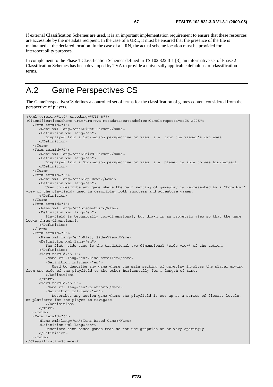If external Classification Schemes are used, it is an important implementation requirement to ensure that these resources are accessible by the metadata recipient. In the case of a URL, it must be ensured that the presence of the file is maintained at the declared location. In the case of a URN, the actual scheme location must be provided for interoperability purposes.

In complement to the Phase 1 Classification Schemes defined in TS 102 822-3-1 [3], an informative set of Phase 2 Classification Schemes has been developed by TVA to provide a universally applicable default set of classification terms.

# A.2 Game Perspectives CS

The GamePerspectivesCS defines a controlled set of terms for the classification of games content considered from the perspective of players.

```
<?xml version="1.0" encoding="UTF-8"?> 
<ClassificationScheme uri="urn:tva:metadata:extended:cs:GamePerspectivesCS:2005"> 
    <Term termId="1"> 
       <Name xml:lang="en">First-Person</Name> 
       <Definition xml:lang="en"> 
          Displayed from a 1st-person perspective or view; i.e. from the viewer's own eyes. 
       </Definition> 
    </Term> 
    <Term termId="2"> 
       <Name xml:lang="en">Third-Person</Name> 
       <Definition xml:lang="en"> 
          Displayed from a 3rd-person perspective or view; i.e. player is able to see him/herself. 
       </Definition> 
    </Term> 
    <Term termId="3"> 
       <Name xml:lang="en">Top-Down</Name> 
       <Definition xml:lang="en"> 
          Used to describe any game where the main setting of gameplay is represented by a "top-down" 
view of the playfield; used in describing both shooters and adventure games. 
       </Definition> 
    </Term> 
    <Term termId="4"> 
       <Name xml:lang="en">Isometric</Name> 
       <Definition xml:lang="en"> 
          Playfield is technically two-dimensional, but drawn in an isometric view so that the game 
looks three-dimensional. 
       </Definition> 
    </Term> 
    <Term termId="5"> 
       <Name xml:lang="en">Flat, Side-View</Name> 
       <Definition xml:lang="en"> 
          The flat, side-view is the traditional two-dimensional "side view" of the action. 
       </Definition> 
       <Term termId="5.1"> 
          <Name xml:lang="en">Side-scroller</Name> 
          <Definition xml:lang="en"> 
             Used to describe any game where the main setting of gameplay involves the player moving 
from one side of the playfield to the other horizontally for a length of time. 
          </Definition> 
       </Term> 
       <Term termId="5.2"> 
          <Name xml:lang="en">platform</Name> 
          <Definition xml:lang="en"> 
             Describes any action game where the playfield is set up as a series of floors, levels, 
or platforms for the player to navigate. 
          </Definition> 
       </Term> 
    </Term> 
    <Term termId="6"> 
       <Name xml:lang="en">Text-Based Game</Name> 
       <Definition xml:lang="en"> 
          Describes text-based games that do not use graphics at or very sparingly. 
       </Definition> 
    </Term> 
</ClassificationScheme>*
```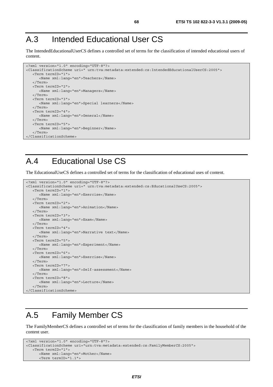## A.3 Intended Educational User CS

The IntendedEducationalUserCS defines a controlled set of terms for the classification of intended educational users of content.

```
<?xml version="1.0" encoding="UTF-8"?> 
<ClassificationScheme uri=" urn:tva:metadata:extended:cs:IntendedEducationalUserCS:2005"> 
    <Term termID="1"> 
       <Name xml:lang="en">Teachers</Name> 
    </Term> 
    <Term termID="2"> 
       <Name xml:lang="en">Managers</Name> 
    </Term> 
    <Term termID="3"> 
       <Name xml:lang="en">Special learners</Name> 
    </Term> 
    <Term termID="4"> 
      <Name xml:lang="en">General</Name> 
    </Term> 
    <Term termID="5"> 
      <Name xml:lang="en">Beginner</Name> 
    </Term> 
</ClassificationScheme>
```
## A.4 Educational Use CS

The EducationalUseCS defines a controlled set of terms for the classification of educational uses of content.

```
<?xml version="1.0" encoding="UTF-8"?> 
<ClassificationScheme uri=" urn:tva:metadata:extended:cs:EducationalUseCS:2005"> 
    <Term termID="1"> 
       <Name xml:lang="en">Exercise</Name> 
    </Term> 
    <Term termID="2"> 
       <Name xml:lang="en">Animation</Name> 
    </Term> 
    <Term termID="3"> 
       <Name xml:lang="en">Exam</Name> 
    </Term> 
    <Term termID="4"> 
       <Name xml:lang="en">Narrative text</Name> 
    </Term> 
    <Term termID="5"> 
       <Name xml:lang="en">Experiment</Name> 
    </Term> 
    <Term termID="6"> 
       <Name xml:lang="en">Exercise</Name> 
   \sim/Term\sim <Term termID="7"> 
      <Name xml:lang="en">Self-assessment</Name> 
    </Term> 
    <Term termID="8"> 
       <Name xml:lang="en">Lecture</Name> 
    </Term> 
</ClassificationScheme>
```
## A.5 Family Member CS

The FamilyMemberCS defines a controlled set of terms for the classification of family members in the household of the content user.

```
<?xml version="1.0" encoding="UTF-8"?> 
<ClassificationScheme uri="urn:tva:metadata:extended:cs:FamilyMemberCS:2005"> 
    <Term termID="1"> 
       <Name xml:lang="en">Mother</Name> 
       <Term termID="1.1">
```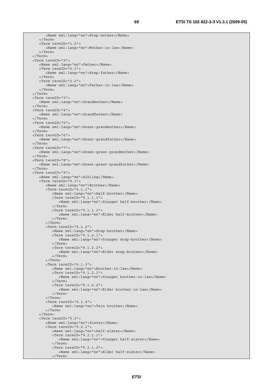```
 <Name xml:lang="en">Step-mother</Name> 
    </Term> 
    <Term termID="1.2"> 
       <Name xml:lang="en">Mother-in-law</Name> 
    </Term> 
 </Term> 
 <Term termID="2"> 
    <Name xml:lang="en">Father</Name> 
    <Term termID="2.1"> 
       <Name xml:lang="en">Step-father</Name> 
    </Term> 
    <Term termID="2.2"> 
       <Name xml:lang="en">Father-in-law</Name> 
    </Term> 
 </Term> 
 <Term termID="3"> 
    <Name xml:lang="en">Grandmother</Name> 
 </Term> 
 <Term termID="4"> 
   <Name xml:lang="en">Grandfather</Name> 
 </Term> 
 <Term termID="5"> 
    <Name xml:lang="en">Great-grandmother</Name> 
 </Term> 
 <Term termID="6"> 
    <Name xml:lang="en">Great-grandfather</Name> 
 </Term> 
 <Term termID="7"> 
    <Name xml:lang="en">Great-great-grandmother</Name> 
 </Term> 
 <Term termID="8"> 
   <Name xml:lang="en">Great-great-grandfather</Name> 
 </Term> 
 <Term termID="9"> 
    <Name xml:lang="en">Sibling</Name> 
    <Term termID="9.1"> 
       <Name xml:lang="en">Brother</Name> 
       <Term termID="9.1.1"> 
          <Name xml:lang="en">Half-brother</Name> 
          <Term termID="9.1.1.1"> 
              <Name xml:lang="en">Younger half-brother</Name> 
           </Term> 
          <Term termID="9.1.1.2"> 
              <Name xml:lang="en">Elder half-brother</Name> 
          </Term> 
       </Term> 
       <Term termID="9.1.2"> 
          <Name xml:lang="en">Step-brother</Name> 
          <Term termID="9.1.2.1"> 
              <Name xml:lang="en">Younger step-brother</Name> 
           </Term> 
          <Term termID="9.1.2.2"> 
             <Name xml:lang="en">Elder step-brother</Name> 
         \frac{1}{2}/Terms
       </Term> 
       <Term termID="9.1.3"> 
          <Name xml:lang="en">Brother-in-law</Name> 
           <Term termID="9.1.2.1"> 
              <Name xml:lang="en">Younger brother-in-law</Name> 
           </Term> 
          <Term termID="9.1.2.2"> 
             <Name xml:lang="en">Elder brother-in-law</Name> 
          </Term> 
       </Term> 
       <Term termID="9.1.4"> 
          <Name xml:lang="en">Twin brother</Name> 
       </Term> 
    </Term> 
    <Term termID="9.2"> 
       <Name xml:lang="en">Sister</Name> 
       <Term termID="9.2.1"> 
           <Name xml:lang="en">Half-sister</Name> 
           <Term termID="9.2.1.1"> 
             <Name xml:lang="en">Younger half-sister</Name> 
          </Term> 
          <Term termID="9.2.1.2"> 
              <Name xml:lang="en">Elder half-sister</Name> 
          </Term>
```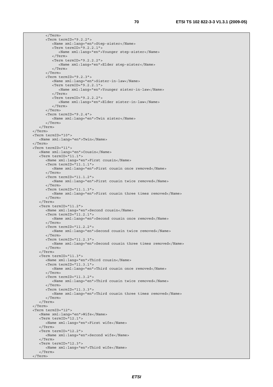</Term> <Term termID="9.2.2"> <Name xml:lang="en">Step-sister</Name> <Term termID="9.2.2.1"> <Name xml:lang="en">Younger step-sister</Name> </Term> <Term termID="9.2.2.2"> <Name xml:lang="en">Elder step-sister</Name> </Term> </Term> <Term termID="9.2.3"> <Name xml:lang="en">Sister-in-law</Name> <Term termID="9.2.2.1"> <Name xml:lang="en">Younger sister-in-law</Name> </Term> <Term termID="9.2.2.2"> <Name xml:lang="en">Elder sister-in-law</Name> </Term> </Term> <Term termID="9.2.4"> <Name xml:lang="en">Twin sister</Name> </Term> </Term> </Term> <Term termID="10"> <Name xml:lang="en">Twin</Name> </Term> <Term termID="11"> <Name xml:lang="en">Cousin</Name> <Term termID="11.1"> <Name xml:lang="en">First cousin</Name> <Term termID="11.1.1"> <Name xml:lang="en">First cousin once removed</Name> </Term> <Term termID="11.1.2"> <Name xml:lang="en">First cousin twice removed</Name> </Term> <Term termID="11.1.3"> <Name xml:lang="en">First cousin three times removed</Name> </Term> </Term> <Term termID="11.2"> <Name xml:lang="en">Second cousin</Name> <Term termID="11.2.1"> <Name xml:lang="en">Second cousin once removed</Name> </Term> <Term termID="11.2.2"> <Name xml:lang="en">Second cousin twice removed</Name> </Term> <Term termID="11.2.3"> <Name xml:lang="en">Second cousin three times removed</Name> </Term> </Term>  $ZTarm from TD-111.3"$  <Name xml:lang="en">Third cousin</Name> <Term termID="11.3.1"> <Name xml:lang="en">Third cousin once removed</Name> </Term> <Term termID="11.3.2"> <Name xml:lang="en">Third cousin twice removed</Name> </Term> <Term termID="11.3.3"> <Name xml:lang="en">Third cousin three times removed</Name> </Term> </Term> </Term> <Term termID="12"> <Name xml:lang="en">Wife</Name> <Term termID="12.1"> <Name xml:lang="en">First wife</Name> </Term> <Term termID="12.2"> <Name xml:lang="en">Second wife</Name> </Term> <Term termID="12.3"> <Name xml:lang="en">Third wife</Name> </Term> </Term>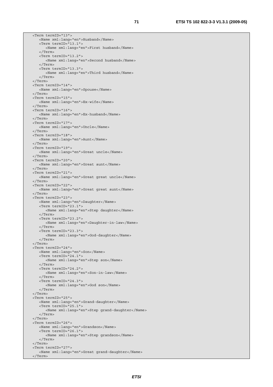<Term termID="13"> <Name xml:lang="en">Husband</Name> <Term termID="13.1"> <Name xml:lang="en">First husband</Name> </Term> <Term termID="13.2"> <Name xml:lang="en">Second husband</Name> </Term> <Term termID="13.3"> <Name xml:lang="en">Third husband</Name> </Term> </Term> <Term termID="14"> <Name xml:lang="en">Spouse</Name> </Term> <Term termID="15"> <Name xml:lang="en">Ex-wife</Name> </Term> <Term termID="16"> <Name xml:lang="en">Ex-husband</Name> </Term> <Term termID="17"> <Name xml:lang="en">Uncle</Name> </Term> <Term termID="18"> <Name xml:lang="en">Aunt</Name> </Term> <Term termID="19"> <Name xml:lang="en">Great uncle</Name> </Term> <Term termID="20"> <Name xml:lang="en">Great aunt</Name> </Term> <Term termID="21"> <Name xml:lang="en">Great great uncle</Name> </Term> <Term termID="22"> <Name xml:lang="en">Great great aunt</Name> </Term> <Term termID="23"> <Name xml:lang="en">Daughter</Name> <Term termID="23.1"> <Name xml:lang="en">Step daughter</Name> </Term> <Term termID="23.2"> <Name xml:lang="en">Daughter-in-law</Name> </Term> <Term termID="23.3"> <Name xml:lang="en">God-daughter</Name> </Term> </Term> <Term termID="24"> <Name xml:lang="en">Son</Name> <Term termID="24.1"> <Name xml:lang="en">Step son</Name> </Term> <Term termID="24.2"> <Name xml:lang="en">Son-in-law</Name> </Term> <Term termID="24.3"> <Name xml:lang="en">God son</Name> </Term> </Term> <Term termID="25"> <Name xml:lang="en">Grand-daughter</Name> <Term termID="25.1"> <Name xml:lang="en">Step grand-daughter</Name> </Term> </Term> <Term termID="26"> <Name xml:lang="en">Grandson</Name> <Term termID="26.1"> <Name xml:lang="en">Step grandson</Name> </Term> </Term> <Term termID="27"> <Name xml:lang="en">Great grand-daughter</Name> </Term>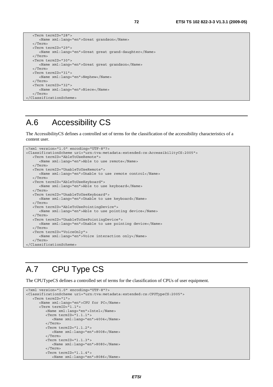```
 <Term termID="28"> 
       <Name xml:lang="en">Great grandson</Name> 
   </Term> 
   <Term termID="29"> 
      <Name xml:lang="en">Great great grand-daughter</Name> 
   </Term> 
   <Term termID="30"> 
      <Name xml:lang="en">Great great grandson</Name> 
   </Term> 
   <Term termID="31"> 
      <Name xml:lang="en">Nephew</Name> 
   </Term> 
   <Term termID="32"> 
      <Name xml:lang="en">Niece</Name> 
   </Term> 
</ClassificationScheme>
```
# A.6 Accessibility CS

The AccessibilityCS defines a controlled set of terms for the classification of the accessibility characteristics of a content user.

```
<?xml version="1.0" encoding="UTF-8"?> 
<ClassificationScheme uri="urn:tva:metadata:extended:cs:AccessibilityCS:2005"> 
    <Term termID="AbleToUseRemote"> 
       <Name xml:lang="en">Able to use remote</Name> 
    </Term> 
    <Term termID="UnableToUseRemote"> 
       <Name xml:lang="en">Unable to use remote control</Name> 
    </Term> 
    <Term termID="AbleToUseKeyboard"> 
      <Name xml:lang="en">Able to use keyboard</Name> 
    </Term> 
    <Term termID="UnableToUseKeyboard"> 
       <Name xml:lang="en">Unable to use keyboard</Name> 
    </Term> 
    <Term termID="AbleToUsePointingDevice"> 
      <Name xml:lang="en">Able to use pointing device</Name> 
    </Term> 
    <Term termID="UnableToUsePointingDevice"> 
      <Name xml:lang="en">Unable to use pointing device</Name> 
    </Term> 
    <Term termID="VoiceOnly"> 
      <Name xml:lang="en">Voice interaction only</Name> 
    </Term> 
</ClassificationScheme>
```
## A.7 CPU Type CS

The CPUTypeCS defines a controlled set of terms for the classification of CPUs of user equipment.

```
<?xml version="1.0" encoding="UTF-8"?> 
<ClassificationScheme uri="urn:tva:metadata:extended:cs:CPUTypeCS:2005"> 
    <Term termID="1"> 
       <Name xml:lang="en">CPU for PC</Name> 
       <Term termID="1.1"> 
          <Name xml:lang="en">Intel</Name> 
          <Term termID="1.1.1"> 
             <Name xml:lang="en">4004</Name> 
          </Term> 
          <Term termID="1.1.2"> 
             <Name xml:lang="en">8008</Name> 
          </Term> 
          <Term termID="1.1.3"> 
             <Name xml:lang="en">8080</Name> 
          </Term> 
          <Term termID="1.1.4"> 
             <Name xml:lang="en">8086</Name>
```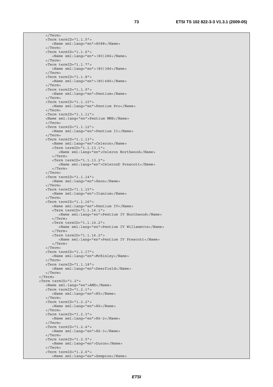</Term> <Term termID="1.1.5"> <Name xml:lang="en">8088</Name> </Term> <Term termID="1.1.6"> <Name xml:lang="en">(80)286</Name> </Term> <Term termID="1.1.7"> <Name xml:lang="en">(80)386</Name> </Term> <Term termID="1.1.8"> <Name xml:lang="en">(80)486</Name> </Term> <Term termID="1.1.9"> <Name xml:lang="en">Pentium</Name> </Term> <Term termID="1.1.10"> <Name xml:lang="en">Pentium Pro</Name> </Term> <Term termID="1.1.11"> <Name xml:lang="en">Pentium MMX</Name> </Term> <Term termID="1.1.12"> <Name xml:lang="en">Pentium II</Name> </Term> <Term termID="1.1.13"> <Name xml:lang="en">Celeron</Name> <Term termID="1.1.13.1"> <Name xml:lang="en">Celeron Northwood</Name> </Term> <Term termID="1.1.13.2"> <Name xml:lang="en">CeleronD Prescott</Name> </Term> </Term> <Term termID="1.1.14"> <Name xml:lang="en">Xeon</Name> </Term> <Term termID="1.1.15"> <Name xml:lang="en">Itanium</Name> </Term> <Term termID="1.1.16"> <Name xml:lang="en">Pentium IV</Name> <Term termID="1.1.16.1"> <Name xml:lang="en">Pentium IV Northwood</Name> </Term> <Term termID="1.1.16.2"> <Name xml:lang="en">Pentium IV Willamette</Name> </Term> <Term termID="1.1.16.2"> <Name xml:lang="en">Pentium IV Prescott</Name> </Term> </Term> <Term termID="1.1.17"> <Name xml:lang="en">McKinley</Name> </Term> <Term termID="1.1.18"> <Name xml:lang="en">Deerfield</Name> </Term> </Term> <Term termID="1.2"> <Name xml:lang="en">AMD</Name> <Term termID="1.2.1"> <Name xml:lang="en">K5</Name> </Term> <Term termID="1.2.2"> <Name xml:lang="en">K6</Name> </Term> <Term termID="1.2.3"> <Name xml:lang="en">K6-2</Name> </Term> <Term termID="1.2.4"> <Name xml:lang="en">K6-3</Name> </Term>  $\times$ Term termID="1.2.5"> <Name xml:lang="en">Duron</Name> </Term> <Term termID="1.2.6"> <Name xml:lang="en">Sempron</Name>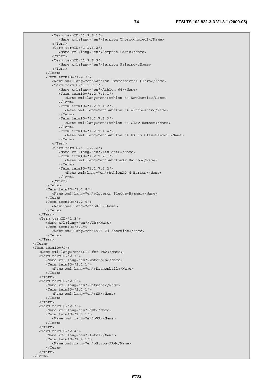```
 <Term termID="1.2.6.1"> 
              <Name xml:lang="en">Sempron ThoroughbredB</Name> 
          </Term> 
          <Term termID="1.2.6.2"> 
              <Name xml:lang="en">Sempron Paris</Name> 
          </Term> 
          <Term termID="1.2.6.3"> 
              <Name xml:lang="en">Sempron Palermo</Name> 
          </Term> 
       </Term> 
       <Term termID="1.2.7"> 
          <Name xml:lang="en">Athlon Professional Ultra</Name> 
          <Term termID="1.2.7.1"> 
              <Name xml:lang="en">Athlon 64</Name> 
              <Term termID="1.2.7.1.1"> 
                 <Name xml:lang="en">Athlon 64 NewCastle</Name> 
              </Term> 
              <Term termID="1.2.7.1.2"> 
                 <Name xml:lang="en">Athlon 64 Winchester</Name> 
              </Term> 
              <Term termID="1.2.7.1.3"> 
                 <Name xml:lang="en">Athlon 64 Claw-Hammer</Name> 
              </Term> 
              <Term termID="1.2.7.1.4"> 
                 <Name xml:lang="en">Athlon 64 FX 55 Claw-Hammer</Name> 
              </Term> 
         \langleTerm\rangle <Term termID="1.2.7.2"> 
              <Name xml:lang="en">AthlonXP</Name> 
              <Term termID="1.2.7.2.1"> 
                 <Name xml:lang="en">AthlonXP Barton</Name> 
              </Term> 
              <Term termID="1.2.7.2.2"> 
                 <Name xml:lang="en">AthlonXP M Barton</Name> 
              </Term> 
          </Term> 
       </Term> 
       <Term termID="1.2.8"> 
          <Name xml:lang="en">Opteron Sledge-Hammer</Name> 
       </Term> 
       <Term termID="1.2.9"> 
          <Name xml:lang="en">K8 </Name> 
       </Term> 
    </Term> 
    <Term termID="1.3"> 
       <Name xml:lang="en">VIA</Name> 
       <Term termID="3.1"> 
          <Name xml:lang="en">VIA C3 Nehemiah</Name> 
       </Term> 
    </Term> 
 </Term> 
 <Term termID="2"> 
    <Name xml:lang="en">CPU for PDA</Name> 
    <Term termID="2.1"> 
       <Name xml:lang="en">Motorola</Name> 
       <Term termID="2.1.1"> 
          <Name xml:lang="en">Dragonball</Name> 
       </Term> 
    </Term> 
    <Term termID="2.2"> 
       <Name xml:lang="en">Hitachi</Name> 
       <Term termID="2.2.1"> 
          <Name xml:lang="en">SH</Name> 
       </Term> 
    </Term> 
    <Term termID="2.3"> 
       <Name xml:lang="en">NEC</Name> 
       <Term termID="2.3.1"> 
          <Name xml:lang="en">VR</Name> 
       </Term> 
    </Term> 
    <Term termID="2.4"> 
       <Name xml:lang="en">Intel</Name> 
       <Term termID="2.4.1"> 
          <Name xml:lang="en">StrongARM</Name> 
       </Term> 
    </Term> 
 </Term>
```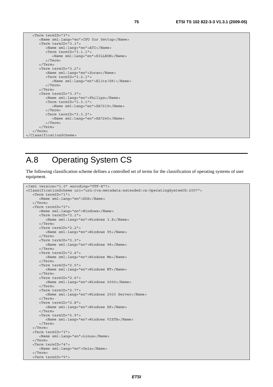```
 <Term termID="3"> 
       <Name xml:lang="en">CPU for Settop</Name> 
       <Term termID="3.1"> 
          <Name xml:lang="en">ATI</Name> 
          <Term termID="3.1.1"> 
             <Name xml:lang="en">XILLEON</Name> 
          </Term> 
       </Term> 
       <Term termID="3.2"> 
          <Name xml:lang="en">Zoran</Name> 
          <Term termID="3.2.1"> 
             <Name xml:lang="en">Elite(G9)</Name> 
          </Term> 
       </Term> 
       <Term termID="3.3"> 
          <Name xml:lang="en">Philips</Name> 
          <Term termID="3.3.1"> 
              <Name xml:lang="en">SA7219</Name> 
          </Term> 
          <Term termID="3.3.2"> 
             <Name xml:lang="en">SA7240</Name> 
          </Term> 
       </Term> 
    </Term> 
</ClassificationScheme>
```
### A.8 Operating System CS

The following classification scheme defines a controlled set of terms for the classification of operating systems of user equipment.

```
<?xml version="1.0" encoding="UTF-8"?> 
<ClassificationScheme uri="urn:tva:metadata:extended:cs:OperatingSystemCS:2007"> 
    <Term termID="1"> 
       <Name xml:lang="en">DOS</Name> 
    </Term> 
    <Term termID="2"> 
       <Name xml:lang="en">Windows</Name> 
       <Term termID="2.1"> 
          <Name xml:lang="en">Windows 3.X</Name> 
       </Term> 
       <Term termID="2.2"> 
          <Name xml:lang="en">Windows 95</Name> 
       </Term> 
       <Term termID="2.3"> 
          <Name xml:lang="en">Windows 98</Name> 
       </Term> 
       <Term termID="2.4"> 
          <Name xml:lang="en">Windows Me</Name> 
       </Term> 
       <Term termID="2.5"> 
          <Name xml:lang="en">Windows NT</Name> 
       </Term> 
       <Term termID="2.6"> 
          <Name xml:lang="en">Windows 2000</Name> 
       </Term> 
       <Term termID="2.7"> 
          <Name xml:lang="en">Windows 2003 Server</Name> 
       </Term> 
       <Term termID="2.8"> 
          <Name xml:lang="en">Windows XP</Name> 
       </Term> 
       <Term termID="2.9"> 
          <Name xml:lang="en">Windows VISTA</Name> 
       </Term> 
    </Term> 
    <Term termID="3"> 
       <Name xml:lang="en">Linux</Name> 
    </Term> 
    <Term termID="4"> 
       <Name xml:lang="en">Unix</Name> 
    </Term> 
    <Term termID="5">
```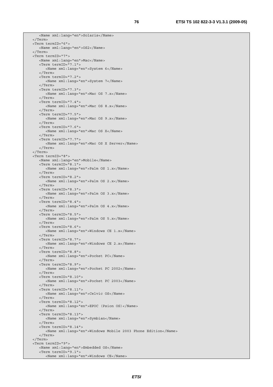<Name xml:lang="en">Solaris</Name> </Term> <Term termID="6"> <Name xml:lang="en">OS2</Name> </Term> <Term termID="7"> <Name xml:lang="en">Mac</Name> <Term termID="7.1"> <Name xml:lang="en">System 6</Name> </Term> <Term termID="7.2"> <Name xml:lang="en">System 7</Name> </Term> <Term termID="7.3"> <Name xml:lang="en">Mac OS 7.x</Name> </Term> <Term termID="7.4"> <Name xml:lang="en">Mac OS 8.x</Name> </Term> <Term termID="7.5"> <Name xml:lang="en">Mac OS 9.x</Name> </Term> <Term termID="7.6"> <Name xml:lang="en">Mac OS X</Name> </Term> <Term termID="7.7"> <Name xml:lang="en">Mac OS X Server</Name> </Term> </Term> <Term termID="8"> <Name xml:lang="en">Mobile</Name> <Term termID="8.1"> <Name xml:lang="en">Palm OS 1.x</Name> </Term> <Term termID="8.2"> <Name xml:lang="en">Palm OS 2.x</Name> </Term> <Term termID="8.3"> <Name xml:lang="en">Palm OS 3.x</Name> </Term> <Term termID="8.4"> <Name xml:lang="en">Palm OS 4.x</Name> </Term> <Term termID="8.5"> <Name xml:lang="en">Palm OS 5.x</Name> </Term> <Term termID="8.6"> <Name xml:lang="en">Windows CE 1.x</Name> </Term> <Term termID="8.7"> <Name xml:lang="en">Windows CE 2.x</Name> </Term> <Term termID="8.8"> <Name xml:lang="en">Pocket PC</Name> </Term> <Term termID="8.9"> <Name xml:lang="en">Pocket PC 2002</Name> </Term> <Term termID="8.10"> <Name xml:lang="en">Pocket PC 2003</Name> </Term> <Term termID="8.11"> <Name xml:lang="en">Celvic OS</Name> </Term> <Term termID="8.12"> <Name xml:lang="en">EPOC (Psion OS)</Name> </Term> <Term termID="8.13"> <Name xml:lang="en">Symbian</Name> </Term> <Term termID="8.14"> <Name xml:lang="en">Windows Mobile 2003 Phone Edition</Name> </Term> </Term> <Term termID="9"> <Name xml:lang="en">Embedded OS</Name> <Term termID="9.1"> <Name xml:lang="en">Windows CE</Name>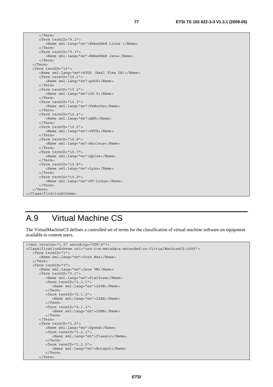```
 </Term> 
       <Term termID="9.2"> 
          <Name xml:lang="en">Embedded Linux </Name> 
       </Term> 
       <Term termID="9.3"> 
          <Name xml:lang="en">Embedded Java</Name> 
       </Term> 
    </Term> 
    <Term termID="10"> 
       <Name xml:lang="en">RTOS (Real Time OS)</Name> 
       <Term termID="10.1"> 
          <Name xml:lang="en">pSOS</Name> 
       </Term> 
       <Term termID="10.2"> 
          <Name xml:lang="en">OS-9</Name> 
       </Term> 
       <Term termID="10.3"> 
          <Name xml:lang="en">VxWorks</Name> 
       </Term> 
       <Term termID="10.4"> 
          <Name xml:lang="en">QNX</Name> 
       </Term> 
       <Term termID="10.5"> 
          <Name xml:lang="en">VRTX</Name> 
       </Term> 
       <Term termID="10.6"> 
          <Name xml:lang="en">Nucleus</Name> 
       </Term> 
       <Term termID="10.7"> 
          <Name xml:lang="en">Qplus</Name> 
       </Term> 
       <Term termID="10.8"> 
          <Name xml:lang="en">Lynx</Name> 
       </Term> 
       <Term termID="10.9"> 
          <Name xml:lang="en">RT-Linux</Name> 
       </Term> 
    </Term> 
</ClassificationScheme>
```
#### A.9 Virtual Machine CS

The VirtualMachineCS defines a controlled set of terms for the classification of virtual machine software on equipment available to content users.

```
<?xml version="1.0" encoding="UTF-8"?> 
<ClassificationScheme uri="urn:tva:metadata:extended:cs:VirtualMachineCS:2005"> 
   <Term termID="1"> 
       <Name xml:lang="en">Core War</Name> 
    </Term> 
    <Term termID="2"> 
       <Name xml:lang="en">Java VM</Name> 
       <Term termID="2.1"> 
          <Name xml:lang="en">Platform</Name> 
          <Term termID="2.1.1"> 
             <Name xml:lang="en">J2SE</Name> 
          </Term> 
          <Term termID="2.1.2"> 
             <Name xml:lang="en">J2EE</Name> 
          </Term> 
          <Term termID="2.1.3"> 
             <Name xml:lang="en">J2ME</Name> 
          </Term> 
       </Term> 
       <Term termID="2.2"> 
          <Name xml:lang="en">Speed</Name> 
          <Term termID="2.2.1"> 
             <Name xml:lang="en">Classic</Name> 
          </Term> 
          <Term termID="2.2.2"> 
             <Name xml:lang="en">Hotspot</Name> 
          </Term> 
       </Term>
```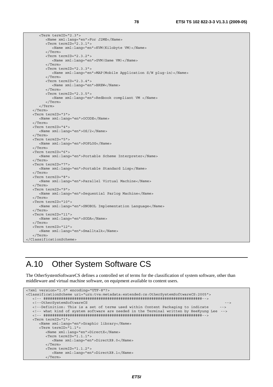```
 <Term termID="2.3"> 
          <Name xml:lang="en">For J2ME</Name> 
          <Term termID="2.3.1"> 
             <Name xml:lang="en">KVM(Kilobyte VM)</Name> 
          </Term> 
          <Term termID="2.3.2"> 
             <Name xml:lang="en">GVM(Game VM)</Name> 
          </Term> 
          <Term termID="2.3.3"> 
             <Name xml:lang="en">MAP(Mobile Application S/W plug-in)</Name> 
          </Term> 
          <Term termID="2.3.4"> 
             <Name xml:lang="en">BREW</Name> 
          </Term> 
          <Term termID="2.3.5"> 
             <Name xml:lang="en">Redbook compliant VM </Name> 
          </Term> 
       </Term> 
   </Term> 
   <Term termID="3"> 
       <Name xml:lang="en">OCODE</Name> 
   </Term> 
   <Term termID="4"> 
       <Name xml:lang="en">OS/2</Name> 
   </Term> 
   <Term termID="5"> 
      <Name xml:lang="en">POPLOG</Name> 
   </Term> 
   <Term termID="6"> 
      <Name xml:lang="en">Portable Scheme Interpreter</Name> 
   </Term> 
   <Term termID="7"> 
       <Name xml:lang="en">Portable Standard Lisp</Name> 
   </Term> 
   <Term termID="8"> 
      <Name xml:lang="en">Parallel Virtual Machine</Name> 
    </Term> 
   <Term termID="9"> 
       <Name xml:lang="en">Sequential Parlog Machine</Name> 
   </Term> 
   <Term termID="10"> 
      <Name xml:lang="en">SNOBOL Implementation Language</Name> 
   </Term> 
   <Term termID="11"> 
      <Name xml:lang="en">SODA</Name> 
    </Term> 
   <Term termID="12"> 
      <Name xml:lang="en">Smalltalk</Name> 
   </Term> 
</ClassificationScheme>
```
### A.10 Other System Software CS

The OtherSystemSoftwareCS defines a controlled set of terms for the classification of system software, other than middleware and virtual machine software, on equipment available to content users.

```
<?xml version="1.0" encoding="UTF-8"?> 
<ClassificationScheme uri="urn:tva:metadata:extended:cs:OtherSystemSoftwareCS:2005"> 
    <!-- ########################################################################--> 
    <!--OtherSystemSoftwareCS --> 
   <!--Definition: This is a set of terms used within Content Packaging to indicate --> 
   <!-- what kind of system software are needed in the Terminal written by HeeKyung Lee --> 
    <!-- ########################################################################--> 
    <Term termID="1"> 
       <Name xml:lang="en">Graphic library</Name> 
       <Term termID="1.1"> 
          <Name xml:lang="en">DirectX</Name> 
          <Term termID="1.1.1"> 
             <Name xml:lang="en">DirectX8.0</Name> 
          </Term> 
          <Term termID="1.1.2"> 
             <Name xml:lang="en">DirectX8.1</Name> 
          </Term>
```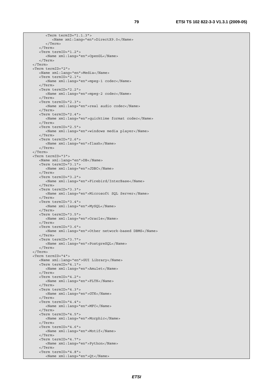```
 <Term termID="1.1.3"> 
          <Name xml:lang="en">DirectX9.0</Name> 
       </Term> 
    </Term> 
    <Term termID="1.2"> 
       <Name xml:lang="en">OpenGL</Name> 
    </Term> 
 </Term> 
 <Term termID="2"> 
   <Name xml:lang="en">Media</Name> 
    <Term termID="2.1"> 
       <Name xml:lang="en">mpeg-1 codec</Name> 
    </Term> 
    <Term termID="2.2"> 
       <Name xml:lang="en">mpeg-2 codec</Name> 
    </Term> 
    <Term termID="2.3"> 
       <Name xml:lang="en">real audio codec</Name> 
    </Term> 
    <Term termID="2.4"> 
       <Name xml:lang="en">quicktime format codec</Name> 
    </Term> 
    <Term termID="2.5"> 
       <Name xml:lang="en">windows media player</Name> 
    </Term> 
    <Term termID="2.6"> 
       <Name xml:lang="en">flash</Name> 
    </Term> 
 </Term> 
 <Term termID="3"> 
    <Name xml:lang="en">DB</Name> 
    <Term termID="3.1"> 
       <Name xml:lang="en">JDBC</Name> 
    </Term> 
    <Term termID="3.2"> 
       <Name xml:lang="en">Firebird/InterBase</Name> 
    </Term> 
    <Term termID="3.3"> 
       <Name xml:lang="en">Microsoft SQL Server</Name> 
    </Term> 
    <Term termID="3.4"> 
       <Name xml:lang="en">MySQL</Name> 
    </Term> 
    <Term termID="3.5"> 
      <Name xml:lang="en">Oracle</Name> 
    </Term> 
    <Term termID="3.6"> 
       <Name xml:lang="en">Other network-based DBMS</Name> 
    </Term> 
    <Term termID="3.7"> 
       <Name xml:lang="en">PostgreSQL</Name> 
    </Term> 
 </Term> 
 <Term termID="4"> 
    <Name xml:lang="en">GUI Library</Name> 
   <Term termID="4.1"> 
       <Name xml:lang="en">Amulet</Name> 
    </Term> 
    <Term termID="4.2"> 
       <Name xml:lang="en">FLTK</Name> 
    </Term> 
    <Term termID="4.3"> 
       <Name xml:lang="en">GTK</Name> 
    </Term> 
    <Term termID="4.4"> 
       <Name xml:lang="en">MFC</Name> 
    </Term> 
    <Term termID="4.5"> 
       <Name xml:lang="en">Morphic</Name> 
    </Term> 
    <Term termID="4.6"> 
       <Name xml:lang="en">Motif</Name> 
    </Term> 
    <Term termID="4.7"> 
       <Name xml:lang="en">Python</Name> 
    </Term> 
    <Term termID="4.8"> 
       <Name xml:lang="en">Qt</Name>
```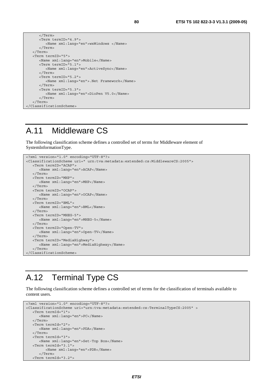```
 </Term> 
       <Term termID="4.9"> 
          <Name xml:lang="en">wxWindows </Name> 
       </Term> 
    </Term> 
    <Term termID="5"> 
       <Name xml:lang="en">Mobile</Name> 
       <Term termID="5.1"> 
          <Name xml:lang="en">ActiveSync</Name> 
       </Term> 
       <Term termID="5.2"> 
          <Name xml:lang="en">.Net Framework</Name> 
       </Term> 
       <Term termID="5.3"> 
          <Name xml:lang="en">DioPen V5.0</Name> 
       </Term> 
    </Term> 
</ClassificationScheme>
```
### A.11 Middleware CS

The following classification scheme defines a controlled set of terms for Middleware element of SystemInformationType.

```
<?xml version="1.0" encoding="UTF-8"?> 
<ClassificationScheme uri=" urn:tva:metadata:extended:cs:MiddlewareCS:2005"> 
   <Term termID="ACAP"> 
       <Name xml:lang="en">ACAP</Name> 
    </Term> 
    <Term termID="MHP"> 
       <Name xml:lang="en">MHP</Name> 
    </Term> 
    <Term termID="OCAP"> 
       <Name xml:lang="en">OCAP</Name> 
    </Term> 
    <Term termID="BML"> 
       <Name xml:lang="en">BML</Name> 
    </Term> 
    <Term termID="MHEG-5"> 
       <Name xml:lang="en">MHEG-5</Name> 
    </Term> 
    <Term termID="Open-TV"> 
       <Name xml:lang="en">Open-TV</Name> 
    </Term> 
    <Term termID="MediaHighway"> 
       <Name xml:lang="en">MediaHighway</Name> 
    </Term> 
</ClassificationScheme>
```
### A.12 Terminal Type CS

The following classification scheme defines a controlled set of terms for the classification of terminals available to content users.

```
<?xml version="1.0" encoding="UTF-8"?> 
<ClassificationScheme uri="urn:tva:metadata:extended:cs:TerminalTypeCS:2005" > 
   <Term termId="1"> 
      <Name xml:lang="en">PC</Name> 
    </Term> 
   <Term termId="2"> 
       <Name xml:lang="en">PDA</Name> 
    </Term> 
   <Term termId="3"> 
      <Name xml:lang="en">Set-Top Box</Name> 
    <Term termId="3.1"> 
          <Name xml:lang="en">PDR</Name> 
       </Term> 
    <Term termId="3.2">
```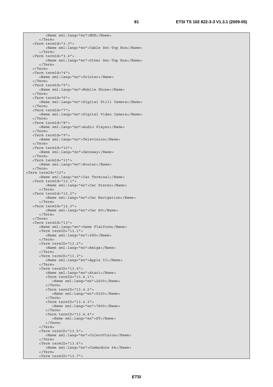<Name xml:lang="en">NDR</Name> </Term> <Term termId="3.3"> <Name xml:lang="en">Cable Set-Top Box</Name> </Term> <Term termId="3.4"> <Name xml:lang="en">Other Set-Top Box</Name> </Term> </Term> <Term termId="4"> <Name xml:lang="en">Printer</Name> </Term> <Term termId="5"> <Name xml:lang="en">Mobile Phone</Name> </Term> <Term termId="6"> <Name xml:lang="en">Digital Still Camera</Name> </Term> <Term termId="7"> <Name xml:lang="en">Digital Video Camera</Name> </Term> <Term termId="8"> <Name xml:lang="en">Audio Player</Name> </Term> <Term termId="9"> <Name xml:lang="en">Television</Name> </Term> <Term termId="10"> <Name xml:lang="en">Gateway</Name> </Term> <Term termId="11"> <Name xml:lang="en">Router</Name> </Term> <Term termId="12"> <Name xml:lang="en">Car Terminal</Name> <Term termId="12.1"> <Name xml:lang="en">Car Stereo</Name> </Term> <Term termId="12.2"> <Name xml:lang="en">Car Navigation</Name> </Term> <Term termId="12.3"> <Name xml:lang="en">Car AV</Name> </Term> </Term> <Term termId="13"> <Name xml:lang="en">Game Platform</Name> <Term termID="13.1"> <Name xml:lang="en">3DO</Name> </Term> <Term termID="13.2"> <Name xml:lang="en">Amiga</Name> </Term> <Term termID="13.3"> <Name xml:lang="en">Apple II</Name> </Term> <Term termID="13.4"> <Name xml:lang="en">Atari</Name> <Term termID="13.4.1"> <Name xml:lang="en">2600</Name> </Term> <Term termID="13.4.2"> <Name xml:lang="en">5200</Name> </Term> <Term termID="13.4.3"> <Name xml:lang="en">7800</Name> </Term> <Term termID="13.4.4"> <Name xml:lang="en">ST</Name> </Term> </Term> <Term termID="13.5"> <Name xml:lang="en">ColecoVision</Name> </Term> <Term termID="13.6"> <Name xml:lang="en">Commodore 64</Name> </Term> <Term termID="13.7">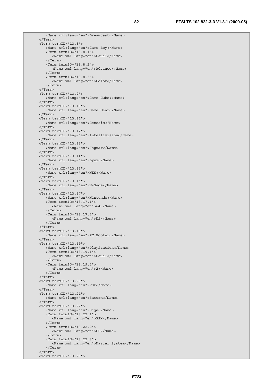```
 <Name xml:lang="en">Dreamcast</Name> 
 </Term> 
 <Term termID="13.8"> 
    <Name xml:lang="en">Game Boy</Name> 
    <Term termID="13.8.1"> 
       <Name xml:lang="en">Usual</Name> 
    </Term> 
    <Term termID="13.8.2"> 
       <Name xml:lang="en">Advance</Name> 
    </Term> 
    <Term termID="13.8.3"> 
       <Name xml:lang="en">Color</Name> 
    </Term> 
 </Term> 
 <Term termID="13.9"> 
    <Name xml:lang="en">Game Cube</Name> 
 </Term> 
 <Term termID="13.10"> 
    <Name xml:lang="en">Game Gear</Name> 
 </Term> 
 <Term termID="13.11"> 
   <Name xml:lang="en">Genesis</Name> 
 </Term> 
 <Term termID="13.12"> 
   <Name xml:lang="en">Intellivision</Name> 
 </Term> 
 <Term termID="13.13"> 
    <Name xml:lang="en">Jaguar</Name> 
 </Term> 
 <Term termID="13.14"> 
    <Name xml:lang="en">Lynx</Name> 
 </Term> 
 <Term termID="13.15"> 
    <Name xml:lang="en">NES</Name> 
 </Term> 
 <Term termID="13.16"> 
    <Name xml:lang="en">N-Gage</Name> 
 </Term> 
 <Term termID="13.17"> 
    <Name xml:lang="en">Nintendo</Name> 
    <Term termID="13.17.1"> 
       <Name xml:lang="en">64</Name> 
    </Term> 
    <Term termID="13.17.2"> 
      <Name xml:lang="en">DS</Name> 
    </Term> 
 </Term> 
 <Term termID="13.18"> 
    <Name xml:lang="en">PC Booter</Name> 
 </Term> 
 <Term termID="13.19"> 
    <Name xml:lang="en">PlayStation</Name> 
    <Term termID="13.19.1"> 
       <Name xml:lang="en">Usual</Name> 
    </Term> 
    <Term termID="13.19.2"> 
       <Name xml:lang="en">2</Name> 
    </Term> 
 </Term> 
 <Term termID="13.20"> 
    <Name xml:lang="en">PSP</Name> 
 </Term> 
 <Term termID="13.21"> 
    <Name xml:lang="en">Saturn</Name> 
 </Term> 
 <Term termID="13.22"> 
    <Name xml:lang="en">Sega</Name> 
    <Term termID="13.22.1"> 
       <Name xml:lang="en">32X</Name> 
    </Term> 
    <Term termID="13.22.2"> 
       <Name xml:lang="en">CD</Name> 
    </Term> 
    <Term termID="13.22.3"> 
       <Name xml:lang="en">Master System</Name> 
    </Term> 
 </Term> 
 <Term termID="13.23">
```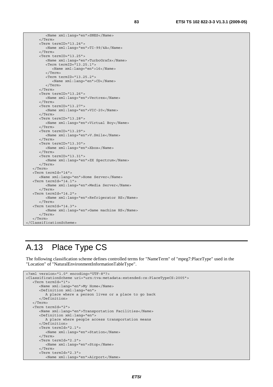<Name xml:lang="en">SNES</Name> </Term> <Term termID="13.24"> <Name xml:lang="en">TI-99/4A</Name> </Term> <Term termID="13.25"> <Name xml:lang="en">TurboGrafx</Name> <Term termID="13.25.1"> <Name xml:lang="en">16</Name> </Term> <Term termID="13.25.2"> <Name xml:lang="en">CD</Name> </Term> </Term> <Term termID="13.26"> <Name xml:lang="en">Vectrex</Name> </Term> <Term termID="13.27"> <Name xml:lang="en">VIC-20</Name> </Term> <Term termID="13.28"> <Name xml:lang="en">Virtual Boy</Name> </Term> <Term termID="13.29"> <Name xml:lang="en">V.Smile</Name> </Term> <Term termID="13.30"> <Name xml:lang="en">Xbox</Name> </Term> <Term termID="13.31"> <Name xml:lang="en">ZX Spectrum</Name> </Term> </Term> <Term termId="14"> <Name xml:lang="en">Home Server</Name> <Term termId="14.1"> <Name xml:lang="en">Media Server</Name> </Term> <Term termId="14.2"> <Name xml:lang="en">Refrigerator HS</Name> </Term> <Term termId="14.3"> <Name xml:lang="en">Game machine HS</Name> </Term> </Term> </ClassificationScheme>

#### A.13 Place Type CS

The following classification scheme defines controlled terms for "NameTerm" of "mpeg7:PlaceType" used in the "Location" of "NaturalEnvironmentInformationTableType".

```
<?xml version="1.0" encoding="UTF-8"?> 
<ClassificationScheme uri="urn:tva:metadata:extended:cs:PlaceTypeCS:2005"> 
    <Term termId="1"> 
       <Name xml:lang="en">My Home</Name> 
       <Definition xml:lang="en"> 
          A place where a person lives or a place to go back 
       </Definition> 
    </Term> 
    <Term termId="2"> 
       <Name xml:lang="en">Transportation Facilities</Name> 
       <Definition xml:lang="en"> 
          A place where people access transportation means 
       </Definition> 
       <Term termId="2.1"> 
          <Name xml:lang="en">Station</Name> 
       </Term> 
       <Term termId="2.2"> 
          <Name xml:lang="en">Stop</Name> 
       </Term> 
       <Term termId="2.3"> 
          <Name xml:lang="en">Airport</Name>
```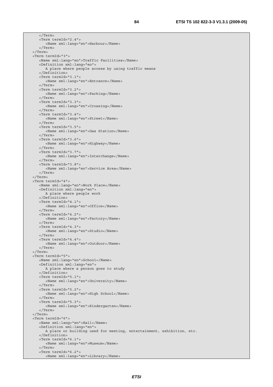</Term> <Term termId="2.4"> <Name xml:lang="en">Harbour</Name> </Term> </Term> <Term termId="3"> <Name xml:lang="en">Traffic Facilities</Name> <Definition xml:lang="en"> A place where people access by using traffic means </Definition> <Term termId="3.1"> <Name xml:lang="en">Entrance</Name> </Term> <Term termId="3.2"> <Name xml:lang="en">Parking</Name> </Term> <Term termId="3.3"> <Name xml:lang="en">Crossing</Name> </Term> <Term termId="3.4"> <Name xml:lang="en">Street</Name> </Term> <Term termId="3.5"> <Name xml:lang="en">Gas Station</Name> </Term> <Term termId="3.6"> <Name xml:lang="en">Highway</Name> </Term> <Term termId="3.7"> <Name xml:lang="en">Interchange</Name> </Term> <Term termId="3.8"> <Name xml:lang="en">Service Area</Name> </Term> </Term> <Term termId="4"> <Name xml:lang="en">Work Place</Name> <Definition xml:lang="en"> A place where people work </Definition> <Term termId="4.1"> <Name xml:lang="en">Office</Name> </Term> <Term termId="4.2"> <Name xml:lang="en">Factory</Name> </Term> <Term termId="4.3"> <Name xml:lang="en">Studio</Name> </Term> <Term termId="4.4"> <Name xml:lang="en">Outdoor</Name> </Term> </Term> <Term termId="5"> <Name xml:lang="en">School</Name> <Definition xml:lang="en"> A place where a person goes to study </Definition> <Term termId="5.1"> <Name xml:lang="en">University</Name> </Term> <Term termId="5.2"> <Name xml:lang="en">High School</Name> </Term> <Term termId="5.3"> <Name xml:lang="en">Kindergarten</Name> </Term> </Term> <Term termId="6"> <Name xml:lang="en">Hall</Name> <Definition xml:lang="en"> A place or building used for meeting, entertainment, exhibition, etc. </Definition> <Term termId="6.1"> <Name xml:lang="en">Museum</Name> </Term> <Term termId="6.2"> <Name xml:lang="en">Library</Name>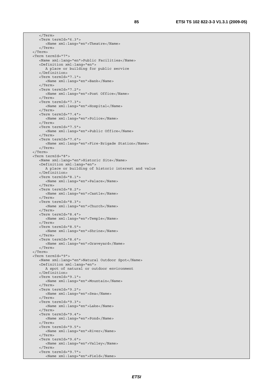</Term> <Term termId="6.3"> <Name xml:lang="en">Theatre</Name> </Term> </Term> <Term termId="7"> <Name xml:lang="en">Public Facilities</Name> <Definition xml:lang="en"> A place or building for public service </Definition> <Term termId="7.1"> <Name xml:lang="en">Bank</Name> </Term> <Term termId="7.2"> <Name xml:lang="en">Post Office</Name> </Term> <Term termId="7.3"> <Name xml:lang="en">Hospital</Name> </Term> <Term termId="7.4"> <Name xml:lang="en">Police</Name> </Term> <Term termId="7.5"> <Name xml:lang="en">Public Office</Name> </Term> <Term termId="7.6"> <Name xml:lang="en">Fire-Brigade Station</Name> </Term> </Term> <Term termId="8"> <Name xml:lang="en">Historic Site</Name> <Definition xml:lang="en"> A place or building of historic interest and value </Definition> <Term termId="8.1"> <Name xml:lang="en">Palace</Name> </Term> <Term termId="8.2"> <Name xml:lang="en">Castle</Name> </Term> <Term termId="8.3"> <Name xml:lang="en">Church</Name> </Term> <Term termId="8.4"> <Name xml:lang="en">Temple</Name> </Term> <Term termId="8.5"> <Name xml:lang="en">Shrine</Name> </Term> <Term termId="8.6"> <Name xml:lang="en">Graveyard</Name> </Term> </Term> <Term termId="9"> <Name xml:lang="en">Natural Outdoor Spot</Name> <Definition xml:lang="en"> A spot of natural or outdoor environment </Definition> <Term termId="9.1"> <Name xml:lang="en">Mountain</Name> </Term> <Term termId="9.2"> <Name xml:lang="en">Sea</Name> </Term> <Term termId="9.3"> <Name xml:lang="en">Lake</Name> </Term> <Term termId="9.4"> <Name xml:lang="en">Pond</Name> </Term> <Term termId="9.5"> <Name xml:lang="en">River</Name> </Term> <Term termId="9.6"> <Name xml:lang="en">Valley</Name> </Term> <Term termId="9.7"> <Name xml:lang="en">Field</Name>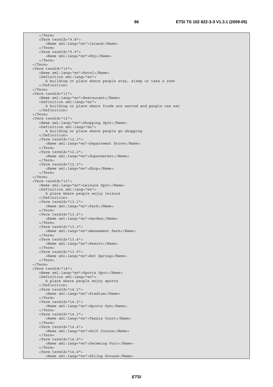</Term> <Term termId="9.8"> <Name xml:lang="en">Island</Name> </Term> <Term termId="9.9"> <Name xml:lang="en">Sky</Name> </Term> </Term> <Term termId="10"> <Name xml:lang="en">Hotel</Name> <Definition xml:lang="en"> A building or place where people stay, sleep or take a rest </Definition> </Term> <Term termId="11"> <Name xml:lang="en">Restaurant</Name> <Definition xml:lang="en"> A building or place where foods are served and people can eat </Definition> </Term> <Term termId="12"> <Name xml:lang="en">Shopping Spot</Name> <Definition xml:lang="en"> A building or place where people go shopping </Definition> <Term termId="12.1"> <Name xml:lang="en">Department Store</Name> </Term> <Term termId="12.2"> <Name xml:lang="en">Supermarket</Name> </Term> <Term termId="12.3"> <Name xml:lang="en">Shop</Name> </Term> </Term> <Term termId="13"> <Name xml:lang="en">Leisure Spot</Name> <Definition xml:lang="en"> A place where people enjoy leisure </Definition> <Term termId="13.1"> <Name xml:lang="en">Park</Name> </Term> <Term termId="13.2"> <Name xml:lang="en">Garden</Name> </Term> <Term termId="13.3"> <Name xml:lang="en">Amusement Park</Name> </Term> <Term termId="13.4"> <Name xml:lang="en">Resort</Name> </Term> <Term termId="13.5"> <Name xml:lang="en">Hot Spring</Name> </Term> </Term> <Term termId="14"> <Name xml:lang="en">Sports Spot</Name> <Definition xml:lang="en"> A place where people enjoy sports </Definition> <Term termId="14.1"> <Name xml:lang="en">Stadium</Name> </Term> <Term termId="14.2"> <Name xml:lang="en">Sports Gym</Name> </Term> <Term termId="14.3"> <Name xml:lang="en">Tennis Court</Name> </Term> <Term termId="14.4"> <Name xml:lang="en">Golf Course</Name> </Term> <Term termId="14.5"> <Name xml:lang="en">Swimming Pool</Name> </Term> <Term termId="14.6"> <Name xml:lang="en">Skiing Ground</Name>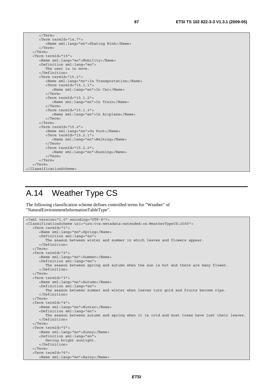| $\langle$ Term>                              |  |  |  |
|----------------------------------------------|--|--|--|
| <term termid="14.7"></term>                  |  |  |  |
| <name xml:lang="en">Skating Rink</name>      |  |  |  |
|                                              |  |  |  |
| $\langle$ Term>                              |  |  |  |
| <term termid="15"></term>                    |  |  |  |
| <name xml:lanq="en">Mobility</name>          |  |  |  |
| <definition xml:lang="en"></definition>      |  |  |  |
| The user is in move.                         |  |  |  |
|                                              |  |  |  |
| <term termid="15.1"></term>                  |  |  |  |
| <name xml:lang="en">In Transportation</name> |  |  |  |
| <term termid="15.1.1"></term>                |  |  |  |
| <name xml:lang="en">In Car</name>            |  |  |  |
| $\langle$ Term>                              |  |  |  |
| <term termid="15.1.2"></term>                |  |  |  |
| <name xml:lang="en">In Train</name>          |  |  |  |
| $\langle$ Term>                              |  |  |  |
| <term termid="15.1.3"></term>                |  |  |  |
| <name xml:lang="en">In Airplane</name>       |  |  |  |
| $\langle$ Term>                              |  |  |  |
| $\langle$ Term>                              |  |  |  |
| <term termid="15.2"></term>                  |  |  |  |
| <name xml:lang="en">On Foot</name>           |  |  |  |
| <term termid="15.2.1"></term>                |  |  |  |
| <name xml:lanq="en">Walkinq</name>           |  |  |  |
| $\langle$ Term>                              |  |  |  |
| $\epsilon$ Term termId="15.2.2">             |  |  |  |
| <name xml:lanq="en">Runninq</name>           |  |  |  |
|                                              |  |  |  |
|                                              |  |  |  |
|                                              |  |  |  |
|                                              |  |  |  |

#### A.14 Weather Type CS

The following classification scheme defines controlled terms for "Weather" of "NaturalEnvironmentInformationTableType".

```
<?xml version="1.0" encoding="UTF-8"?> 
<ClassificationScheme uri="urn:tva:metadata:extended:cs:WeatherTypeCS:2005"> 
    <Term termId="1"> 
       <Name xml:lang="en">Spring</Name> 
       <Definition xml:lang="en"> 
          The season between winter and summer in which leaves and flowers appear. 
       </Definition> 
    </Term> 
    <Term termId="2"> 
       <Name xml:lang="en">Summer</Name> 
       <Definition xml:lang="en"> 
          The season between spring and autumn when the sun is hot and there are many flower. 
       </Definition> 
    </Term> 
    <Term termId="3"> 
       <Name xml:lang="en">Autumn</Name> 
       <Definition xml:lang="en"> 
          The season between summer and winter when leaves turn gold and fruits become ripe. 
       </Definition> 
    </Term> 
    <Term termId="4"> 
       <Name xml:lang="en">Winter</Name> 
       <Definition xml:lang="en"> 
          The season between autumn and spring when it is cold and most trees have lost their leaves. 
       </Definition> 
    </Term> 
    <Term termId="5"> 
       <Name xml:lang="en">Sunny</Name> 
       <Definition xml:lang="en"> 
         Having bright sunlight. 
       </Definition> 
    </Term> 
    <Term termId="6"> 
       <Name xml:lang="en">Rainy</Name>
```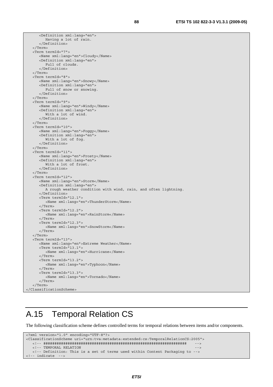<Definition xml:lang="en"> Having a lot of rain. </Definition> </Term> <Term termId="7"> <Name xml:lang="en">Cloudy</Name> <Definition xml:lang="en"> Full of clouds. </Definition> </Term> <Term termId="8"> <Name xml:lang="en">Snowy</Name> <Definition xml:lang="en"> Full of snow or snowing. </Definition> </Term> <Term termId="9"> <Name xml:lang="en">Windy</Name> <Definition xml:lang="en"> With a lot of wind. </Definition> </Term> <Term termId="10"> <Name xml:lang="en">Foggy</Name> <Definition xml:lang="en"> With a lot of fog. </Definition> </Term> <Term termId="11"> <Name xml:lang="en">Frosty</Name> <Definition xml:lang="en"> With a lot of frost. </Definition> </Term> <Term termId="12"> <Name xml:lang="en">Storm</Name> <Definition xml:lang="en"> A rough weather condition with wind, rain, and often lightning. </Definition> <Term termId="12.1"> <Name xml:lang="en">ThunderStorm</Name> </Term> <Term termId="12.2"> <Name xml:lang="en">RainStorm</Name> </Term> <Term termId="12.3"> <Name xml:lang="en">SnowStorm</Name> </Term> </Term> <Term termId="13"> <Name xml:lang="en">Extreme Weather</Name> <Term termId="13.1"> <Name xml:lang="en">Hurricane</Name>  $\frac{1}{2}$ /Terms <Term termId="13.2"> <Name xml:lang="en">Typhoon</Name> </Term> <Term termId="13.3"> <Name xml:lang="en">Tornado</Name> </Term> </Term> </ClassificationScheme>

### A.15 Temporal Relation CS

The following classification scheme defines controlled terms for temporal relations between items and/or components.

```
<?xml version="1.0" encoding="UTF-8"?> 
<ClassificationScheme uri="urn:tva:metadata:extended:cs:TemporalRelationCS:2005"> 
   <!-- ################################################################# --> 
  <!-- TEMPORAL RELATION -->
   <!-- Definition: This is a set of terms used within Content Packaging to --> 
<!-- indicate -->
```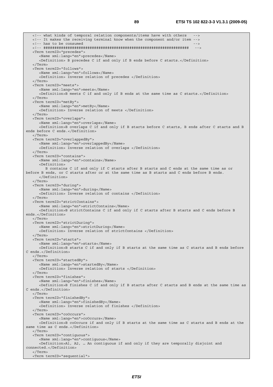<!-- what kinds of temporal relation components/items have with others --> <!-- It makes the receiving terminal know when the component and/or item --> <!-- has to be consumed <!-- ################################################################## --> <Term termID="precedes"> <Name xml:lang="en">precedes</Name> <Definition> B precedes C if and only if B ends before C starts.</Definition> </Term> <Term termID="follows"> <Name xml:lang="en">follows</Name> <Definition> Inverse relation of precedes </Definition> </Term> <Term termID="meets"> <Name xml:lang="en">meets</Name> <Definition>B meets C if and only if B ends at the same time as C starts.</Definition> </Term> <Term termID="metBy"> <Name xml:lang="en">metBy</Name> <Definition> Inverse relation of meets </Definition> </Term> <Term termID="overlaps"> <Name xml:lang="en">overlaps</Name> <Definition>B overlaps C if and only if B starts before C starts, B ends after C starts and B ends before C ends.</Definition> </Term> <Term termID="overlappedBy"> <Name xml:lang="en">overlappedBy</Name> <Definition> Inverse relation of overlaps </Definition> </Term> <Term termID="contains"> <Name xml:lang="en">contains</Name> <Definition> B contains C if and only if C starts after B starts and C ends at the same time as or before B ends, or C starts after or at the same time as B starts and C ends before B ends. </Definition> </Term> <Term termID="during"> <Name xml:lang="en">during</Name> <Definition> Inverse relation of contains </Definition> </Term> <Term termID="strictContains"> <Name xml:lang="en">strictContains</Name> <Definition>B strictContains C if and only if C starts after B starts and C ends before B ends.</Definition> </Term> <Term termID="strictDuring"> <Name xml:lang="en">strictDuring</Name> <Definition> Inverse relation of strictContains </Definition> </Term> <Term termID="starts"> <Name xml:lang="en">starts</Name> <Definition>B starts C if and only if B starts at the same time as C starts and B ends before C ends.</Definition>  $\sim$ /Term $\sim$  <Term termID="startedBy"> <Name xml:lang="en">startedBy</Name> <Definition> Inverse relation of starts </Definition> </Term> <Term termID="finishes"> <Name xml:lang="en">finishes</Name> <Definition>B finishes C if and only if B starts after C starts and B ends at the same time as C ends.</Definition> </Term> <Term termID="finishedBy"> <Name xml:lang="en">finishedBy</Name> <Definition> Inverse relation of finishes </Definition> </Term> <Term termID="coOccurs"> <Name xml:lang="en">coOccurs</Name> <Definition>B coOccurs if and only if B starts at the same time as C starts and B ends at the same time as C ends.</Definition> </Term> <Term termID="contiguous"> <Name xml:lang="en">contiguous</Name> <Definition>A1, A2, … An contiguous if and only if they are temporally disjoint and connected.</Definition> </Term> <Term termID="sequential">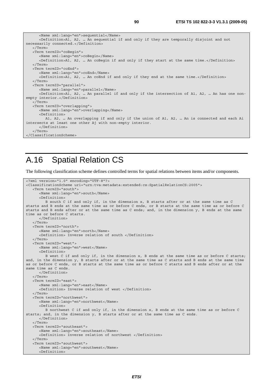| <name xml:lang="en">sequential</name>                                                                     |
|-----------------------------------------------------------------------------------------------------------|
| <definition>A1, A2,  An sequential if and only if they are temporally disjoint and not</definition>       |
| necessarily connected.                                                                                    |
| $\langle$ Term>                                                                                           |
| <term termid="coBegin"></term>                                                                            |
| <name xml:lang="en">coBegin</name>                                                                        |
| <definition>A1, A2,  An coBegin if and only if they start at the same time.</definition>                  |
| $\langle$ Term>                                                                                           |
| <term termid="coEnd"></term>                                                                              |
| <name xml:lang="en">coEnd</name>                                                                          |
| <definition>A1, A2,  An coEnd if and only if they end at the same time.</definition>                      |
| $\langle$ Term>                                                                                           |
| <term termid="parallel"></term>                                                                           |
| <name xml:lanq="en">parallel</name>                                                                       |
| <definition>A1, A2,  An parallel if and only if the intersection of A1, A2,  An has one non-</definition> |
| empty interior.                                                                                           |
| $\langle$ Term>                                                                                           |
| <term termid="overlapping"></term>                                                                        |
| <name xml:lang="en">overlapping</name>                                                                    |
| $<$ Definition $>$                                                                                        |
| A1, A2,  An overlapping if and only if the union of A1, A2,  An is connected and each Ai                  |
| intersects at least one other Aj with non-empty interior.                                                 |
|                                                                                                           |
| $\langle$ Term>                                                                                           |
|                                                                                                           |
|                                                                                                           |

### A.16 Spatial Relation CS

The following classification scheme defines controlled terms for spatial relations between items and/or components.

```
<?xml version="1.0" encoding="UTF-8"?> 
<ClassificationScheme uri="urn:tva:metadata:extended:cs:SpatialRelationCS:2005"> 
    <Term termID="south"> 
       <Name xml:lang="en">south</Name> 
       <Definition> 
          B south C if and only if, in the dimension x, B starts after or at the same time as C 
starts and B ends at the same time as or before C ends, or B starts at the same time as or before C 
starts and B ends after or at the same time as C ends; and, in the dimension y, B ends at the same 
time as or before C starts. 
      </Definition> 
    </Term> 
    <Term termID="north"> 
       <Name xml:lang="en">north</Name> 
       <Definition> Inverse relation of south </Definition> 
    </Term> 
    <Term termID="west"> 
       <Name xml:lang="en">west</Name> 
       <Definition> 
          B west C if and only if, in the dimension x, B ends at the same time as or before C starts; 
and, in the dimension y, B starts after or at the same time as C starts and B ends at the same time 
as or before C ends, or B starts at the same time as or before C starts and B ends after or at the 
same time as C ends. 
       </Definition> 
    </Term> 
    <Term termID="east"> 
       <Name xml:lang="en">east</Name> 
       <Definition> Inverse relation of west </Definition> 
    </Term> 
    <Term termID="northwest"> 
       <Name xml:lang="en">northwest</Name> 
       <Definition> 
          B northwest C if and only if, in the dimension x, B ends at the same time as or before C 
starts; and, in the dimension y, B starts after or at the same time as C ends. 
       </Definition> 
    </Term> 
    <Term termID="southeast"> 
       <Name xml:lang="en">southeast</Name> 
       <Definition> Inverse relation of northwest </Definition> 
    </Term> 
    <Term termID="southwest"> 
       <Name xml:lang="en">southwest</Name> 
       <Definition>
```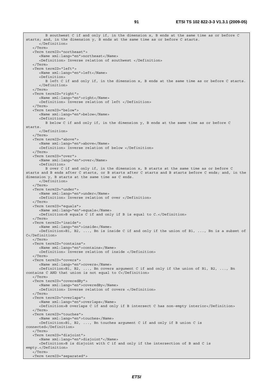B southwest C if and only if, in the dimension x, B ends at the same time as or before C starts; and, in the dimension y, B ends at the same time as or before C starts. </Definition> </Term> <Term termID="northeast"> <Name xml:lang="en">northeast</Name> <Definition> Inverse relation of southwest </Definition> </Term> <Term termID="left"> <Name xml:lang="en">left</Name> <Definition> B left C if and only if, in the dimension x, B ends at the same time as or before C starts. </Definition> </Term> <Term termID="right"> <Name xml:lang="en">right</Name> <Definition> Inverse relation of left </Definition> </Term> <Term termID="below"> <Name xml:lang="en">below</Name> <Definition> B below C if and only if, in the dimension y, B ends at the same time as or before C starts. </Definition> </Term> <Term termID="above"> <Name xml:lang="en">above</Name> <Definition> Inverse relation of below </Definition> </Term> <Term termID="over"> <Name xml:lang="en">over</Name> <Definition> B over C if and only if, in the dimension x, B starts at the same time as or before C starts and B ends after C starts, or B starts after C starts and B starts before C ends; and, in the dimension y, B starts at the same time as C ends. </Definition> </Term> <Term termID="under"> <Name xml:lang="en">under</Name> <Definition> Inverse relation of over </Definition> </Term> <Term termID="equals"> <Name xml:lang="en">equals</Name> <Definition>B equals C if and only if B is equal to C.</Definition> </Term> <Term termID="inside"> <Name xml:lang="en">inside</Name> <Definition>B1, B2, ..., Bn is inside C if and only if the union of B1, ..., Bn is a subset of C</Definition> </Term> <Term termID="contains"> <Name xml:lang="en">contains</Name> <Definition> Inverse relation of inside </Definition>  $\sim$ /Term $\sim$  <Term termID="covers"> <Name xml:lang="en">covers</Name> <Definition>B1, B2, ..., Bn covers argument C if and only if the union of B1, B2, ..., Bn contains C AND that union is not equal to C</Definition> </Term> <Term termID="coveredBy"> <Name xml:lang="en">coveredBy</Name> <Definition> Inverse relation of covers </Definition> </Term> <Term termID="overlaps"> <Name xml:lang="en">overlaps</Name> <Definition>B overlaps C if and only if B intersect C has non-empty interior</Definition> </Term> <Term termID="touches"> <Name xml:lang="en">touches</Name> <Definition>B1, B2, ..., Bn touches argument C if and only if B union C is connected</Definition> </Term> <Term termID="disjoint"> <Name xml:lang="en">disjoint"</Name> <Definition>B is disjoint with C if and only if the intersection of B and C is empty.</Definition> </Term> <Term termID="separated">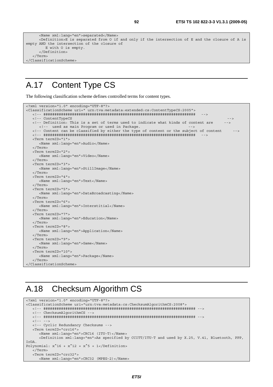```
 <Name xml:lang="en">separated</Name> 
       <Definition>E is separated from O if and only if the intersection of E and the closure of A is 
empty AND the intersection of the closure of 
         E with O is empty. 
       </Definition> 
    </Term> 
</ClassificationScheme>
```
#### A.17 Content Type CS

The following classification scheme defines controlled terms for content types.

```
<?xml version="1.0" encoding="UTF-8"?> 
<ClassificationScheme uri=" urn:tva:metadata:extended:cs:ContentTypeCS:2005"> 
   <!-- ##################################################################### --> 
   <!-- ContentTypeCS --> 
   <!-- Definition: This is a set of terms used to indicate what kinds of content are --> 
     <!-- used as main Program or used in Package. - <!-- Content can be classified by either the type of content or the subject of content --> 
   <!-- ##################################################################### --> 
   <Term termID="1"> 
      <Name xml:lang="en">Audio</Name> 
   </Term> 
   <Term termID="2"> 
      <Name xml:lang="en">Video</Name> 
   </Term> 
   <Term termID="3"> 
      <Name xml:lang="en">StillImage</Name> 
    </Term> 
   <Term termID="4"> 
      <Name xml:lang="en">Text</Name> 
   </Term> 
   <Term termID="5"> 
      <Name xml:lang="en">DataBroadcasting</Name> 
   </Term> 
   <Term termID="6"> 
      <Name xml:lang="en">Interstitial</Name> 
   </Term> 
   <Term termID="7"> 
      <Name xml:lang="en">Education</Name> 
   </Term> 
   <Term termID="8"> 
      <Name xml:lang="en">Application</Name> 
   </Term> 
   <Term termID="9"> 
      <Name xml:lang="en">Game</Name> 
   </Term> 
   <Term termID="10"> 
      <Name xml:lang="en">Package</Name> 
    </Term> 
</ClassificationScheme>
```
#### A.18 Checksum Algorithm CS

```
<?xml version="1.0" encoding="UTF-8"?> 
<ClassificationScheme uri="urn:tva:metadata:cs:ChecksumAlgorithmCS:2008"> 
    <!-- ##################################################################### --> 
    <!-- ChecksumAlgorithmCS --> 
    <!-- ##################################################################### --> 
   \langle! --
    <!-- Cyclic Redundancy Checksums --> 
    <Term termID="crc16"> 
       <Name xml:lang="en">CRC16 (ITU-T)</Name> 
       <Definition xml:lang="en">As specified by CCITT/ITU-T and used by X.25, V.41, Bluetooth, PPP, 
IrDA. 
Polynomial: x^16 + x^12 + x^5 + 1</Definition>
    </Term> 
    <Term termID="crc32"> 
       <Name xml:lang="en">CRC32 (MPEG-2)</Name>
```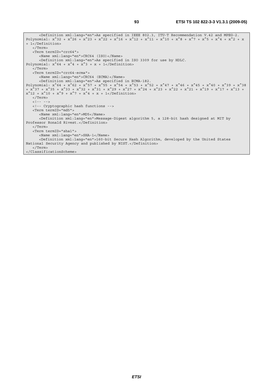```
 <Definition xml:lang="en">As specified in IEEE 802.3, ITU-T Recommendation V.42 and MPEG-2. 
Polynomial: x^332 + x^26 + x^23 + x^22 + x^16 + x^12 + x^11 + x^10 + x^8 + x^7 + x^6 + x^4 + x^2 + x+ 1</Definition> 
    </Term> 
    <Term termID="crc64"> 
      <Name xml:lang="en">CRC64 (ISO)</Name> 
       <Definition xml:lang="en">As specified in ISO 3309 for use by HDLC. 
Polynomial: x^64 + x^4 + x^3 + x + 1 </Term> 
    <Term termID="crc64-ecma"> 
      <Name xml:lang="en">CRC64 (ECMA)</Name> 
       <Definition xml:lang="en">As specified in ECMA-182. 
Polynomial: x^64 + x^62 + x^57 + x^55 + x^54 + x^53 + x^54 + x^47 + x^46 + x^45 + x^40 + x^39 + x^38+ x^37 + x^35 + x^33 + x^32 + x^31 + x^29 + x^27 + x^24 + x^23 + x^22 + x^21 + x^19 + x^17 + x^13 + 
x^12 + x^10 + x^9 + x^7 + x^4 + x + 1 </Definition>
   </Term> 
   <! -- -->
   <!-- Cryptographic hash functions --> 
    <Term termID="md5"> 
      <Name xml:lang="en">MD5</Name> 
       <Definition xml:lang="en">Message-Digest algorithm 5, a 128-bit hash designed at MIT by 
Professor Ronald Rivest.</Definition>
   </Term> 
    <Term termID="sha1"> 
       <Name xml:lang="en">SHA-1</Name> 
       <Definition xml:lang="en">160-bit Secure Hash Algorithm, developed by the United States 
National Security Agency and published by NIST.</Definition> 
   </Term> 
</ClassificationScheme>
```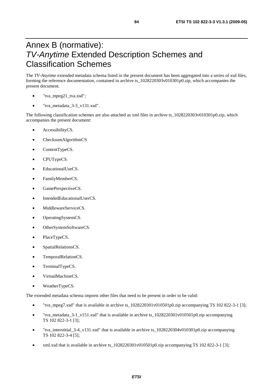#### Annex B (normative): *TV-Anytime* Extended Description Schemes and Classification Schemes

The *TV-Anytime* extended metadata schema listed in the present document has been aggregated into a series of xsd files, forming the reference documentation, contained in archive ts\_1028220303v010301p0.zip, which accompanies the present document.

- "tva\_mpeg21\_tva.xsd";
- "tva\_metadata\_3-3\_v131.xsd".

The following classification schemes are also attached as xml files in archive ts\_1028220303v010301p0.zip, which accompanies the present document:

- AccessibilityCS.
- ChecksumAlgorithmCS
- ContentTypeCS.
- CPUTypeCS.
- EducationalUseCS.
- FamilyMemberCS.
- GamePerspectiveCS.
- IntendedEducationalUserCS.
- MiddlewareServiceCS.
- OperatingSystemCS.
- OtherSystemSoftwareCS.
- PlaceTypeCS.
- SpatialRelationsCS.
- TemporalRelationCS.
- TerminalTypeCS.
- VirtualMachineCS.
- WeatherTypeCS.

The extended metadata schema imports other files that need to be present in order to be valid:

- "tva\_mpeg7.xsd" that is available in archive ts\_1028220301v010501p0.zip accompanying TS 102 822-3-1 [3];
- "tva\_metadata\_3-1\_v151.xsd" that is available in archive ts\_1028220301v010501p0.zip accompanying TS 102 822-3-1 [3];
- "tva\_interstitial\_3-4\_v131.xsd" that is available in archive ts\_1028220304v010301p0.zip accompanying TS 102 822-3-4 [5];
- xml.xsd that is available in archive ts\_1028220301v010501p0.zip accompanying TS 102 822-3-1 [3];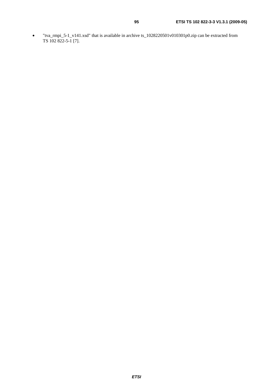• "tva\_rmpi\_5-1\_v141.xsd" that is available in archive ts\_1028220501v010301p0.zip can be extracted from TS 102 822-5-1 [7].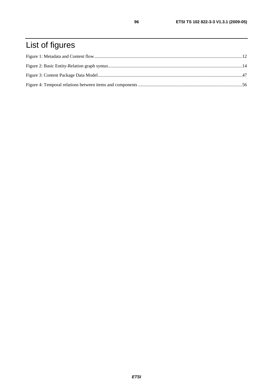# List of figures

96